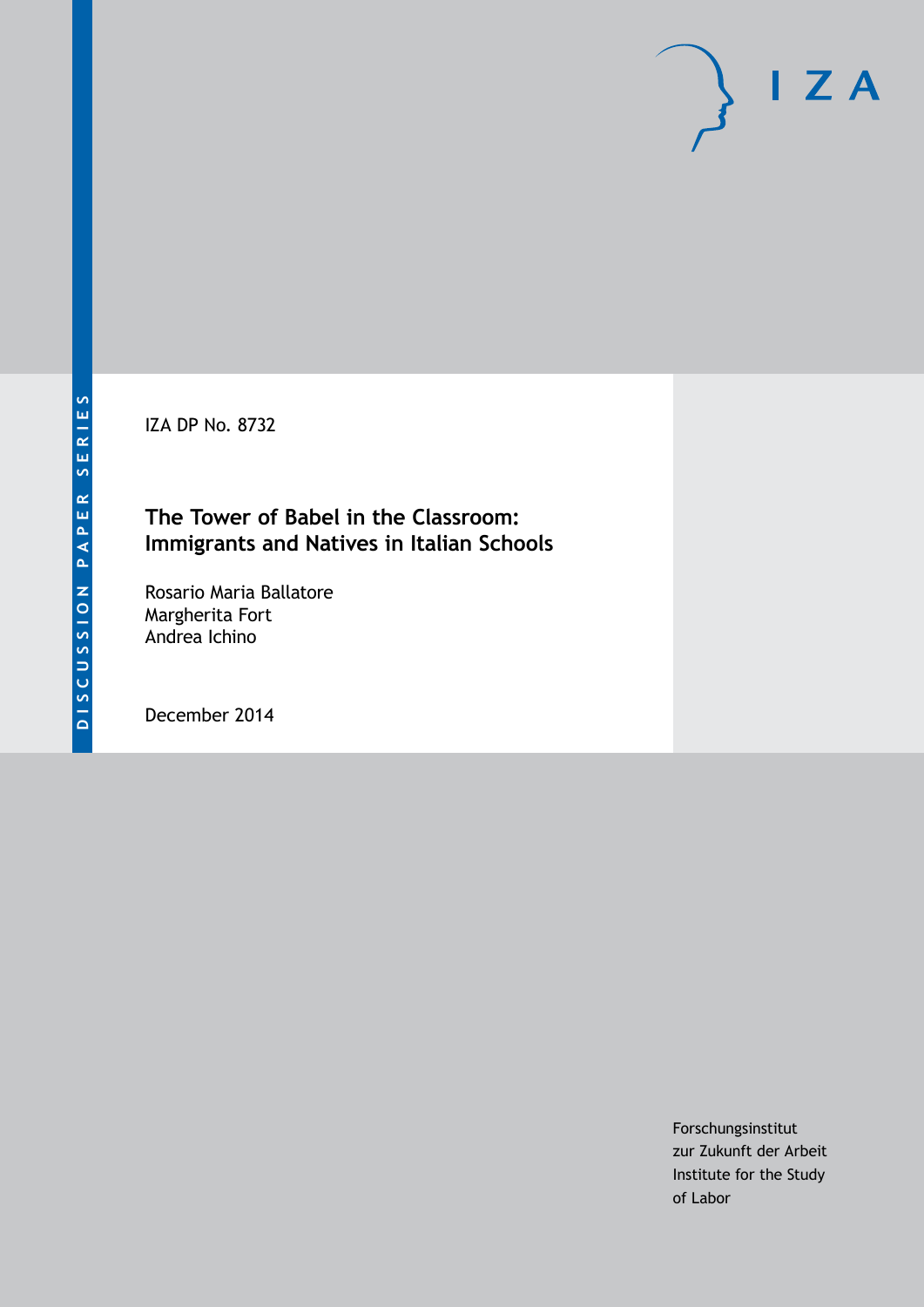IZA DP No. 8732

#### **The Tower of Babel in the Classroom: Immigrants and Natives in Italian Schools**

Rosario Maria Ballatore Margherita Fort Andrea Ichino

December 2014

Forschungsinstitut zur Zukunft der Arbeit Institute for the Study of Labor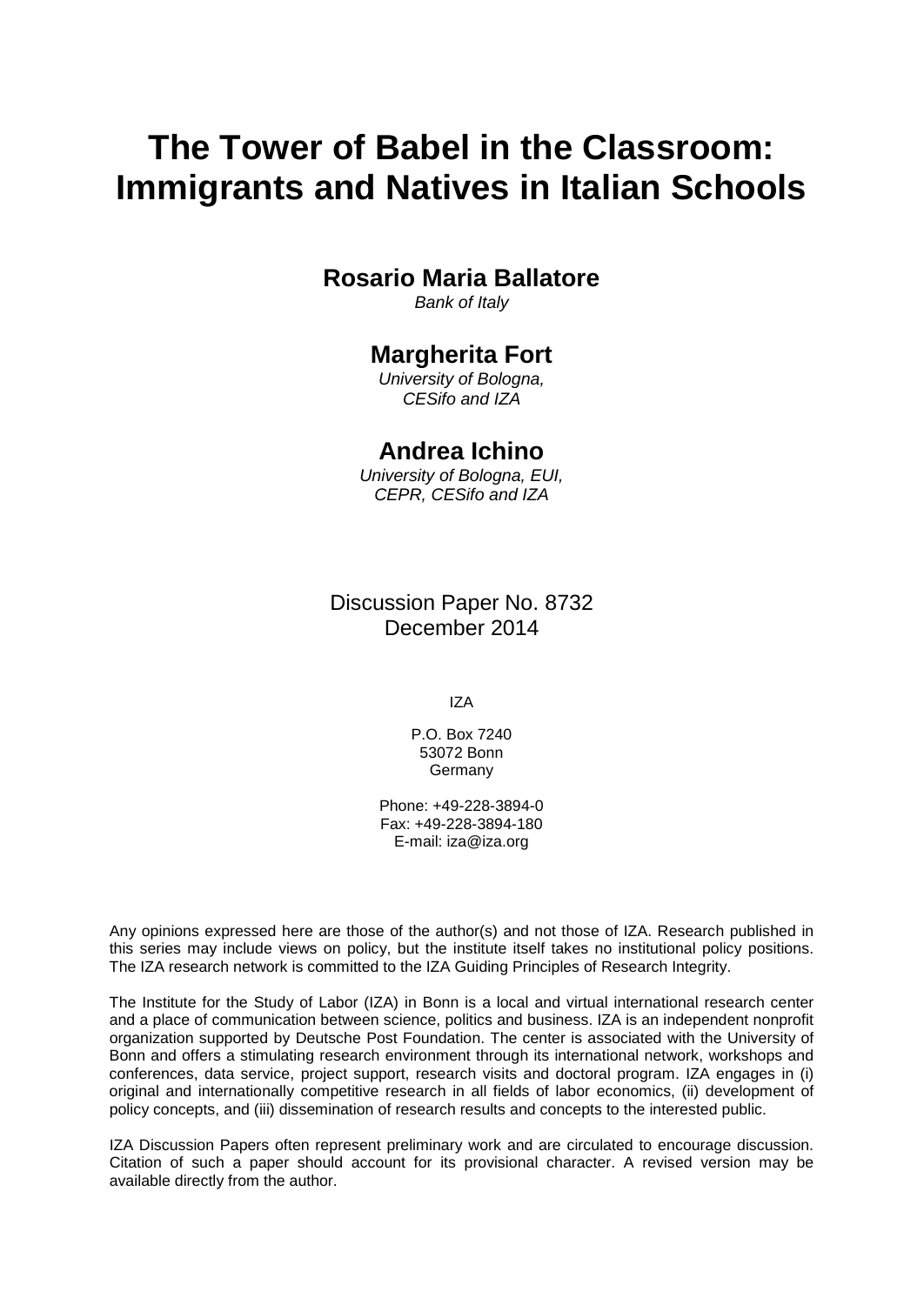# **The Tower of Babel in the Classroom: Immigrants and Natives in Italian Schools**

#### **Rosario Maria Ballatore**

*Bank of Italy*

#### **Margherita Fort**

*University of Bologna, CESifo and IZA*

#### **Andrea Ichino**

*University of Bologna, EUI, CEPR, CESifo and IZA*

Discussion Paper No. 8732 December 2014

IZA

P.O. Box 7240 53072 Bonn **Germany** 

Phone: +49-228-3894-0 Fax: +49-228-3894-180 E-mail: [iza@iza.org](mailto:iza@iza.org)

Any opinions expressed here are those of the author(s) and not those of IZA. Research published in this series may include views on policy, but the institute itself takes no institutional policy positions. The IZA research network is committed to the IZA Guiding Principles of Research Integrity.

<span id="page-1-0"></span>The Institute for the Study of Labor (IZA) in Bonn is a local and virtual international research center and a place of communication between science, politics and business. IZA is an independent nonprofit organization supported by Deutsche Post Foundation. The center is associated with the University of Bonn and offers a stimulating research environment through its international network, workshops and conferences, data service, project support, research visits and doctoral program. IZA engages in (i) original and internationally competitive research in all fields of labor economics, (ii) development of policy concepts, and (iii) dissemination of research results and concepts to the interested public.

IZA Discussion Papers often represent preliminary work and are circulated to encourage discussion. Citation of such a paper should account for its provisional character. A revised version may be available directly from the author.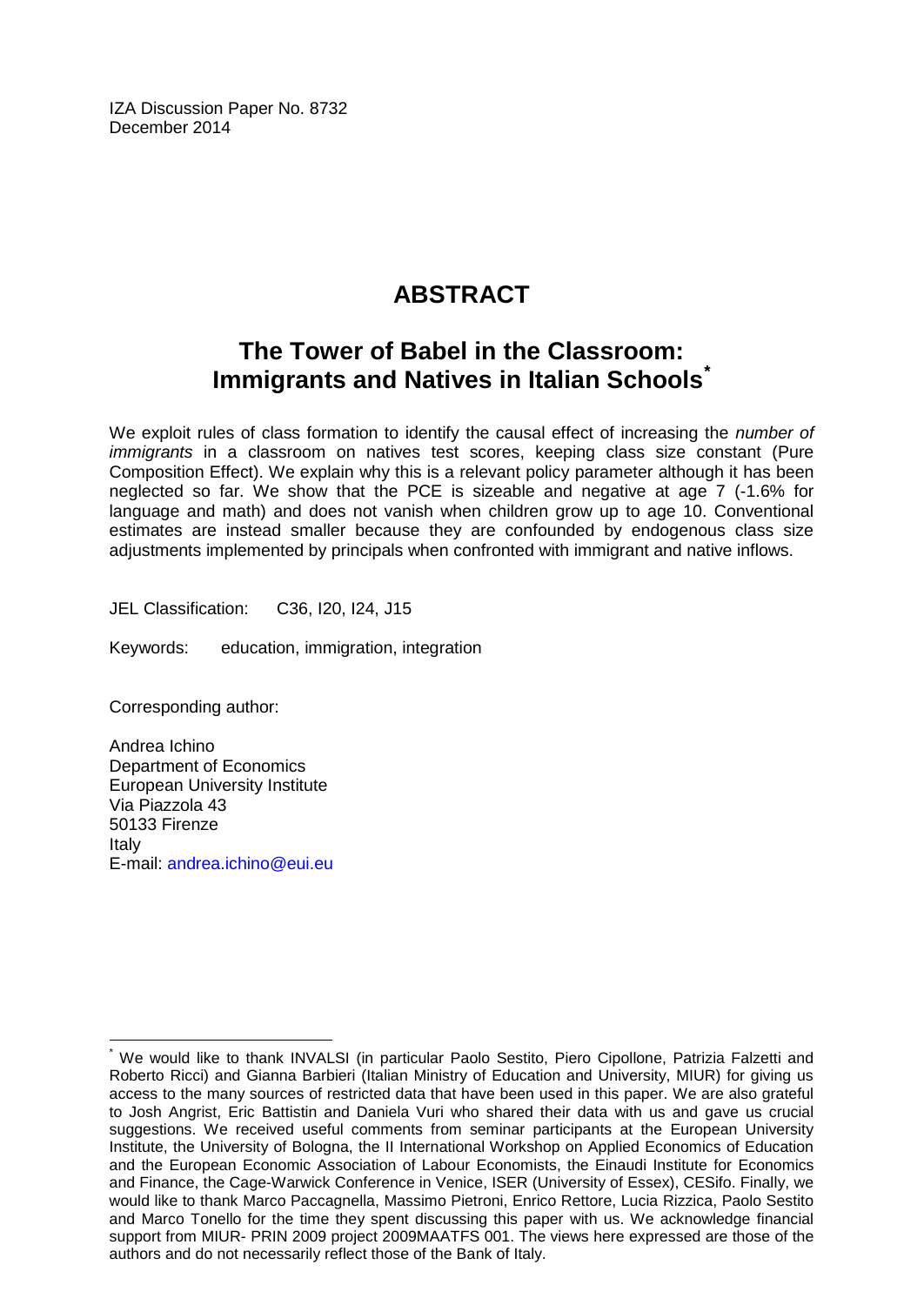IZA Discussion Paper No. 8732 December 2014

### **ABSTRACT**

### **The Tower of Babel in the Classroom: Immigrants and Natives in Italian Schools[\\*](#page-1-0)**

We exploit rules of class formation to identify the causal effect of increasing the *number of immigrants* in a classroom on natives test scores, keeping class size constant (Pure Composition Effect). We explain why this is a relevant policy parameter although it has been neglected so far. We show that the PCE is sizeable and negative at age 7 (-1.6% for language and math) and does not vanish when children grow up to age 10. Conventional estimates are instead smaller because they are confounded by endogenous class size adjustments implemented by principals when confronted with immigrant and native inflows.

JEL Classification: C36, I20, I24, J15

Keywords: education, immigration, integration

Corresponding author:

Andrea Ichino Department of Economics European University Institute Via Piazzola 43 50133 Firenze Italy E-mail: [andrea.ichino@eui.eu](mailto:andrea.ichino@eui.eu)

We would like to thank INVALSI (in particular Paolo Sestito, Piero Cipollone, Patrizia Falzetti and Roberto Ricci) and Gianna Barbieri (Italian Ministry of Education and University, MIUR) for giving us access to the many sources of restricted data that have been used in this paper. We are also grateful to Josh Angrist, Eric Battistin and Daniela Vuri who shared their data with us and gave us crucial suggestions. We received useful comments from seminar participants at the European University Institute, the University of Bologna, the II International Workshop on Applied Economics of Education and the European Economic Association of Labour Economists, the Einaudi Institute for Economics and Finance, the Cage-Warwick Conference in Venice, ISER (University of Essex), CESifo. Finally, we would like to thank Marco Paccagnella, Massimo Pietroni, Enrico Rettore, Lucia Rizzica, Paolo Sestito and Marco Tonello for the time they spent discussing this paper with us. We acknowledge financial support from MIUR- PRIN 2009 project 2009MAATFS 001. The views here expressed are those of the authors and do not necessarily reflect those of the Bank of Italy.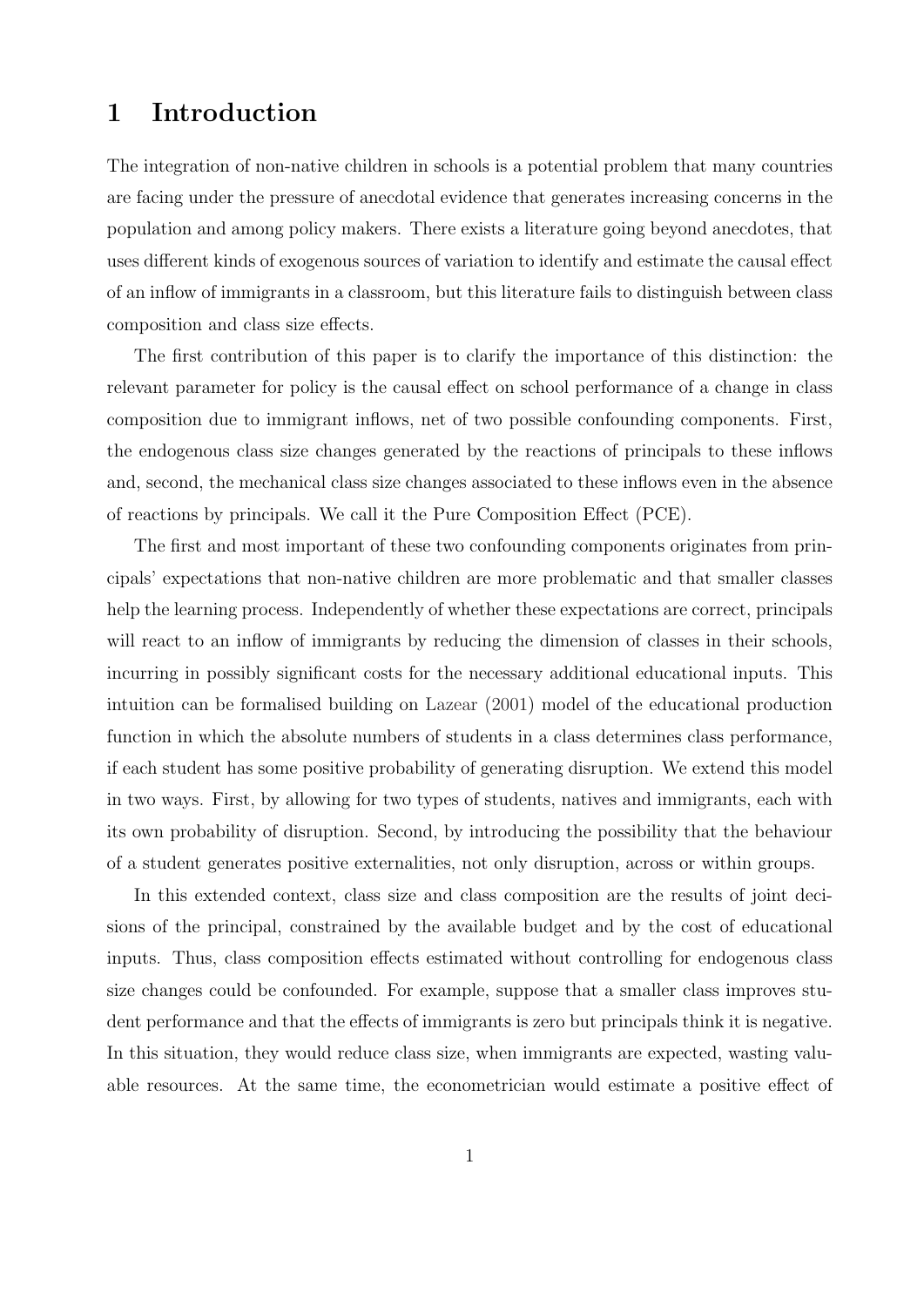### <span id="page-3-0"></span>1 Introduction

The integration of non-native children in schools is a potential problem that many countries are facing under the pressure of anecdotal evidence that generates increasing concerns in the population and among policy makers. There exists a literature going beyond anecdotes, that uses different kinds of exogenous sources of variation to identify and estimate the causal effect of an inflow of immigrants in a classroom, but this literature fails to distinguish between class composition and class size effects.

The first contribution of this paper is to clarify the importance of this distinction: the relevant parameter for policy is the causal effect on school performance of a change in class composition due to immigrant inflows, net of two possible confounding components. First, the endogenous class size changes generated by the reactions of principals to these inflows and, second, the mechanical class size changes associated to these inflows even in the absence of reactions by principals. We call it the Pure Composition Effect (PCE).

The first and most important of these two confounding components originates from principals' expectations that non-native children are more problematic and that smaller classes help the learning process. Independently of whether these expectations are correct, principals will react to an inflow of immigrants by reducing the dimension of classes in their schools, incurring in possibly significant costs for the necessary additional educational inputs. This intuition can be formalised building on [Lazear](#page-22-0) [\(2001\)](#page-22-0) model of the educational production function in which the absolute numbers of students in a class determines class performance, if each student has some positive probability of generating disruption. We extend this model in two ways. First, by allowing for two types of students, natives and immigrants, each with its own probability of disruption. Second, by introducing the possibility that the behaviour of a student generates positive externalities, not only disruption, across or within groups.

In this extended context, class size and class composition are the results of joint decisions of the principal, constrained by the available budget and by the cost of educational inputs. Thus, class composition effects estimated without controlling for endogenous class size changes could be confounded. For example, suppose that a smaller class improves student performance and that the effects of immigrants is zero but principals think it is negative. In this situation, they would reduce class size, when immigrants are expected, wasting valuable resources. At the same time, the econometrician would estimate a positive effect of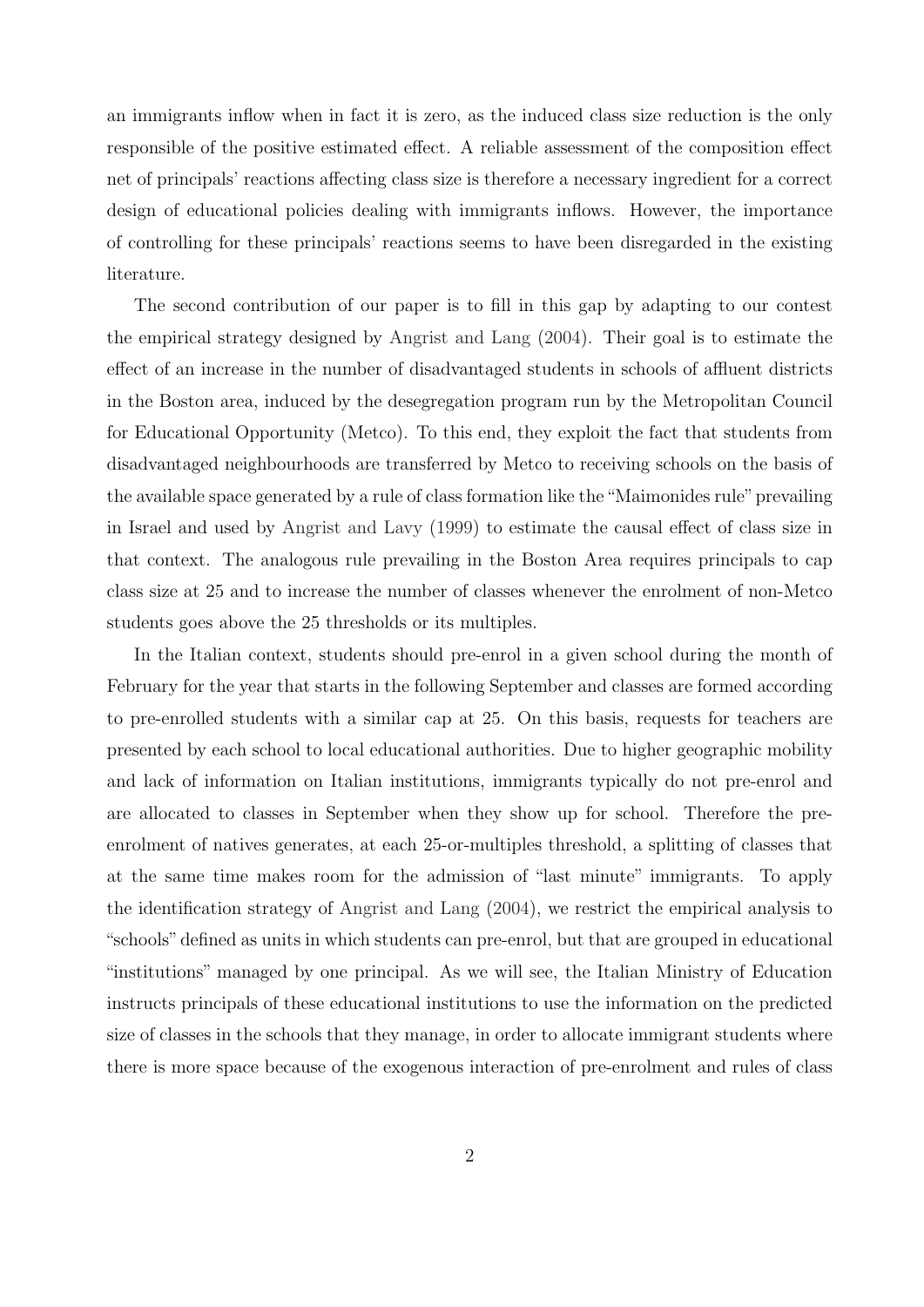an immigrants inflow when in fact it is zero, as the induced class size reduction is the only responsible of the positive estimated effect. A reliable assessment of the composition effect net of principals' reactions affecting class size is therefore a necessary ingredient for a correct design of educational policies dealing with immigrants inflows. However, the importance of controlling for these principals' reactions seems to have been disregarded in the existing literature.

The second contribution of our paper is to fill in this gap by adapting to our contest the empirical strategy designed by [Angrist and Lang](#page-22-1) [\(2004\)](#page-22-1). Their goal is to estimate the effect of an increase in the number of disadvantaged students in schools of affluent districts in the Boston area, induced by the desegregation program run by the Metropolitan Council for Educational Opportunity (Metco). To this end, they exploit the fact that students from disadvantaged neighbourhoods are transferred by Metco to receiving schools on the basis of the available space generated by a rule of class formation like the "Maimonides rule" prevailing in Israel and used by [Angrist and Lavy](#page-22-2) [\(1999\)](#page-22-2) to estimate the causal effect of class size in that context. The analogous rule prevailing in the Boston Area requires principals to cap class size at 25 and to increase the number of classes whenever the enrolment of non-Metco students goes above the 25 thresholds or its multiples.

In the Italian context, students should pre-enrol in a given school during the month of February for the year that starts in the following September and classes are formed according to pre-enrolled students with a similar cap at 25. On this basis, requests for teachers are presented by each school to local educational authorities. Due to higher geographic mobility and lack of information on Italian institutions, immigrants typically do not pre-enrol and are allocated to classes in September when they show up for school. Therefore the preenrolment of natives generates, at each 25-or-multiples threshold, a splitting of classes that at the same time makes room for the admission of "last minute" immigrants. To apply the identification strategy of [Angrist and Lang](#page-22-1) [\(2004\)](#page-22-1), we restrict the empirical analysis to "schools" defined as units in which students can pre-enrol, but that are grouped in educational "institutions" managed by one principal. As we will see, the Italian Ministry of Education instructs principals of these educational institutions to use the information on the predicted size of classes in the schools that they manage, in order to allocate immigrant students where there is more space because of the exogenous interaction of pre-enrolment and rules of class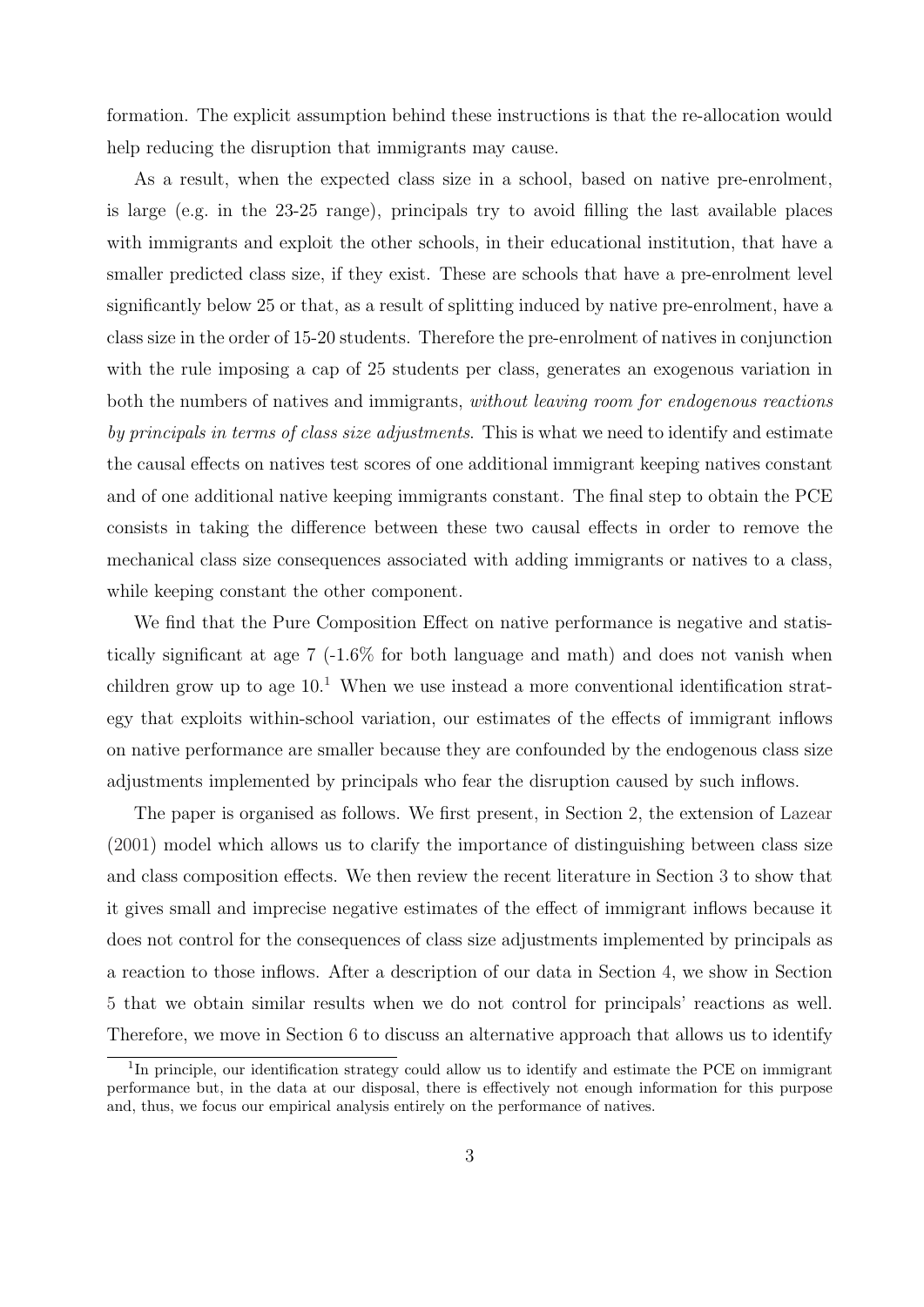formation. The explicit assumption behind these instructions is that the re-allocation would help reducing the disruption that immigrants may cause.

As a result, when the expected class size in a school, based on native pre-enrolment, is large (e.g. in the 23-25 range), principals try to avoid filling the last available places with immigrants and exploit the other schools, in their educational institution, that have a smaller predicted class size, if they exist. These are schools that have a pre-enrolment level significantly below 25 or that, as a result of splitting induced by native pre-enrolment, have a class size in the order of 15-20 students. Therefore the pre-enrolment of natives in conjunction with the rule imposing a cap of 25 students per class, generates an exogenous variation in both the numbers of natives and immigrants, without leaving room for endogenous reactions by principals in terms of class size adjustments. This is what we need to identify and estimate the causal effects on natives test scores of one additional immigrant keeping natives constant and of one additional native keeping immigrants constant. The final step to obtain the PCE consists in taking the difference between these two causal effects in order to remove the mechanical class size consequences associated with adding immigrants or natives to a class, while keeping constant the other component.

We find that the Pure Composition Effect on native performance is negative and statistically significant at age  $7$  (-1.6% for both language and math) and does not vanish when children grow up to age  $10<sup>1</sup>$  $10<sup>1</sup>$  When we use instead a more conventional identification strategy that exploits within-school variation, our estimates of the effects of immigrant inflows on native performance are smaller because they are confounded by the endogenous class size adjustments implemented by principals who fear the disruption caused by such inflows.

The paper is organised as follows. We first present, in Section [2,](#page-6-0) the extension of [Lazear](#page-22-0) [\(2001\)](#page-22-0) model which allows us to clarify the importance of distinguishing between class size and class composition effects. We then review the recent literature in Section [3](#page-9-0) to show that it gives small and imprecise negative estimates of the effect of immigrant inflows because it does not control for the consequences of class size adjustments implemented by principals as a reaction to those inflows. After a description of our data in Section [4,](#page-11-0) we show in Section [5](#page-13-0) that we obtain similar results when we do not control for principals' reactions as well. Therefore, we move in Section [6](#page-14-0) to discuss an alternative approach that allows us to identify

<sup>&</sup>lt;sup>1</sup>In principle, our identification strategy could allow us to identify and estimate the PCE on immigrant performance but, in the data at our disposal, there is effectively not enough information for this purpose and, thus, we focus our empirical analysis entirely on the performance of natives.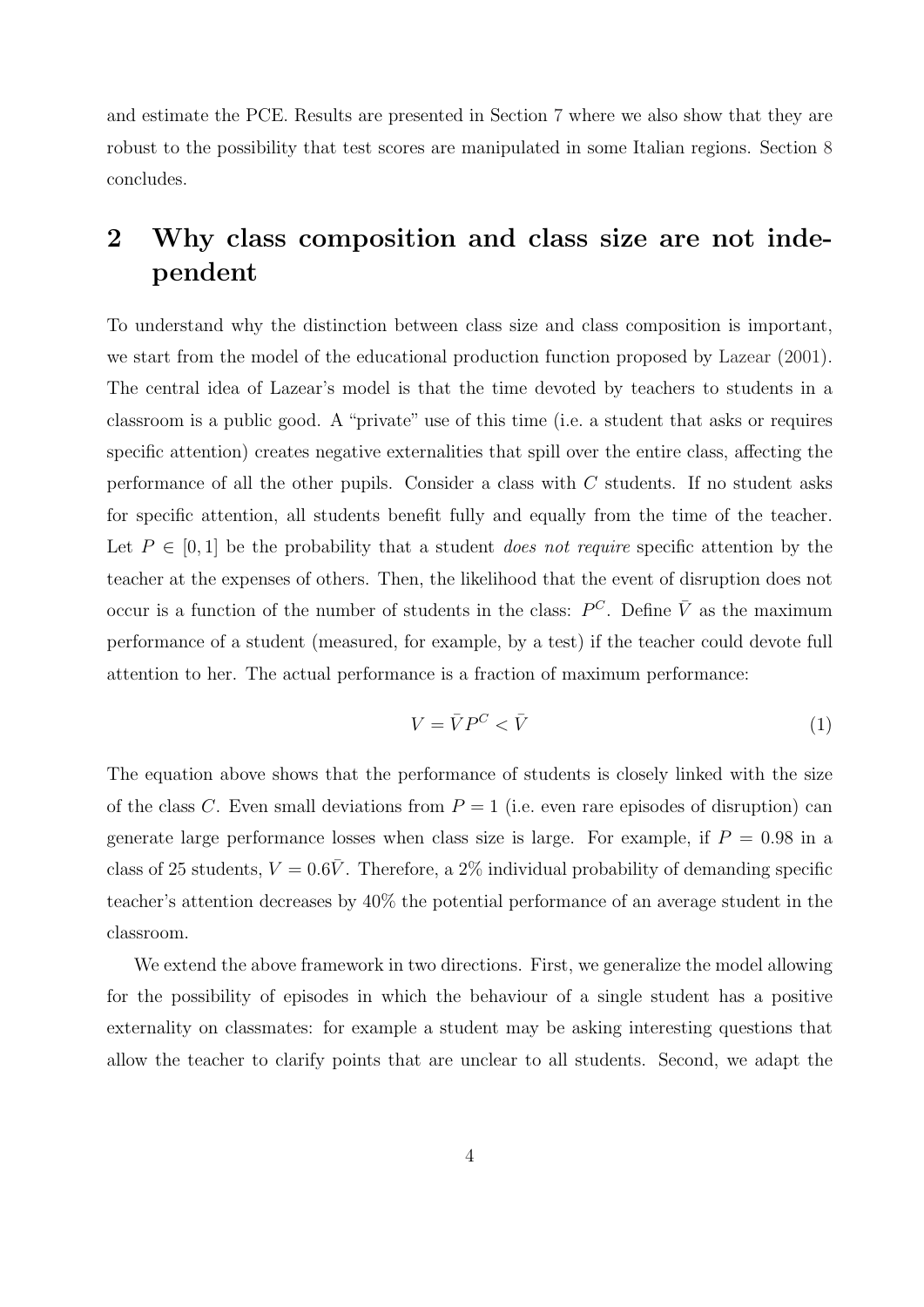and estimate the PCE. Results are presented in Section [7](#page-17-0) where we also show that they are robust to the possibility that test scores are manipulated in some Italian regions. Section [8](#page-20-0) concludes.

# <span id="page-6-0"></span>2 Why class composition and class size are not independent

To understand why the distinction between class size and class composition is important, we start from the model of the educational production function proposed by [Lazear](#page-22-0) [\(2001\)](#page-22-0). The central idea of Lazear's model is that the time devoted by teachers to students in a classroom is a public good. A "private" use of this time (i.e. a student that asks or requires specific attention) creates negative externalities that spill over the entire class, affecting the performance of all the other pupils. Consider a class with C students. If no student asks for specific attention, all students benefit fully and equally from the time of the teacher. Let  $P \in [0,1]$  be the probability that a student *does not require* specific attention by the teacher at the expenses of others. Then, the likelihood that the event of disruption does not occur is a function of the number of students in the class:  $P^C$ . Define  $\overline{V}$  as the maximum performance of a student (measured, for example, by a test) if the teacher could devote full attention to her. The actual performance is a fraction of maximum performance:

$$
V = \bar{V}P^C < \bar{V} \tag{1}
$$

The equation above shows that the performance of students is closely linked with the size of the class C. Even small deviations from  $P = 1$  (i.e. even rare episodes of disruption) can generate large performance losses when class size is large. For example, if  $P = 0.98$  in a class of 25 students,  $V = 0.6\overline{V}$ . Therefore, a 2% individual probability of demanding specific teacher's attention decreases by 40% the potential performance of an average student in the classroom.

We extend the above framework in two directions. First, we generalize the model allowing for the possibility of episodes in which the behaviour of a single student has a positive externality on classmates: for example a student may be asking interesting questions that allow the teacher to clarify points that are unclear to all students. Second, we adapt the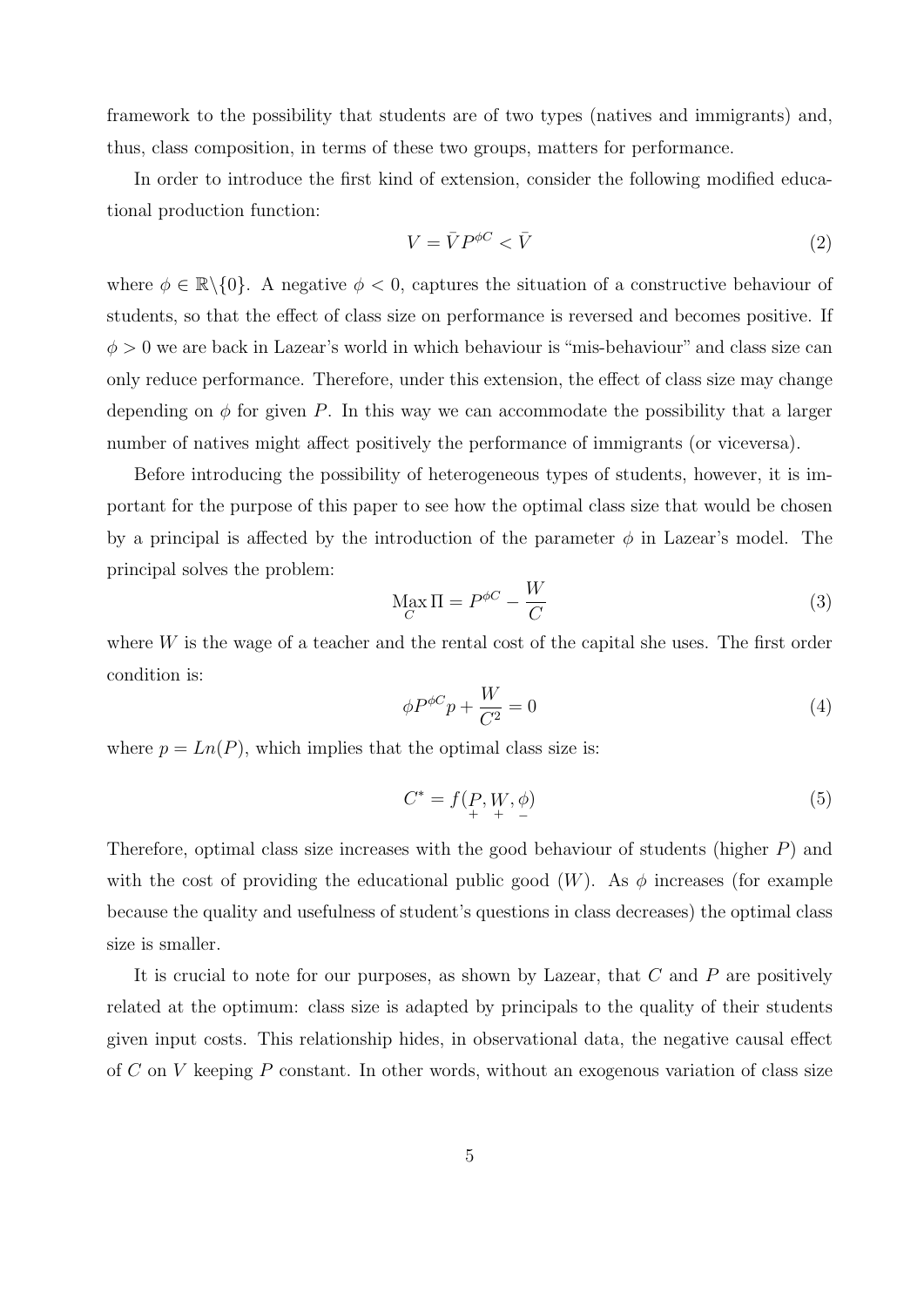framework to the possibility that students are of two types (natives and immigrants) and, thus, class composition, in terms of these two groups, matters for performance.

In order to introduce the first kind of extension, consider the following modified educational production function:

$$
V = \bar{V}P^{\phi C} < \bar{V} \tag{2}
$$

where  $\phi \in \mathbb{R} \setminus \{0\}$ . A negative  $\phi < 0$ , captures the situation of a constructive behaviour of students, so that the effect of class size on performance is reversed and becomes positive. If  $\phi > 0$  we are back in Lazear's world in which behaviour is "mis-behaviour" and class size can only reduce performance. Therefore, under this extension, the effect of class size may change depending on  $\phi$  for given P. In this way we can accommodate the possibility that a larger number of natives might affect positively the performance of immigrants (or viceversa).

Before introducing the possibility of heterogeneous types of students, however, it is important for the purpose of this paper to see how the optimal class size that would be chosen by a principal is affected by the introduction of the parameter  $\phi$  in Lazear's model. The principal solves the problem:

$$
\max_C \Pi = P^{\phi C} - \frac{W}{C}
$$
\n(3)

where W is the wage of a teacher and the rental cost of the capital she uses. The first order condition is:

$$
\phi P^{\phi C} p + \frac{W}{C^2} = 0 \tag{4}
$$

where  $p = Ln(P)$ , which implies that the optimal class size is:

$$
C^* = f(P, W, \phi) \tag{5}
$$

Therefore, optimal class size increases with the good behaviour of students (higher P) and with the cost of providing the educational public good  $(W)$ . As  $\phi$  increases (for example because the quality and usefulness of student's questions in class decreases) the optimal class size is smaller.

It is crucial to note for our purposes, as shown by Lazear, that  $C$  and  $P$  are positively related at the optimum: class size is adapted by principals to the quality of their students given input costs. This relationship hides, in observational data, the negative causal effect of C on V keeping P constant. In other words, without an exogenous variation of class size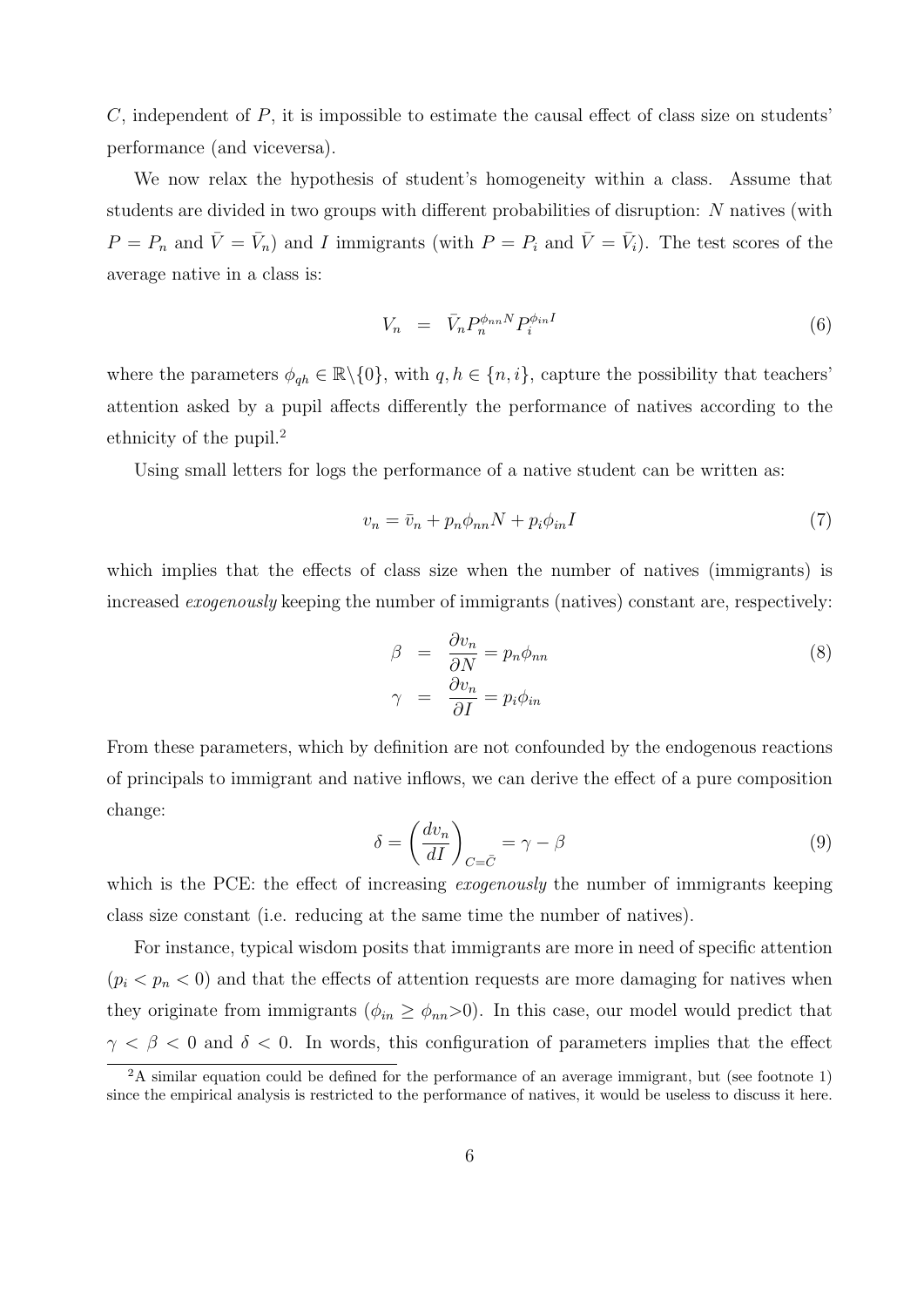$C$ , independent of  $P$ , it is impossible to estimate the causal effect of class size on students' performance (and viceversa).

We now relax the hypothesis of student's homogeneity within a class. Assume that students are divided in two groups with different probabilities of disruption: N natives (with  $P = P_n$  and  $\bar{V} = \bar{V}_n$  and I immigrants (with  $P = P_i$  and  $\bar{V} = \bar{V}_i$ ). The test scores of the average native in a class is:

<span id="page-8-0"></span>
$$
V_n = \bar{V}_n P_n^{\phi_{nn} N} P_i^{\phi_{in} I} \tag{6}
$$

where the parameters  $\phi_{qh} \in \mathbb{R} \setminus \{0\}$ , with  $q, h \in \{n, i\}$ , capture the possibility that teachers' attention asked by a pupil affects differently the performance of natives according to the ethnicity of the pupil.[2](#page--1-0)

Using small letters for logs the performance of a native student can be written as:

$$
v_n = \bar{v}_n + p_n \phi_{nn} N + p_i \phi_{in} I \tag{7}
$$

which implies that the effects of class size when the number of natives (immigrants) is increased exogenously keeping the number of immigrants (natives) constant are, respectively:

$$
\beta = \frac{\partial v_n}{\partial N} = p_n \phi_{nn}
$$
  
\n
$$
\gamma = \frac{\partial v_n}{\partial I} = p_i \phi_{in}
$$
\n(8)

From these parameters, which by definition are not confounded by the endogenous reactions of principals to immigrant and native inflows, we can derive the effect of a pure composition change:

$$
\delta = \left(\frac{dv_n}{dI}\right)_{C=\bar{C}} = \gamma - \beta \tag{9}
$$

which is the PCE: the effect of increasing *exogenously* the number of immigrants keeping class size constant (i.e. reducing at the same time the number of natives).

For instance, typical wisdom posits that immigrants are more in need of specific attention  $(p_i < p_n < 0)$  and that the effects of attention requests are more damaging for natives when they originate from immigrants ( $\phi_{in} \geq \phi_{nn} > 0$ ). In this case, our model would predict that  $\gamma < \beta < 0$  and  $\delta < 0$ . In words, this configuration of parameters implies that the effect

 ${}^{2}$ A similar equation could be defined for the performance of an average immigrant, but (see footnote [1\)](#page-3-0) since the empirical analysis is restricted to the performance of natives, it would be useless to discuss it here.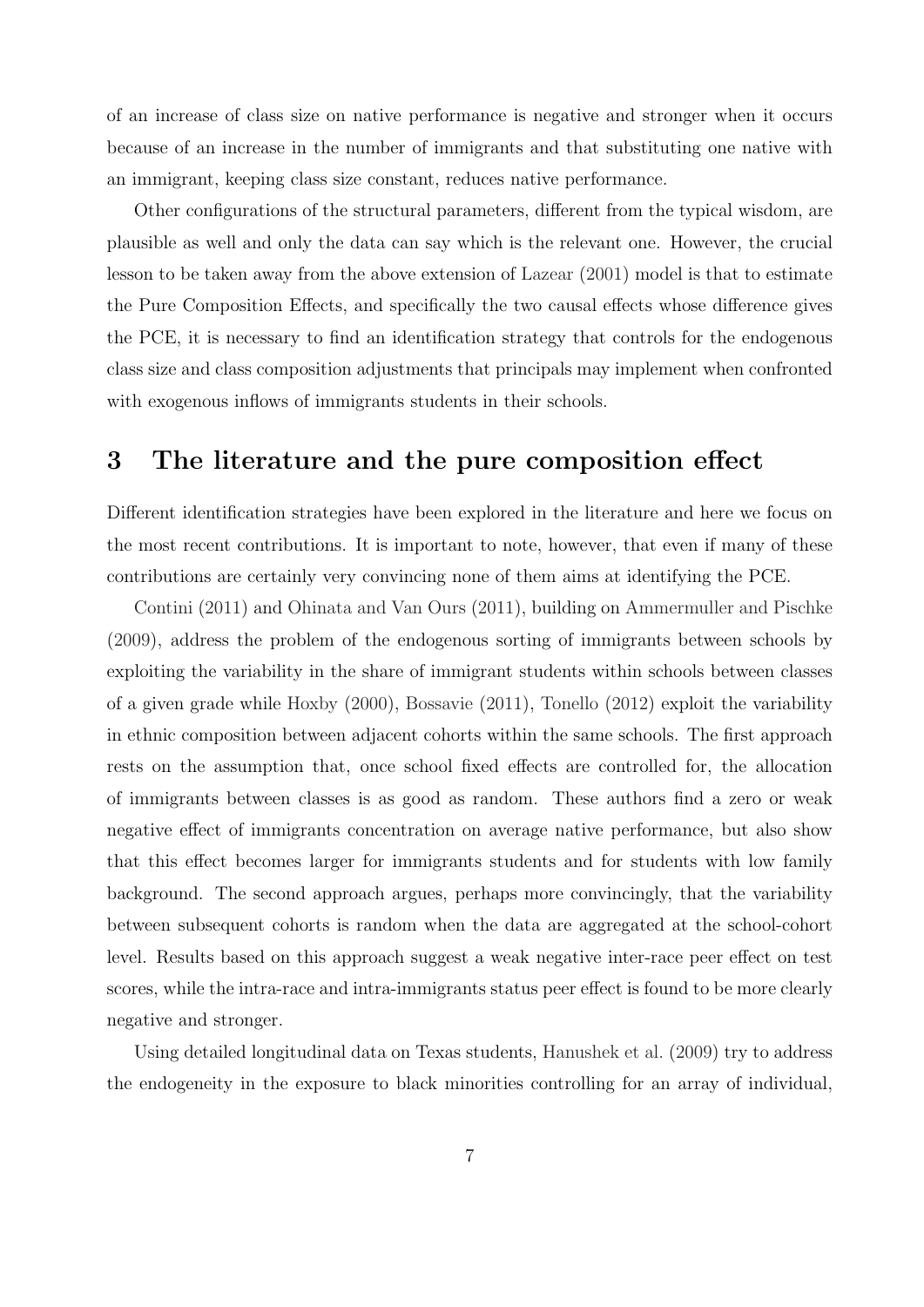of an increase of class size on native performance is negative and stronger when it occurs because of an increase in the number of immigrants and that substituting one native with an immigrant, keeping class size constant, reduces native performance.

Other configurations of the structural parameters, different from the typical wisdom, are plausible as well and only the data can say which is the relevant one. However, the crucial lesson to be taken away from the above extension of [Lazear](#page-22-0) [\(2001\)](#page-22-0) model is that to estimate the Pure Composition Effects, and specifically the two causal effects whose difference gives the PCE, it is necessary to find an identification strategy that controls for the endogenous class size and class composition adjustments that principals may implement when confronted with exogenous inflows of immigrants students in their schools.

#### <span id="page-9-0"></span>3 The literature and the pure composition effect

Different identification strategies have been explored in the literature and here we focus on the most recent contributions. It is important to note, however, that even if many of these contributions are certainly very convincing none of them aims at identifying the PCE.

[Contini](#page-22-3) [\(2011\)](#page-22-3) and [Ohinata and Van Ours](#page-23-0) [\(2011\)](#page-23-0), building on [Ammermuller and Pischke](#page-22-4) [\(2009\)](#page-22-4), address the problem of the endogenous sorting of immigrants between schools by exploiting the variability in the share of immigrant students within schools between classes of a given grade while [Hoxby](#page-22-5) [\(2000\)](#page-22-5), [Bossavie](#page-22-6) [\(2011\)](#page-22-6), [Tonello](#page-23-1) [\(2012\)](#page-23-1) exploit the variability in ethnic composition between adjacent cohorts within the same schools. The first approach rests on the assumption that, once school fixed effects are controlled for, the allocation of immigrants between classes is as good as random. These authors find a zero or weak negative effect of immigrants concentration on average native performance, but also show that this effect becomes larger for immigrants students and for students with low family background. The second approach argues, perhaps more convincingly, that the variability between subsequent cohorts is random when the data are aggregated at the school-cohort level. Results based on this approach suggest a weak negative inter-race peer effect on test scores, while the intra-race and intra-immigrants status peer effect is found to be more clearly negative and stronger.

Using detailed longitudinal data on Texas students, [Hanushek et al.](#page-22-7) [\(2009\)](#page-22-7) try to address the endogeneity in the exposure to black minorities controlling for an array of individual,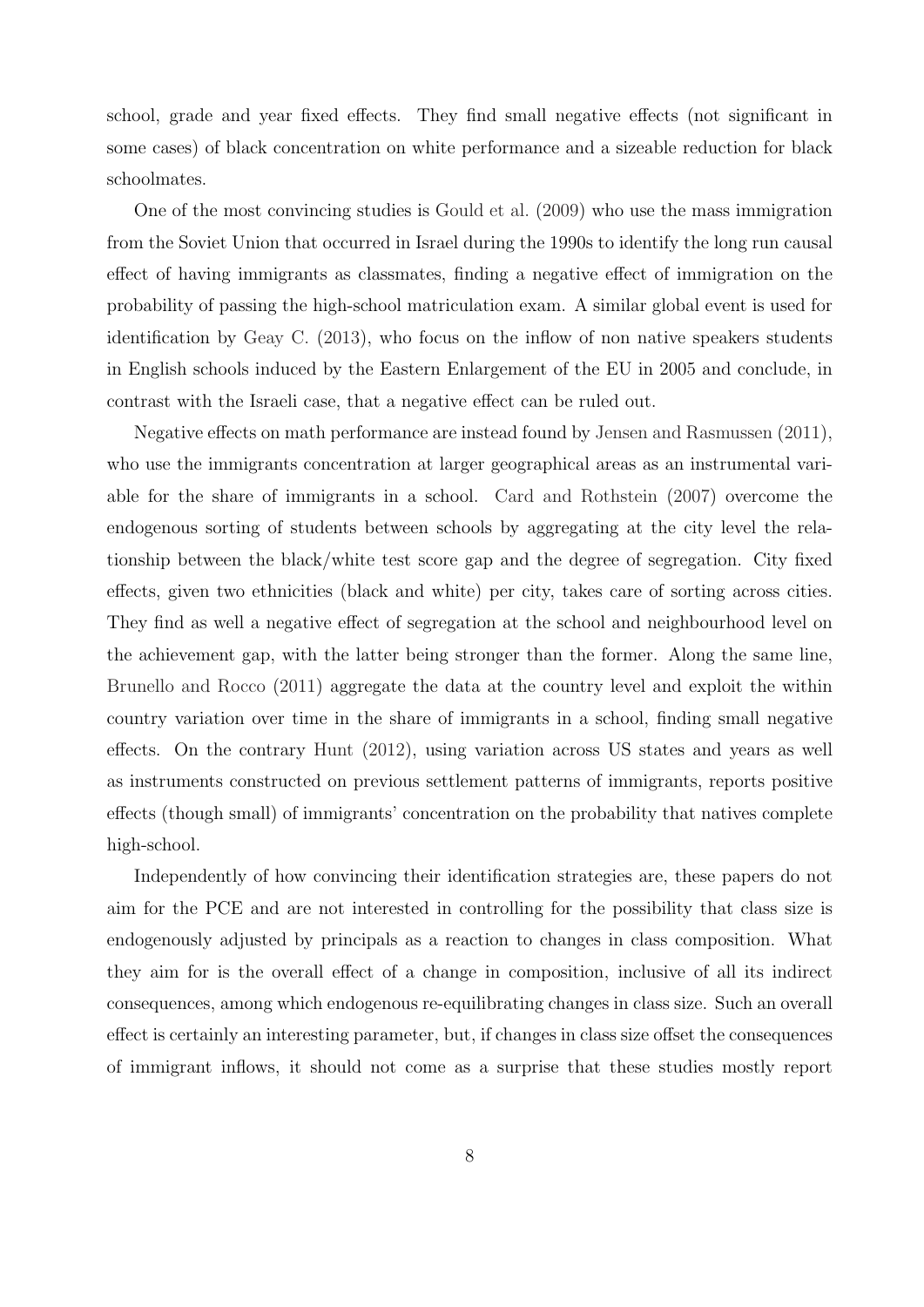school, grade and year fixed effects. They find small negative effects (not significant in some cases) of black concentration on white performance and a sizeable reduction for black schoolmates.

One of the most convincing studies is [Gould et al.](#page-22-8) [\(2009\)](#page-22-8) who use the mass immigration from the Soviet Union that occurred in Israel during the 1990s to identify the long run causal effect of having immigrants as classmates, finding a negative effect of immigration on the probability of passing the high-school matriculation exam. A similar global event is used for identification by [Geay C.](#page-22-9) [\(2013\)](#page-22-9), who focus on the inflow of non native speakers students in English schools induced by the Eastern Enlargement of the EU in 2005 and conclude, in contrast with the Israeli case, that a negative effect can be ruled out.

Negative effects on math performance are instead found by [Jensen and Rasmussen](#page-22-10) [\(2011\)](#page-22-10), who use the immigrants concentration at larger geographical areas as an instrumental variable for the share of immigrants in a school. [Card and Rothstein](#page-22-11) [\(2007\)](#page-22-11) overcome the endogenous sorting of students between schools by aggregating at the city level the relationship between the black/white test score gap and the degree of segregation. City fixed effects, given two ethnicities (black and white) per city, takes care of sorting across cities. They find as well a negative effect of segregation at the school and neighbourhood level on the achievement gap, with the latter being stronger than the former. Along the same line, [Brunello and Rocco](#page-22-12) [\(2011\)](#page-22-12) aggregate the data at the country level and exploit the within country variation over time in the share of immigrants in a school, finding small negative effects. On the contrary [Hunt](#page-22-13) [\(2012\)](#page-22-13), using variation across US states and years as well as instruments constructed on previous settlement patterns of immigrants, reports positive effects (though small) of immigrants' concentration on the probability that natives complete high-school.

Independently of how convincing their identification strategies are, these papers do not aim for the PCE and are not interested in controlling for the possibility that class size is endogenously adjusted by principals as a reaction to changes in class composition. What they aim for is the overall effect of a change in composition, inclusive of all its indirect consequences, among which endogenous re-equilibrating changes in class size. Such an overall effect is certainly an interesting parameter, but, if changes in class size offset the consequences of immigrant inflows, it should not come as a surprise that these studies mostly report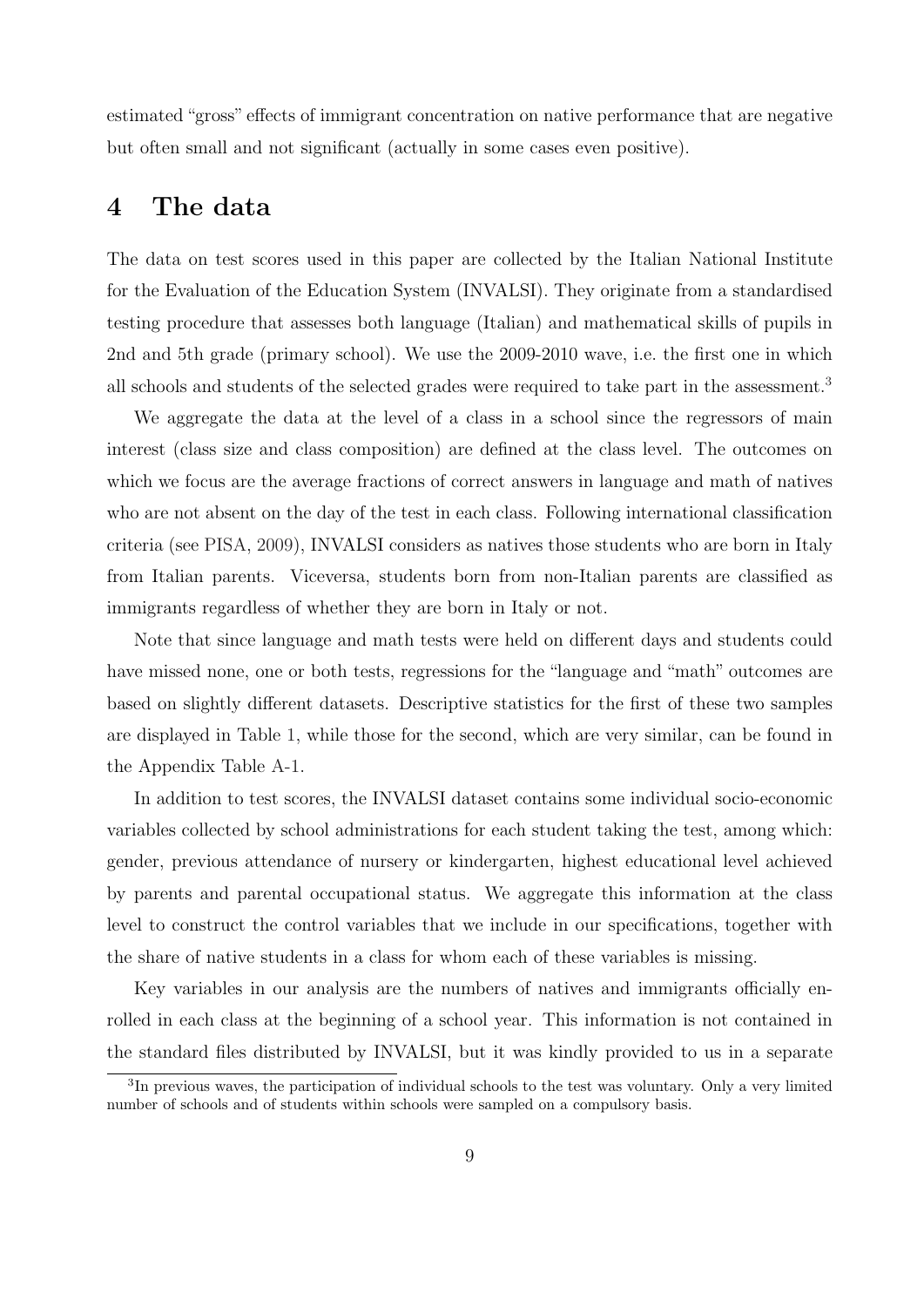estimated "gross" effects of immigrant concentration on native performance that are negative but often small and not significant (actually in some cases even positive).

#### <span id="page-11-0"></span>4 The data

The data on test scores used in this paper are collected by the Italian National Institute for the Evaluation of the Education System (INVALSI). They originate from a standardised testing procedure that assesses both language (Italian) and mathematical skills of pupils in 2nd and 5th grade (primary school). We use the 2009-2010 wave, i.e. the first one in which all schools and students of the selected grades were required to take part in the assessment.<sup>[3](#page--1-0)</sup>

We aggregate the data at the level of a class in a school since the regressors of main interest (class size and class composition) are defined at the class level. The outcomes on which we focus are the average fractions of correct answers in language and math of natives who are not absent on the day of the test in each class. Following international classification criteria (see [PISA,](#page-23-2) [2009\)](#page-23-2), INVALSI considers as natives those students who are born in Italy from Italian parents. Viceversa, students born from non-Italian parents are classified as immigrants regardless of whether they are born in Italy or not.

Note that since language and math tests were held on different days and students could have missed none, one or both tests, regressions for the "language and "math" outcomes are based on slightly different datasets. Descriptive statistics for the first of these two samples are displayed in Table [1,](#page-24-0) while those for the second, which are very similar, can be found in the Appendix Table [A-1.](#page-24-0)

In addition to test scores, the INVALSI dataset contains some individual socio-economic variables collected by school administrations for each student taking the test, among which: gender, previous attendance of nursery or kindergarten, highest educational level achieved by parents and parental occupational status. We aggregate this information at the class level to construct the control variables that we include in our specifications, together with the share of native students in a class for whom each of these variables is missing.

Key variables in our analysis are the numbers of natives and immigrants officially enrolled in each class at the beginning of a school year. This information is not contained in the standard files distributed by INVALSI, but it was kindly provided to us in a separate

<sup>&</sup>lt;sup>3</sup>In previous waves, the participation of individual schools to the test was voluntary. Only a very limited number of schools and of students within schools were sampled on a compulsory basis.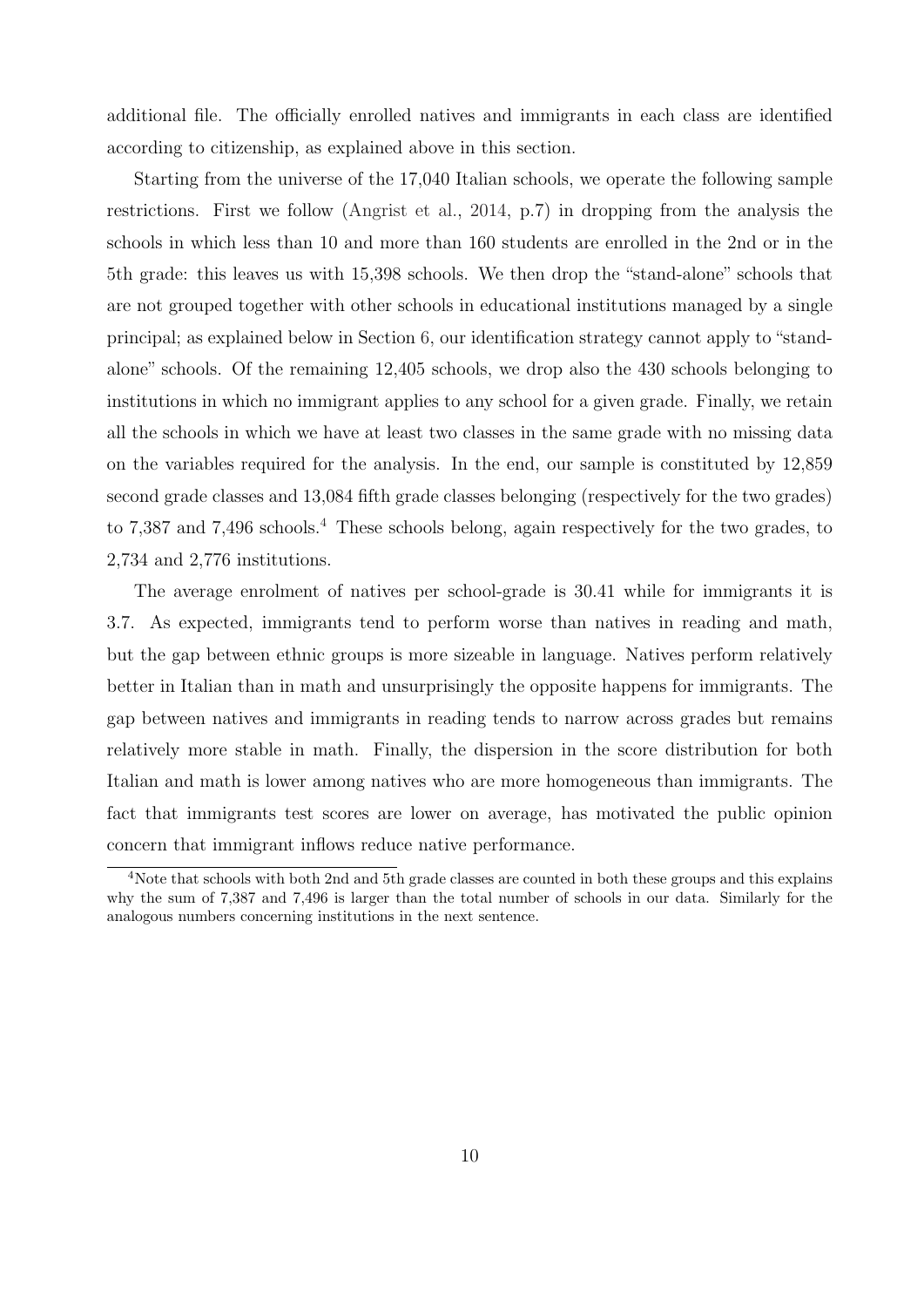additional file. The officially enrolled natives and immigrants in each class are identified according to citizenship, as explained above in this section.

Starting from the universe of the 17,040 Italian schools, we operate the following sample restrictions. First we follow [\(Angrist et al.,](#page-22-14) [2014,](#page-22-14) p.7) in dropping from the analysis the schools in which less than 10 and more than 160 students are enrolled in the 2nd or in the 5th grade: this leaves us with 15,398 schools. We then drop the "stand-alone" schools that are not grouped together with other schools in educational institutions managed by a single principal; as explained below in Section [6,](#page-14-0) our identification strategy cannot apply to "standalone" schools. Of the remaining 12,405 schools, we drop also the 430 schools belonging to institutions in which no immigrant applies to any school for a given grade. Finally, we retain all the schools in which we have at least two classes in the same grade with no missing data on the variables required for the analysis. In the end, our sample is constituted by 12,859 second grade classes and 13,084 fifth grade classes belonging (respectively for the two grades) to 7,387 and 7,[4](#page--1-0)96 schools.<sup>4</sup> These schools belong, again respectively for the two grades, to 2,734 and 2,776 institutions.

The average enrolment of natives per school-grade is 30.41 while for immigrants it is 3.7. As expected, immigrants tend to perform worse than natives in reading and math, but the gap between ethnic groups is more sizeable in language. Natives perform relatively better in Italian than in math and unsurprisingly the opposite happens for immigrants. The gap between natives and immigrants in reading tends to narrow across grades but remains relatively more stable in math. Finally, the dispersion in the score distribution for both Italian and math is lower among natives who are more homogeneous than immigrants. The fact that immigrants test scores are lower on average, has motivated the public opinion concern that immigrant inflows reduce native performance.

<sup>4</sup>Note that schools with both 2nd and 5th grade classes are counted in both these groups and this explains why the sum of 7,387 and 7,496 is larger than the total number of schools in our data. Similarly for the analogous numbers concerning institutions in the next sentence.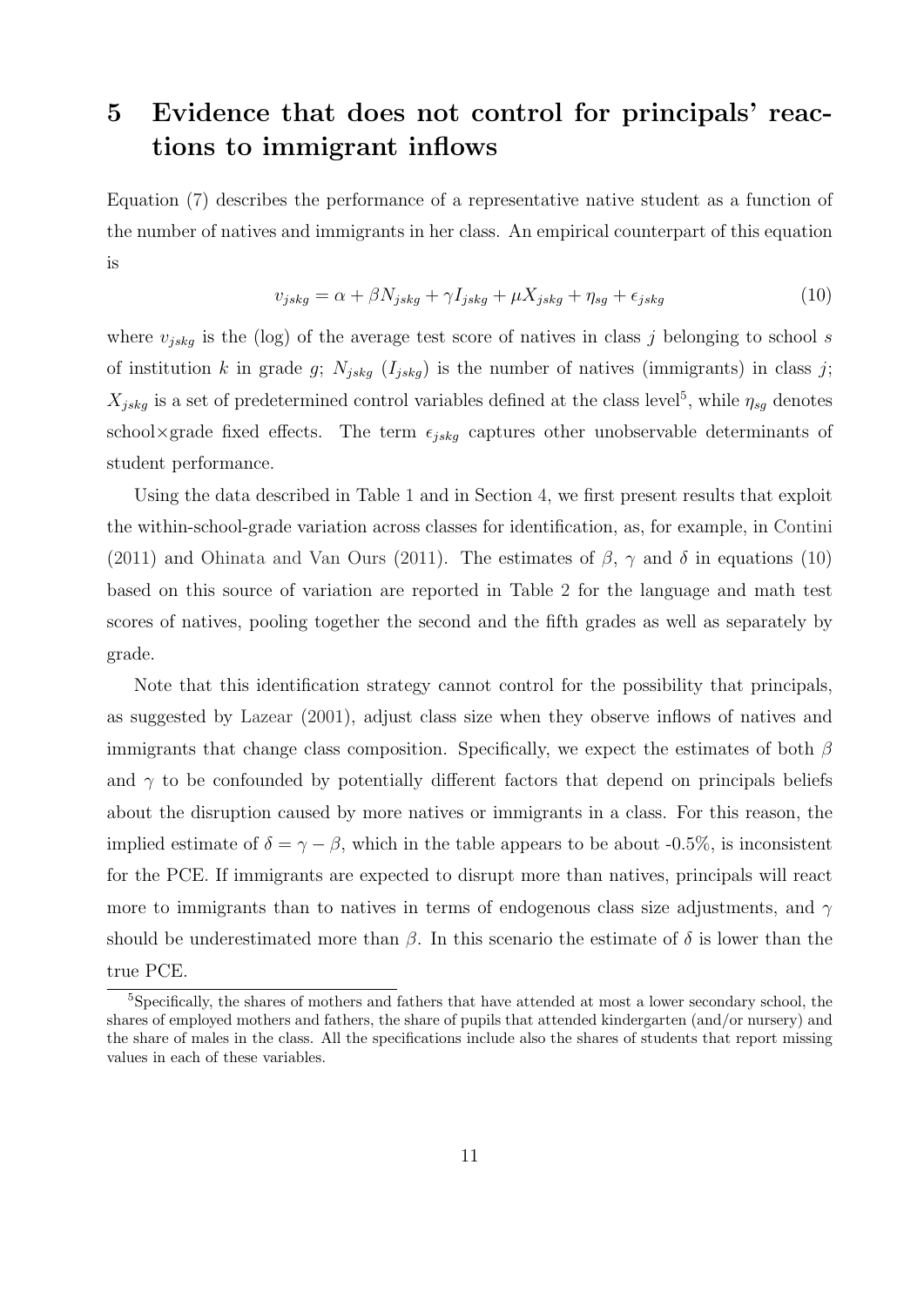# <span id="page-13-0"></span>5 Evidence that does not control for principals' reactions to immigrant inflows

<span id="page-13-1"></span>Equation [\(7\)](#page-8-0) describes the performance of a representative native student as a function of the number of natives and immigrants in her class. An empirical counterpart of this equation is

$$
v_{jskg} = \alpha + \beta N_{jskg} + \gamma I_{jskg} + \mu X_{jskg} + \eta_{sg} + \epsilon_{jskg}
$$
\n
$$
\tag{10}
$$

where  $v_{jskq}$  is the (log) of the average test score of natives in class j belonging to school s of institution k in grade g;  $N_{jskg}$  ( $I_{jskg}$ ) is the number of natives (immigrants) in class j;  $X_{jskg}$  is a set of predetermined control variables defined at the class level<sup>[5](#page--1-0)</sup>, while  $\eta_{sg}$  denotes school×grade fixed effects. The term  $\epsilon_{jskq}$  captures other unobservable determinants of student performance.

Using the data described in Table [1](#page-24-0) and in Section [4,](#page-11-0) we first present results that exploit the within-school-grade variation across classes for identification, as, for example, in [Contini](#page-22-3) [\(2011\)](#page-23-0) and [Ohinata and Van Ours](#page-23-0) (2011). The estimates of  $\beta$ ,  $\gamma$  and  $\delta$  in equations [\(10\)](#page-13-1) based on this source of variation are reported in Table [2](#page-25-0) for the language and math test scores of natives, pooling together the second and the fifth grades as well as separately by grade.

Note that this identification strategy cannot control for the possibility that principals, as suggested by [Lazear](#page-22-0) [\(2001\)](#page-22-0), adjust class size when they observe inflows of natives and immigrants that change class composition. Specifically, we expect the estimates of both  $\beta$ and  $\gamma$  to be confounded by potentially different factors that depend on principals beliefs about the disruption caused by more natives or immigrants in a class. For this reason, the implied estimate of  $\delta = \gamma - \beta$ , which in the table appears to be about -0.5%, is inconsistent for the PCE. If immigrants are expected to disrupt more than natives, principals will react more to immigrants than to natives in terms of endogenous class size adjustments, and  $\gamma$ should be underestimated more than  $\beta$ . In this scenario the estimate of  $\delta$  is lower than the true PCE.

<sup>5</sup>Specifically, the shares of mothers and fathers that have attended at most a lower secondary school, the shares of employed mothers and fathers, the share of pupils that attended kindergarten (and/or nursery) and the share of males in the class. All the specifications include also the shares of students that report missing values in each of these variables.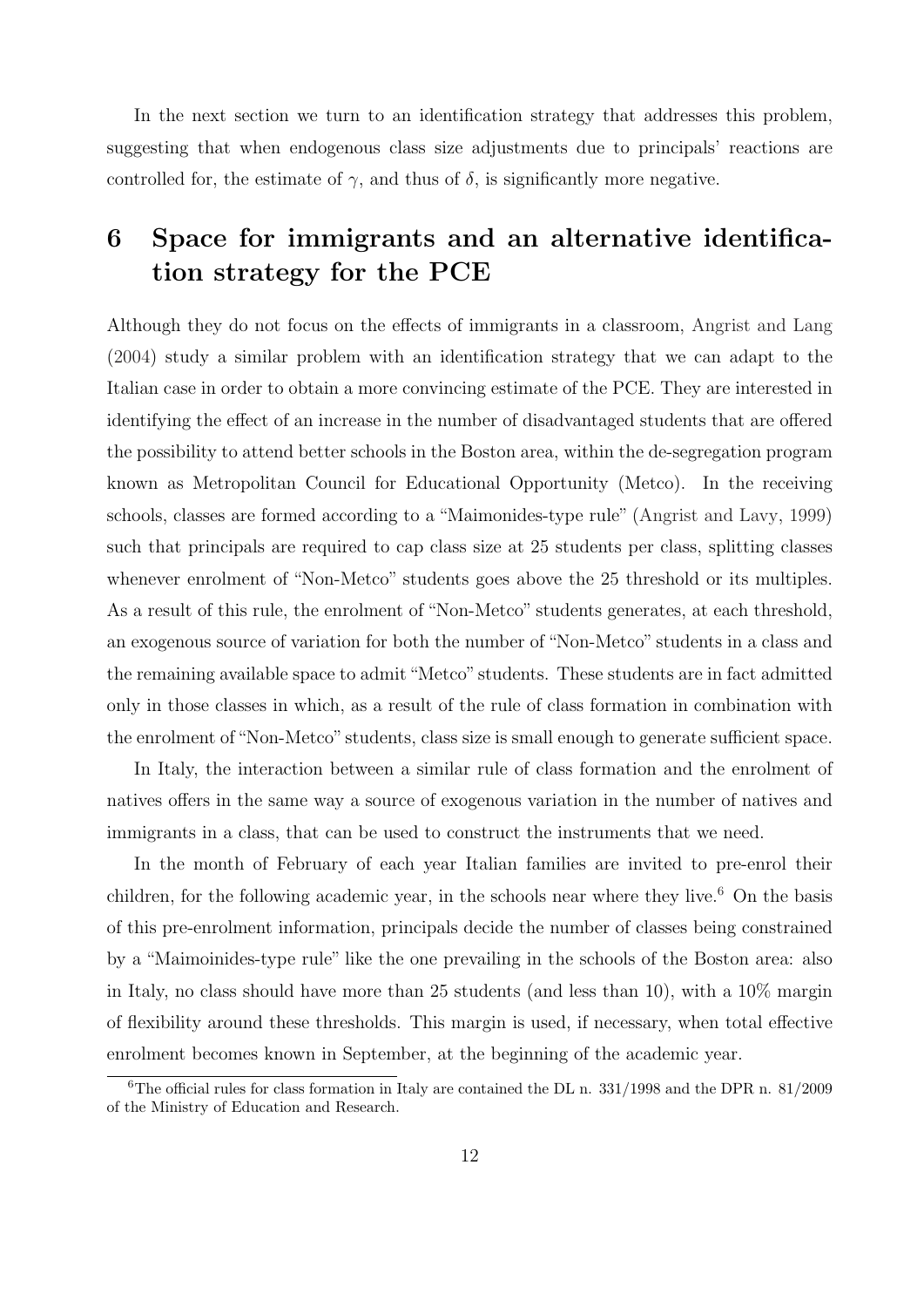In the next section we turn to an identification strategy that addresses this problem, suggesting that when endogenous class size adjustments due to principals' reactions are controlled for, the estimate of  $\gamma$ , and thus of  $\delta$ , is significantly more negative.

# <span id="page-14-0"></span>6 Space for immigrants and an alternative identification strategy for the PCE

Although they do not focus on the effects of immigrants in a classroom, [Angrist and Lang](#page-22-1) [\(2004\)](#page-22-1) study a similar problem with an identification strategy that we can adapt to the Italian case in order to obtain a more convincing estimate of the PCE. They are interested in identifying the effect of an increase in the number of disadvantaged students that are offered the possibility to attend better schools in the Boston area, within the de-segregation program known as Metropolitan Council for Educational Opportunity (Metco). In the receiving schools, classes are formed according to a "Maimonides-type rule" [\(Angrist and Lavy,](#page-22-2) [1999\)](#page-22-2) such that principals are required to cap class size at 25 students per class, splitting classes whenever enrolment of "Non-Metco" students goes above the 25 threshold or its multiples. As a result of this rule, the enrolment of "Non-Metco" students generates, at each threshold, an exogenous source of variation for both the number of "Non-Metco" students in a class and the remaining available space to admit"Metco" students. These students are in fact admitted only in those classes in which, as a result of the rule of class formation in combination with the enrolment of"Non-Metco" students, class size is small enough to generate sufficient space.

In Italy, the interaction between a similar rule of class formation and the enrolment of natives offers in the same way a source of exogenous variation in the number of natives and immigrants in a class, that can be used to construct the instruments that we need.

In the month of February of each year Italian families are invited to pre-enrol their children, for the following academic year, in the schools near where they live.<sup>[6](#page--1-0)</sup> On the basis of this pre-enrolment information, principals decide the number of classes being constrained by a "Maimoinides-type rule" like the one prevailing in the schools of the Boston area: also in Italy, no class should have more than 25 students (and less than 10), with a 10% margin of flexibility around these thresholds. This margin is used, if necessary, when total effective enrolment becomes known in September, at the beginning of the academic year.

<sup>&</sup>lt;sup>6</sup>The official rules for class formation in Italy are contained the DL n.  $331/1998$  and the DPR n.  $81/2009$ of the Ministry of Education and Research.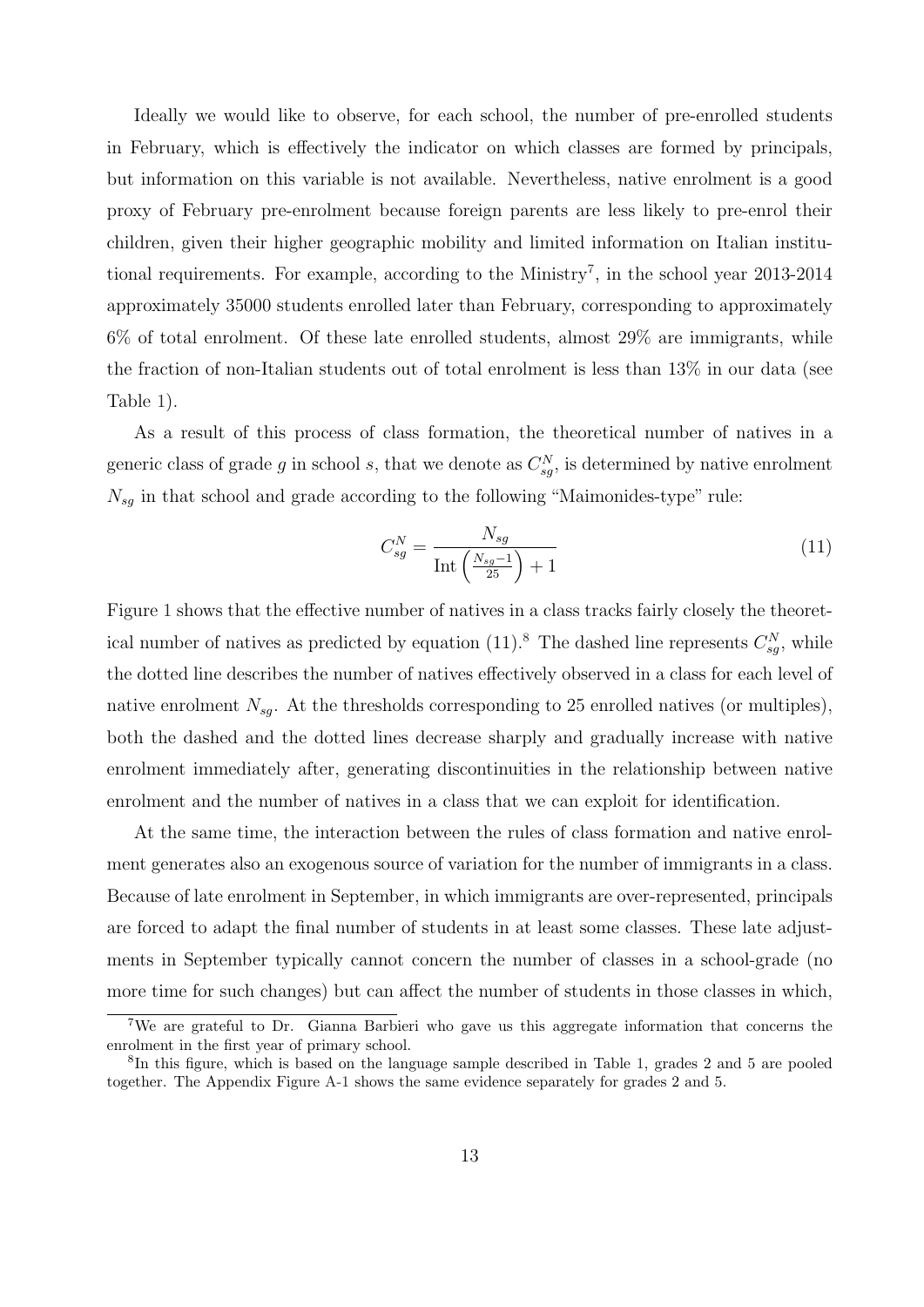Ideally we would like to observe, for each school, the number of pre-enrolled students in February, which is effectively the indicator on which classes are formed by principals, but information on this variable is not available. Nevertheless, native enrolment is a good proxy of February pre-enrolment because foreign parents are less likely to pre-enrol their children, given their higher geographic mobility and limited information on Italian institu-tional requirements. For example, according to the Ministry<sup>[7](#page--1-0)</sup>, in the school year  $2013-2014$ approximately 35000 students enrolled later than February, corresponding to approximately  $6\%$  of total enrolment. Of these late enrolled students, almost  $29\%$  are immigrants, while the fraction of non-Italian students out of total enrolment is less than 13% in our data (see Table [1\)](#page-24-0).

As a result of this process of class formation, the theoretical number of natives in a generic class of grade g in school s, that we denote as  $C_{sg}^N$ , is determined by native enrolment  $N_{sg}$  in that school and grade according to the following "Maimonides-type" rule:

<span id="page-15-1"></span><span id="page-15-0"></span>
$$
C_{sg}^N = \frac{N_{sg}}{\text{Int}\left(\frac{N_{sg}-1}{25}\right)+1} \tag{11}
$$

Figure [1](#page-26-0) shows that the effective number of natives in a class tracks fairly closely the theoret-ical number of natives as predicted by equation (11).<sup>[8](#page--1-0)</sup> The dashed line represents  $C_{sg}^N$ , while the dotted line describes the number of natives effectively observed in a class for each level of native enrolment  $N_{sq}$ . At the thresholds corresponding to 25 enrolled natives (or multiples), both the dashed and the dotted lines decrease sharply and gradually increase with native enrolment immediately after, generating discontinuities in the relationship between native enrolment and the number of natives in a class that we can exploit for identification.

At the same time, the interaction between the rules of class formation and native enrolment generates also an exogenous source of variation for the number of immigrants in a class. Because of late enrolment in September, in which immigrants are over-represented, principals are forced to adapt the final number of students in at least some classes. These late adjustments in September typically cannot concern the number of classes in a school-grade (no more time for such changes) but can affect the number of students in those classes in which,

<sup>7</sup>We are grateful to Dr. Gianna Barbieri who gave us this aggregate information that concerns the enrolment in the first year of primary school.

<sup>8</sup> In this figure, which is based on the language sample described in Table [1,](#page-24-0) grades 2 and 5 are pooled together. The Appendix Figure [A-1](#page-26-0) shows the same evidence separately for grades 2 and 5.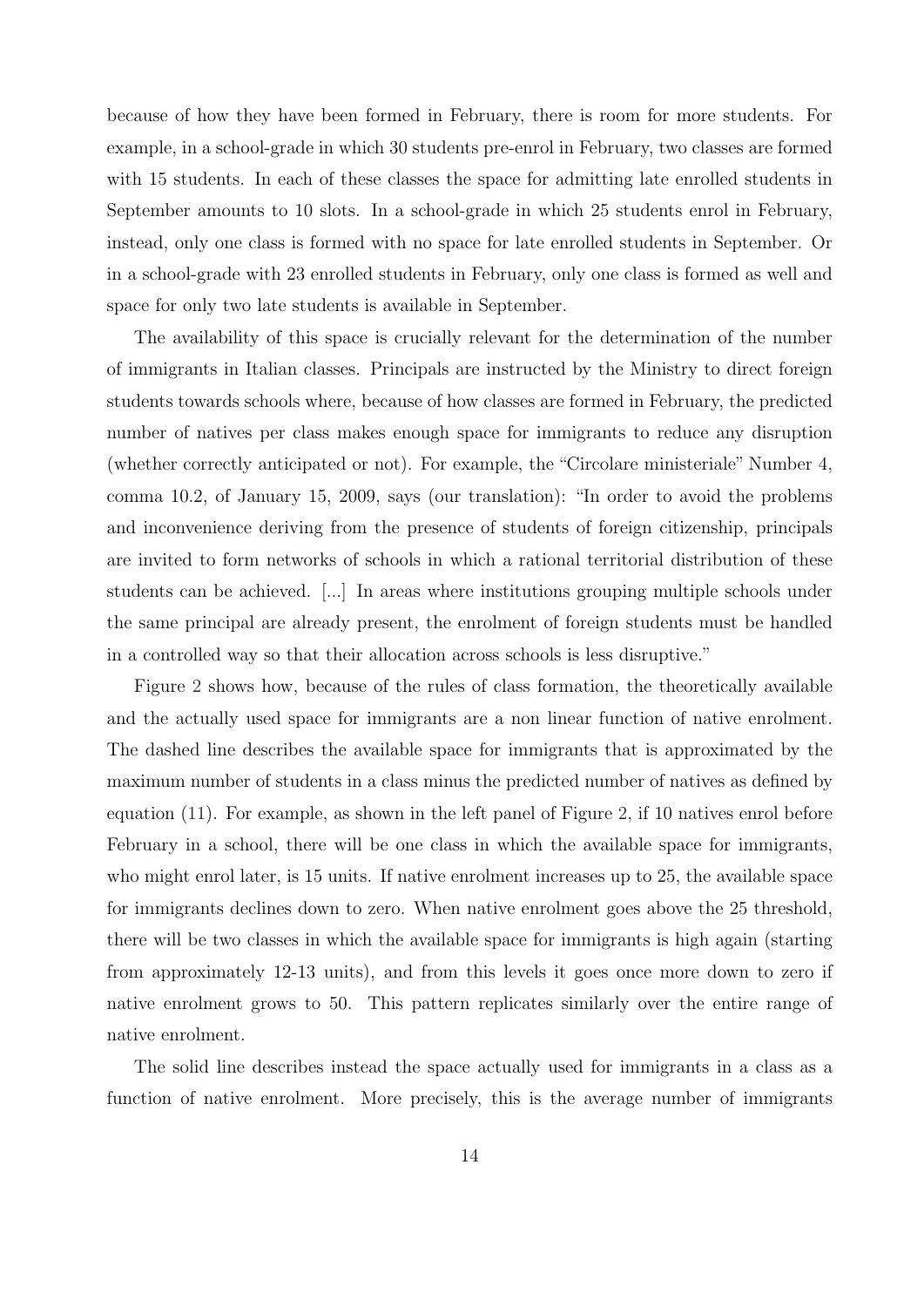because of how they have been formed in February, there is room for more students. For example, in a school-grade in which 30 students pre-enrol in February, two classes are formed with 15 students. In each of these classes the space for admitting late enrolled students in September amounts to 10 slots. In a school-grade in which 25 students enrol in February, instead, only one class is formed with no space for late enrolled students in September. Or in a school-grade with 23 enrolled students in February, only one class is formed as well and space for only two late students is available in September.

The availability of this space is crucially relevant for the determination of the number of immigrants in Italian classes. Principals are instructed by the Ministry to direct foreign students towards schools where, because of how classes are formed in February, the predicted number of natives per class makes enough space for immigrants to reduce any disruption (whether correctly anticipated or not). For example, the "Circolare ministeriale" Number 4, comma 10.2, of January 15, 2009, says (our translation): "In order to avoid the problems and inconvenience deriving from the presence of students of foreign citizenship, principals are invited to form networks of schools in which a rational territorial distribution of these students can be achieved. [...] In areas where institutions grouping multiple schools under the same principal are already present, the enrolment of foreign students must be handled in a controlled way so that their allocation across schools is less disruptive."

Figure [2](#page-27-0) shows how, because of the rules of class formation, the theoretically available and the actually used space for immigrants are a non linear function of native enrolment. The dashed line describes the available space for immigrants that is approximated by the maximum number of students in a class minus the predicted number of natives as defined by equation [\(11\)](#page-15-0). For example, as shown in the left panel of Figure [2,](#page-27-0) if 10 natives enrol before February in a school, there will be one class in which the available space for immigrants, who might enrol later, is 15 units. If native enrolment increases up to 25, the available space for immigrants declines down to zero. When native enrolment goes above the 25 threshold, there will be two classes in which the available space for immigrants is high again (starting from approximately 12-13 units), and from this levels it goes once more down to zero if native enrolment grows to 50. This pattern replicates similarly over the entire range of native enrolment.

The solid line describes instead the space actually used for immigrants in a class as a function of native enrolment. More precisely, this is the average number of immigrants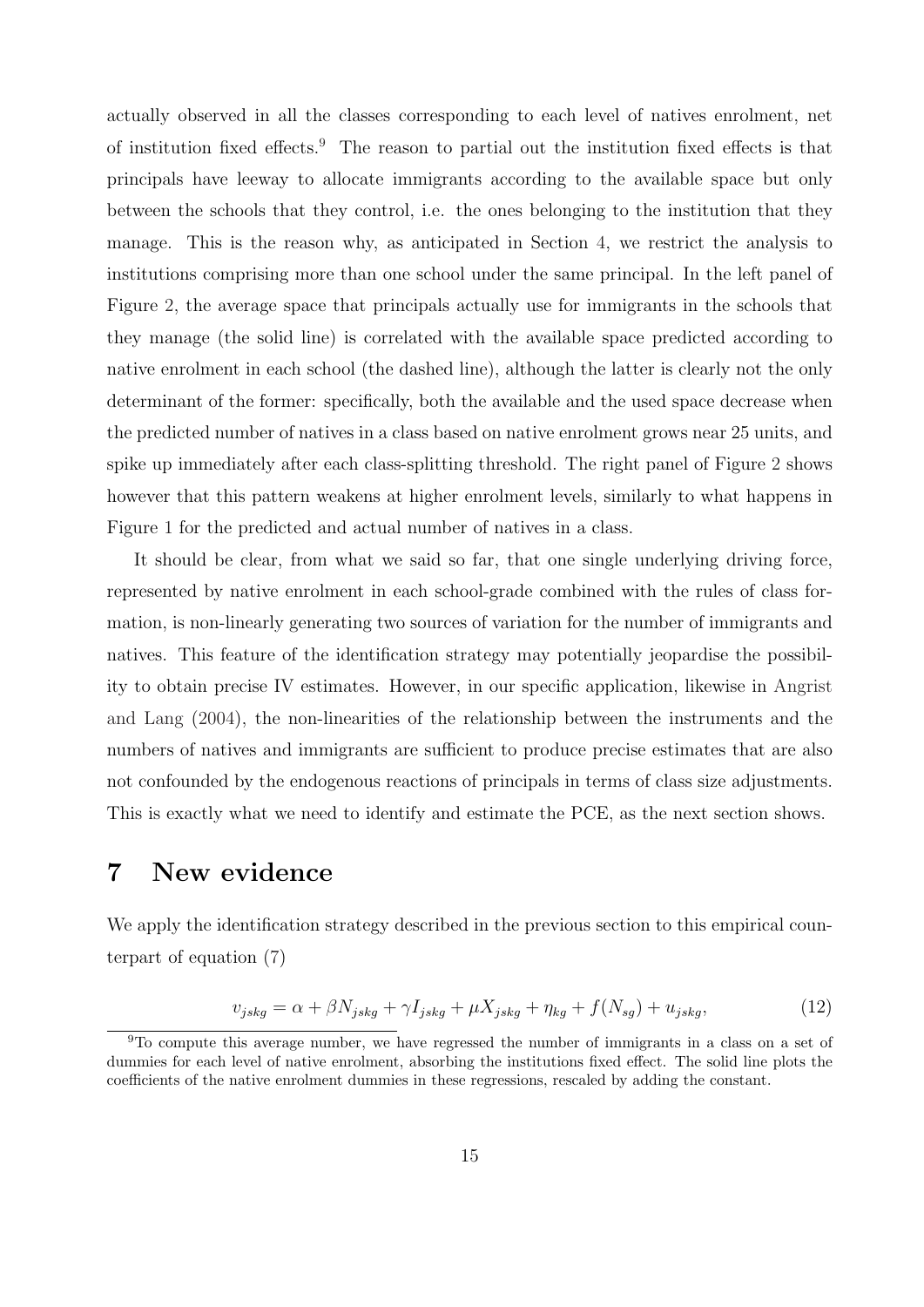actually observed in all the classes corresponding to each level of natives enrolment, net of institution fixed effects.[9](#page--1-0) The reason to partial out the institution fixed effects is that principals have leeway to allocate immigrants according to the available space but only between the schools that they control, i.e. the ones belonging to the institution that they manage. This is the reason why, as anticipated in Section [4,](#page-11-0) we restrict the analysis to institutions comprising more than one school under the same principal. In the left panel of Figure [2,](#page-27-0) the average space that principals actually use for immigrants in the schools that they manage (the solid line) is correlated with the available space predicted according to native enrolment in each school (the dashed line), although the latter is clearly not the only determinant of the former: specifically, both the available and the used space decrease when the predicted number of natives in a class based on native enrolment grows near 25 units, and spike up immediately after each class-splitting threshold. The right panel of Figure [2](#page-27-0) shows however that this pattern weakens at higher enrolment levels, similarly to what happens in Figure [1](#page-26-0) for the predicted and actual number of natives in a class.

It should be clear, from what we said so far, that one single underlying driving force, represented by native enrolment in each school-grade combined with the rules of class formation, is non-linearly generating two sources of variation for the number of immigrants and natives. This feature of the identification strategy may potentially jeopardise the possibility to obtain precise IV estimates. However, in our specific application, likewise in [Angrist](#page-22-1) [and Lang](#page-22-1) [\(2004\)](#page-22-1), the non-linearities of the relationship between the instruments and the numbers of natives and immigrants are sufficient to produce precise estimates that are also not confounded by the endogenous reactions of principals in terms of class size adjustments. This is exactly what we need to identify and estimate the PCE, as the next section shows.

#### <span id="page-17-0"></span>7 New evidence

We apply the identification strategy described in the previous section to this empirical counterpart of equation [\(7\)](#page-8-0)

$$
v_{jskg} = \alpha + \beta N_{jskg} + \gamma I_{jskg} + \mu X_{jskg} + \eta_{kg} + f(N_{sg}) + u_{jskg},\tag{12}
$$

<sup>9</sup>To compute this average number, we have regressed the number of immigrants in a class on a set of dummies for each level of native enrolment, absorbing the institutions fixed effect. The solid line plots the coefficients of the native enrolment dummies in these regressions, rescaled by adding the constant.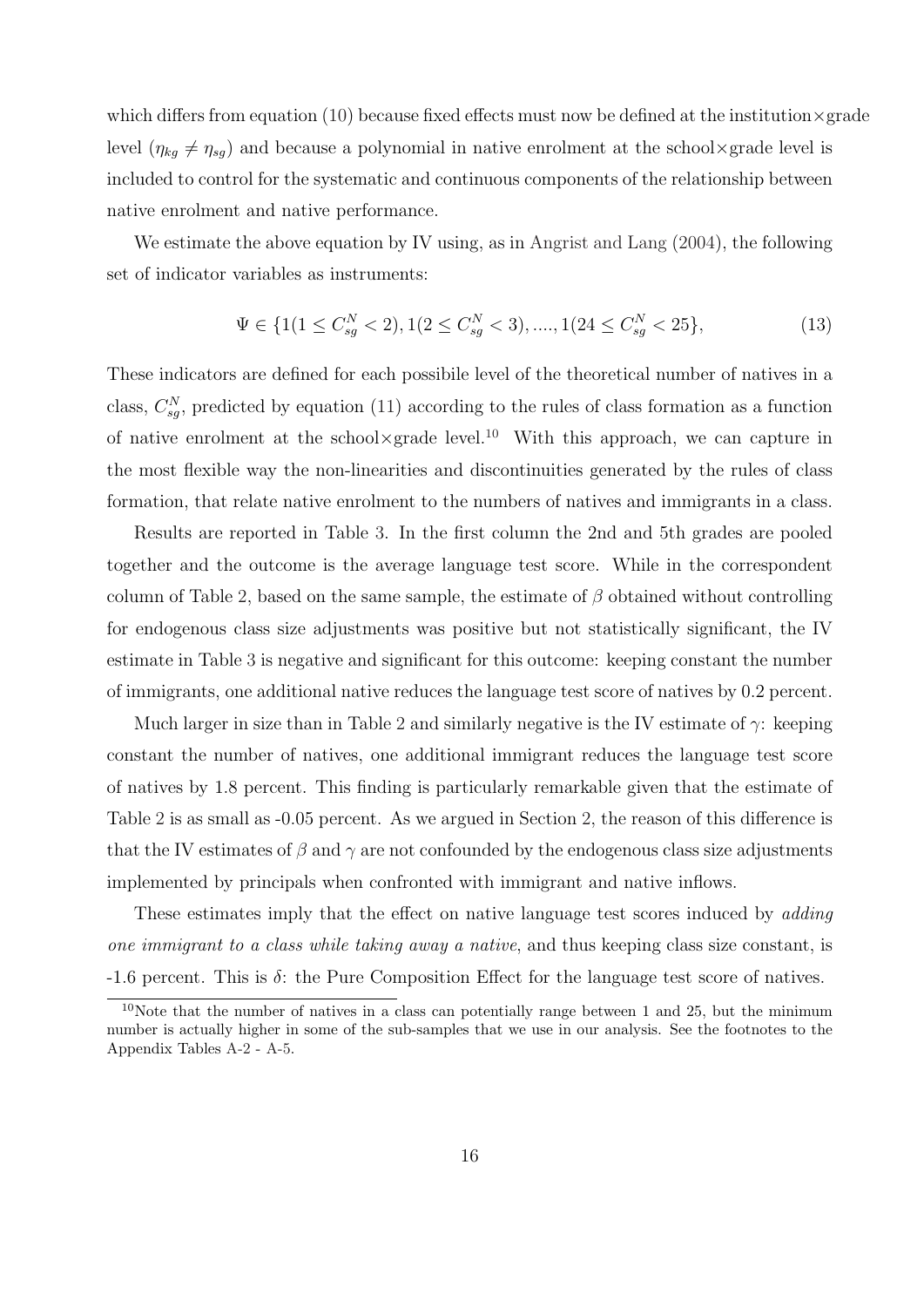which differs from equation  $(10)$  because fixed effects must now be defined at the institution  $\times$  grade level  $(\eta_{kg} \neq \eta_{sg})$  and because a polynomial in native enrolment at the school×grade level is included to control for the systematic and continuous components of the relationship between native enrolment and native performance.

We estimate the above equation by IV using, as in [Angrist and Lang](#page-22-1)  $(2004)$ , the following set of indicator variables as instruments:

$$
\Psi \in \{1(1 \le C_{sg}^N < 2), 1(2 \le C_{sg}^N < 3), \dots, 1(24 \le C_{sg}^N < 25\},\tag{13}
$$

These indicators are defined for each possibile level of the theoretical number of natives in a class,  $C_{sg}^{N}$ , predicted by equation [\(11\)](#page-15-0) according to the rules of class formation as a function of native enrolment at the school×grade level.<sup>[10](#page--1-0)</sup> With this approach, we can capture in the most flexible way the non-linearities and discontinuities generated by the rules of class formation, that relate native enrolment to the numbers of natives and immigrants in a class.

Results are reported in Table [3.](#page-28-0) In the first column the 2nd and 5th grades are pooled together and the outcome is the average language test score. While in the correspondent column of Table [2,](#page-25-0) based on the same sample, the estimate of  $\beta$  obtained without controlling for endogenous class size adjustments was positive but not statistically significant, the IV estimate in Table [3](#page-28-0) is negative and significant for this outcome: keeping constant the number of immigrants, one additional native reduces the language test score of natives by 0.2 percent.

Much larger in size than in Table [2](#page-25-0) and similarly negative is the IV estimate of  $\gamma$ : keeping constant the number of natives, one additional immigrant reduces the language test score of natives by 1.8 percent. This finding is particularly remarkable given that the estimate of Table [2](#page-25-0) is as small as -0.05 percent. As we argued in Section [2,](#page-6-0) the reason of this difference is that the IV estimates of  $\beta$  and  $\gamma$  are not confounded by the endogenous class size adjustments implemented by principals when confronted with immigrant and native inflows.

These estimates imply that the effect on native language test scores induced by *adding* one immigrant to a class while taking away a native, and thus keeping class size constant, is  $-1.6$  percent. This is  $\delta$ : the Pure Composition Effect for the language test score of natives.

<sup>&</sup>lt;sup>10</sup>Note that the number of natives in a class can potentially range between 1 and 25, but the minimum number is actually higher in some of the sub-samples that we use in our analysis. See the footnotes to the Appendix Tables [A-2](#page-25-0) - [A-5.](#page-37-0)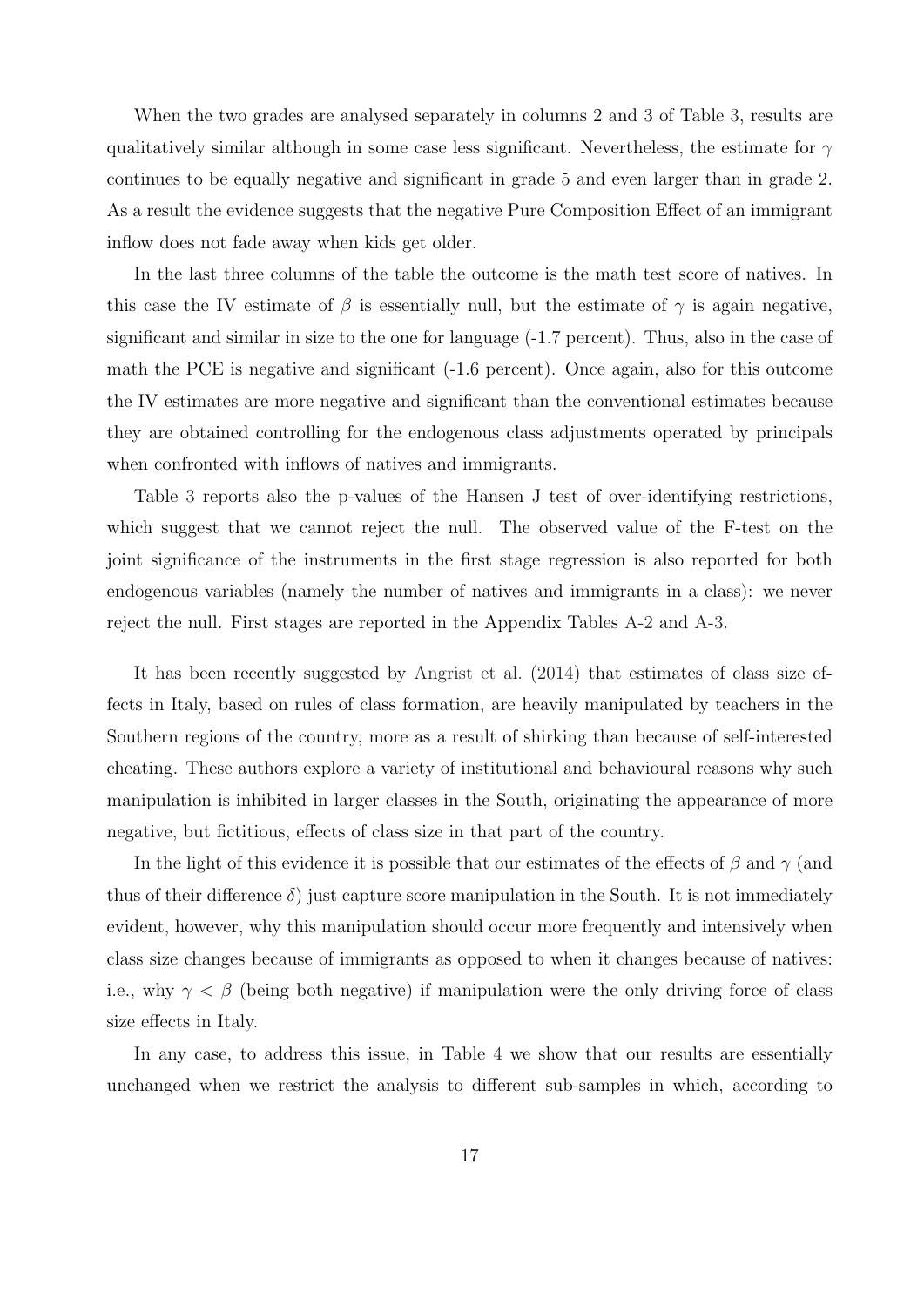When the two grades are analysed separately in columns 2 and 3 of Table [3,](#page-28-0) results are qualitatively similar although in some case less significant. Nevertheless, the estimate for  $\gamma$ continues to be equally negative and significant in grade 5 and even larger than in grade 2. As a result the evidence suggests that the negative Pure Composition Effect of an immigrant inflow does not fade away when kids get older.

In the last three columns of the table the outcome is the math test score of natives. In this case the IV estimate of  $\beta$  is essentially null, but the estimate of  $\gamma$  is again negative, significant and similar in size to the one for language (-1.7 percent). Thus, also in the case of math the PCE is negative and significant (-1.6 percent). Once again, also for this outcome the IV estimates are more negative and significant than the conventional estimates because they are obtained controlling for the endogenous class adjustments operated by principals when confronted with inflows of natives and immigrants.

Table [3](#page-28-0) reports also the p-values of the Hansen J test of over-identifying restrictions, which suggest that we cannot reject the null. The observed value of the F-test on the joint significance of the instruments in the first stage regression is also reported for both endogenous variables (namely the number of natives and immigrants in a class): we never reject the null. First stages are reported in the Appendix Tables [A-2](#page-25-0) and [A-3.](#page-28-0)

It has been recently suggested by [Angrist et al.](#page-22-14) [\(2014\)](#page-22-14) that estimates of class size effects in Italy, based on rules of class formation, are heavily manipulated by teachers in the Southern regions of the country, more as a result of shirking than because of self-interested cheating. These authors explore a variety of institutional and behavioural reasons why such manipulation is inhibited in larger classes in the South, originating the appearance of more negative, but fictitious, effects of class size in that part of the country.

In the light of this evidence it is possible that our estimates of the effects of  $\beta$  and  $\gamma$  (and thus of their difference  $\delta$ ) just capture score manipulation in the South. It is not immediately evident, however, why this manipulation should occur more frequently and intensively when class size changes because of immigrants as opposed to when it changes because of natives: i.e., why  $\gamma < \beta$  (being both negative) if manipulation were the only driving force of class size effects in Italy.

In any case, to address this issue, in Table [4](#page-29-0) we show that our results are essentially unchanged when we restrict the analysis to different sub-samples in which, according to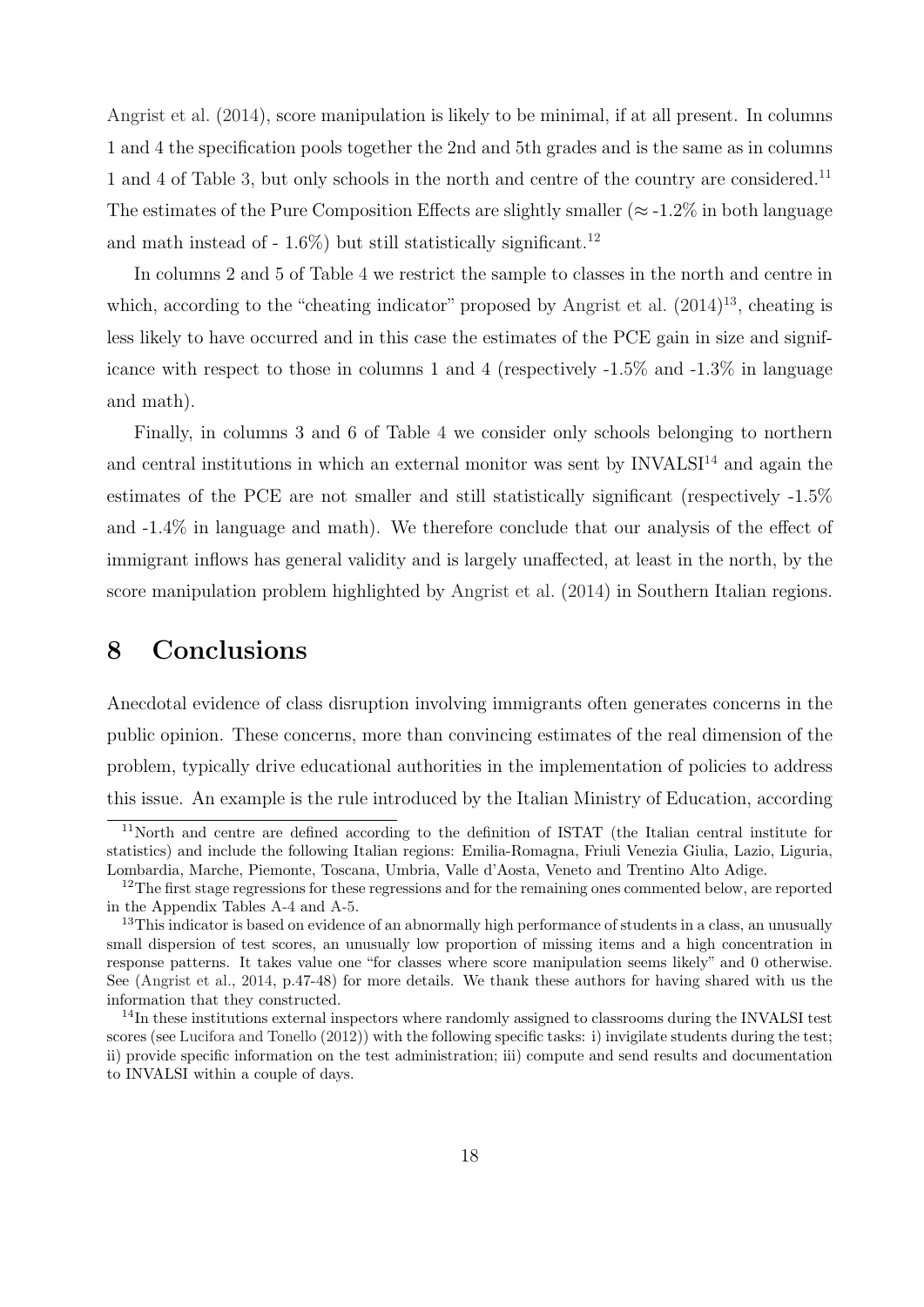[Angrist et al.](#page-22-14) [\(2014\)](#page-22-14), score manipulation is likely to be minimal, if at all present. In columns 1 and 4 the specification pools together the 2nd and 5th grades and is the same as in columns 1 and 4 of Table [3,](#page-28-0) but only schools in the north and centre of the country are considered.<sup>[11](#page--1-0)</sup> The estimates of the Pure Composition Effects are slightly smaller ( $\approx$  -1.2% in both language and math instead of  $-1.6\%$  but still statistically significant.<sup>[12](#page--1-0)</sup>

In columns 2 and 5 of Table [4](#page-29-0) we restrict the sample to classes in the north and centre in which, according to the "cheating indicator" proposed by [Angrist et al.](#page-22-14)  $(2014)^{13}$  $(2014)^{13}$  $(2014)^{13}$  $(2014)^{13}$ , cheating is less likely to have occurred and in this case the estimates of the PCE gain in size and significance with respect to those in columns 1 and 4 (respectively -1.5% and -1.3% in language and math).

Finally, in columns 3 and 6 of Table [4](#page-29-0) we consider only schools belonging to northern and central institutions in which an external monitor was sent by  $INVALS<sup>14</sup>$  $INVALS<sup>14</sup>$  $INVALS<sup>14</sup>$  and again the estimates of the PCE are not smaller and still statistically significant (respectively -1.5% and -1.4% in language and math). We therefore conclude that our analysis of the effect of immigrant inflows has general validity and is largely unaffected, at least in the north, by the score manipulation problem highlighted by [Angrist et al.](#page-22-14) [\(2014\)](#page-22-14) in Southern Italian regions.

#### <span id="page-20-0"></span>8 Conclusions

Anecdotal evidence of class disruption involving immigrants often generates concerns in the public opinion. These concerns, more than convincing estimates of the real dimension of the problem, typically drive educational authorities in the implementation of policies to address this issue. An example is the rule introduced by the Italian Ministry of Education, according

<sup>11</sup>North and centre are defined according to the definition of ISTAT (the Italian central institute for statistics) and include the following Italian regions: Emilia-Romagna, Friuli Venezia Giulia, Lazio, Liguria, Lombardia, Marche, Piemonte, Toscana, Umbria, Valle d'Aosta, Veneto and Trentino Alto Adige.

<sup>&</sup>lt;sup>12</sup>The first stage regressions for these regressions and for the remaining ones commented below, are reported in the Appendix Tables [A-4](#page-29-0) and [A-5.](#page-37-0)

<sup>&</sup>lt;sup>13</sup>This indicator is based on evidence of an abnormally high performance of students in a class, an unusually small dispersion of test scores, an unusually low proportion of missing items and a high concentration in response patterns. It takes value one "for classes where score manipulation seems likely" and 0 otherwise. See [\(Angrist et al.,](#page-22-14) [2014,](#page-22-14) p.47-48) for more details. We thank these authors for having shared with us the information that they constructed.

<sup>&</sup>lt;sup>14</sup>In these institutions external inspectors where randomly assigned to classrooms during the INVALSI test scores (see [Lucifora and Tonello](#page-23-3) [\(2012\)](#page-23-3)) with the following specific tasks: i) invigilate students during the test; ii) provide specific information on the test administration; iii) compute and send results and documentation to INVALSI within a couple of days.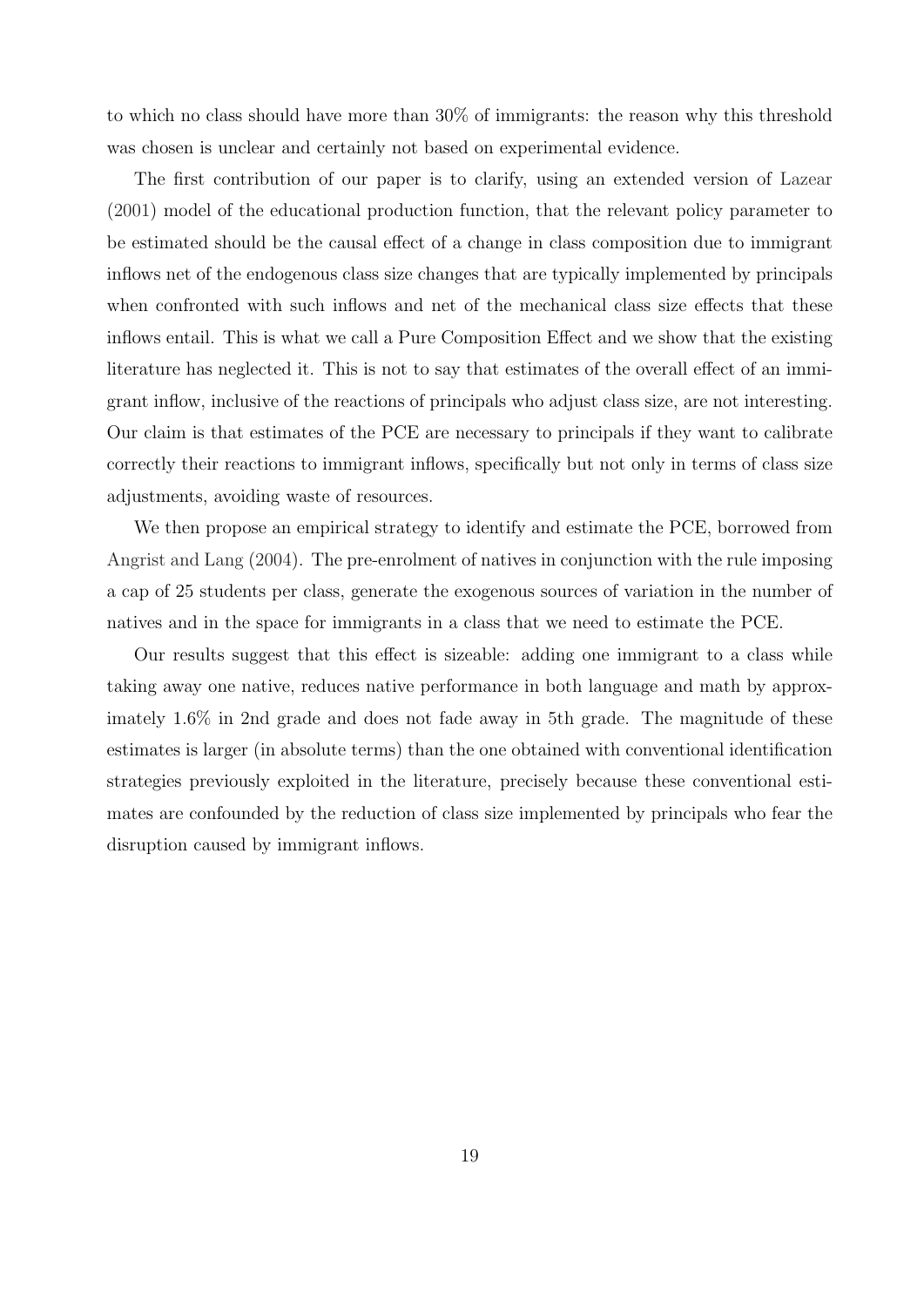to which no class should have more than 30% of immigrants: the reason why this threshold was chosen is unclear and certainly not based on experimental evidence.

The first contribution of our paper is to clarify, using an extended version of [Lazear](#page-22-0) [\(2001\)](#page-22-0) model of the educational production function, that the relevant policy parameter to be estimated should be the causal effect of a change in class composition due to immigrant inflows net of the endogenous class size changes that are typically implemented by principals when confronted with such inflows and net of the mechanical class size effects that these inflows entail. This is what we call a Pure Composition Effect and we show that the existing literature has neglected it. This is not to say that estimates of the overall effect of an immigrant inflow, inclusive of the reactions of principals who adjust class size, are not interesting. Our claim is that estimates of the PCE are necessary to principals if they want to calibrate correctly their reactions to immigrant inflows, specifically but not only in terms of class size adjustments, avoiding waste of resources.

We then propose an empirical strategy to identify and estimate the PCE, borrowed from [Angrist and Lang](#page-22-1) [\(2004\)](#page-22-1). The pre-enrolment of natives in conjunction with the rule imposing a cap of 25 students per class, generate the exogenous sources of variation in the number of natives and in the space for immigrants in a class that we need to estimate the PCE.

Our results suggest that this effect is sizeable: adding one immigrant to a class while taking away one native, reduces native performance in both language and math by approximately 1.6% in 2nd grade and does not fade away in 5th grade. The magnitude of these estimates is larger (in absolute terms) than the one obtained with conventional identification strategies previously exploited in the literature, precisely because these conventional estimates are confounded by the reduction of class size implemented by principals who fear the disruption caused by immigrant inflows.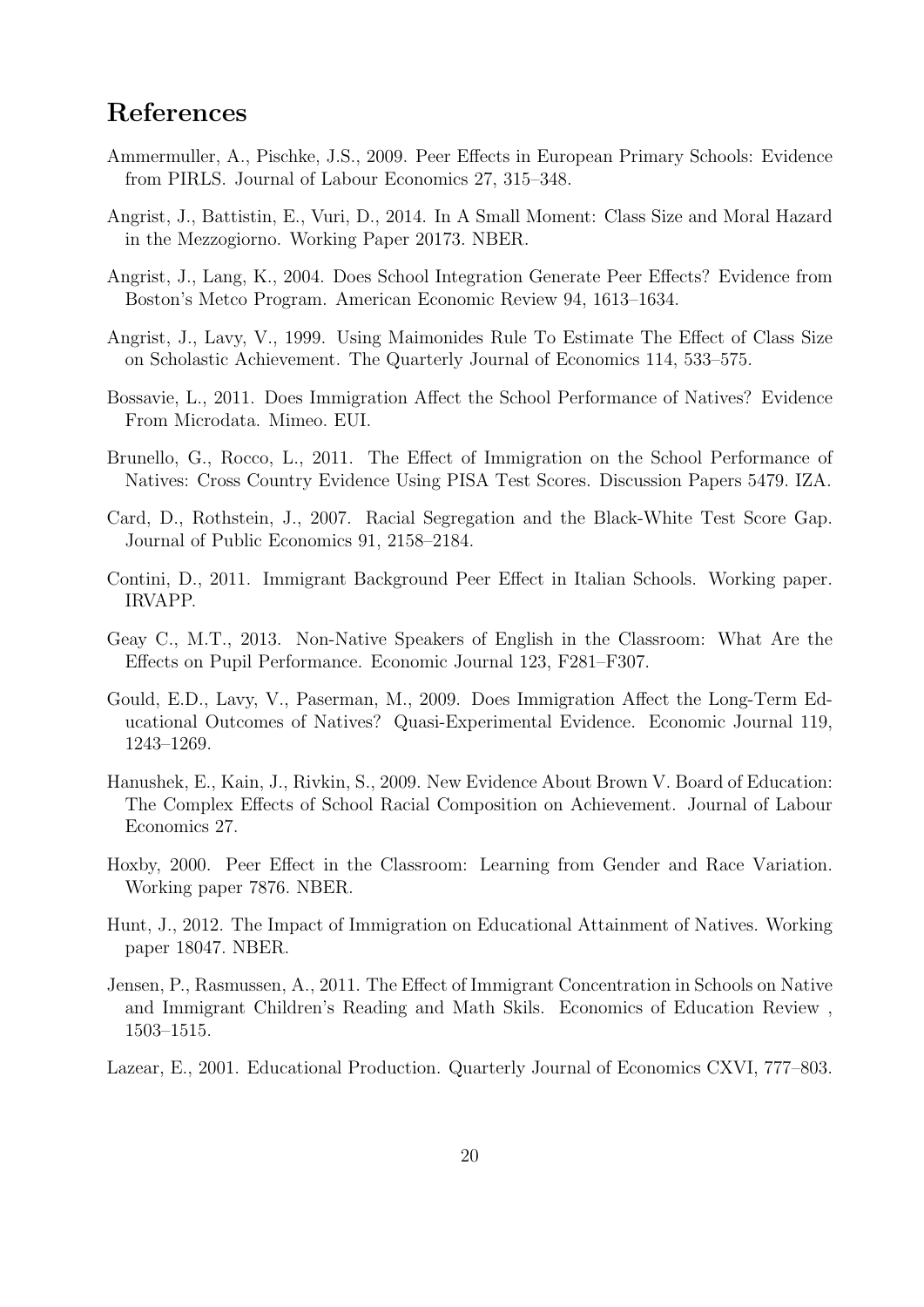### <span id="page-22-15"></span>References

- <span id="page-22-4"></span>Ammermuller, A., Pischke, J.S., 2009. Peer Effects in European Primary Schools: Evidence from PIRLS. Journal of Labour Economics 27, 315–348.
- <span id="page-22-14"></span>Angrist, J., Battistin, E., Vuri, D., 2014. In A Small Moment: Class Size and Moral Hazard in the Mezzogiorno. Working Paper 20173. NBER.
- <span id="page-22-1"></span>Angrist, J., Lang, K., 2004. Does School Integration Generate Peer Effects? Evidence from Boston's Metco Program. American Economic Review 94, 1613–1634.
- <span id="page-22-2"></span>Angrist, J., Lavy, V., 1999. Using Maimonides Rule To Estimate The Effect of Class Size on Scholastic Achievement. The Quarterly Journal of Economics 114, 533–575.
- <span id="page-22-6"></span>Bossavie, L., 2011. Does Immigration Affect the School Performance of Natives? Evidence From Microdata. Mimeo. EUI.
- <span id="page-22-12"></span>Brunello, G., Rocco, L., 2011. The Effect of Immigration on the School Performance of Natives: Cross Country Evidence Using PISA Test Scores. Discussion Papers 5479. IZA.
- <span id="page-22-11"></span>Card, D., Rothstein, J., 2007. Racial Segregation and the Black-White Test Score Gap. Journal of Public Economics 91, 2158–2184.
- <span id="page-22-3"></span>Contini, D., 2011. Immigrant Background Peer Effect in Italian Schools. Working paper. IRVAPP.
- <span id="page-22-9"></span>Geay C., M.T., 2013. Non-Native Speakers of English in the Classroom: What Are the Effects on Pupil Performance. Economic Journal 123, F281–F307.
- <span id="page-22-8"></span>Gould, E.D., Lavy, V., Paserman, M., 2009. Does Immigration Affect the Long-Term Educational Outcomes of Natives? Quasi-Experimental Evidence. Economic Journal 119, 1243–1269.
- <span id="page-22-7"></span>Hanushek, E., Kain, J., Rivkin, S., 2009. New Evidence About Brown V. Board of Education: The Complex Effects of School Racial Composition on Achievement. Journal of Labour Economics 27.
- <span id="page-22-5"></span>Hoxby, 2000. Peer Effect in the Classroom: Learning from Gender and Race Variation. Working paper 7876. NBER.
- <span id="page-22-13"></span>Hunt, J., 2012. The Impact of Immigration on Educational Attainment of Natives. Working paper 18047. NBER.
- <span id="page-22-10"></span>Jensen, P., Rasmussen, A., 2011. The Effect of Immigrant Concentration in Schools on Native and Immigrant Children's Reading and Math Skils. Economics of Education Review , 1503–1515.
- <span id="page-22-0"></span>Lazear, E., 2001. Educational Production. Quarterly Journal of Economics CXVI, 777–803.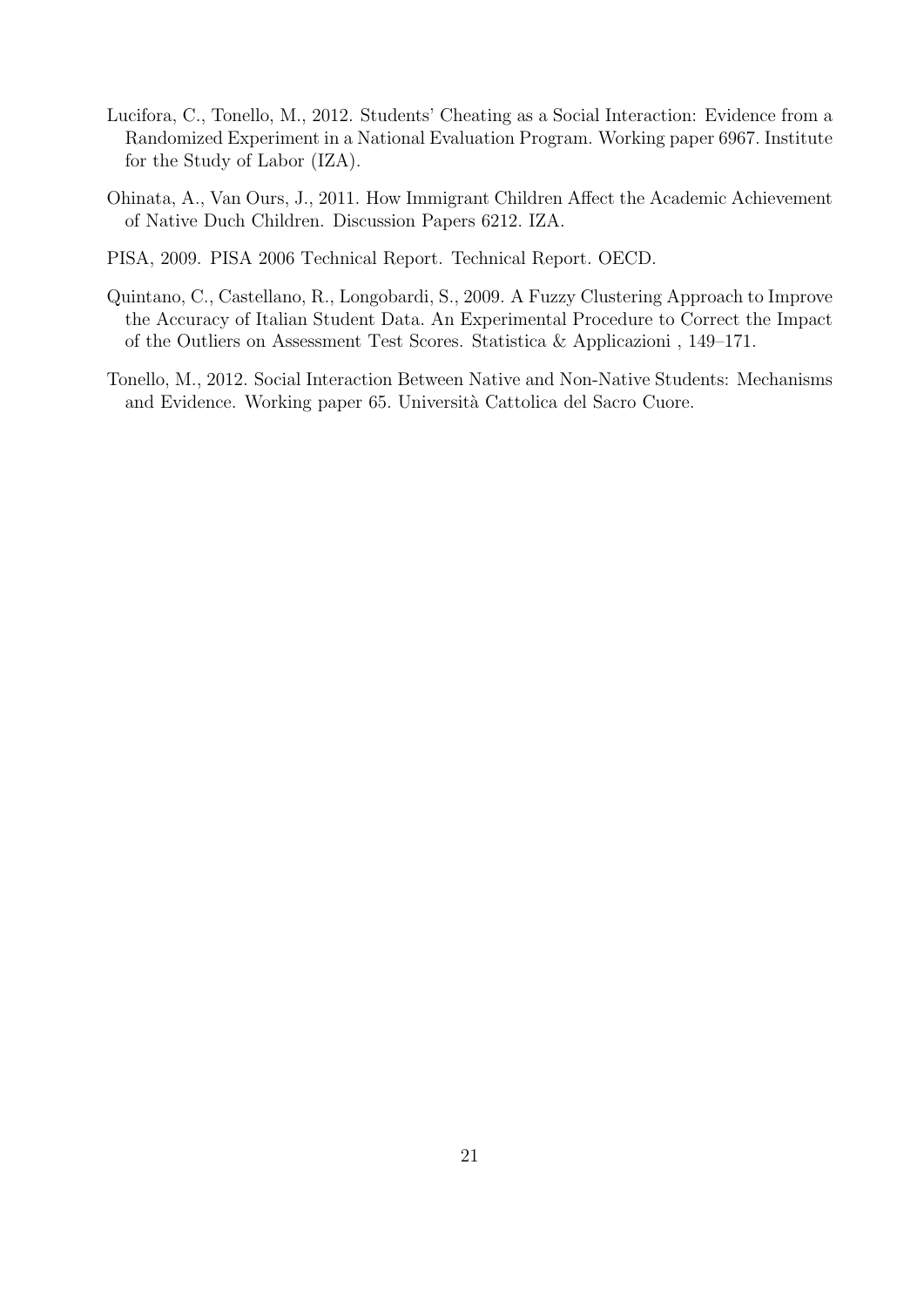- <span id="page-23-3"></span>Lucifora, C., Tonello, M., 2012. Students' Cheating as a Social Interaction: Evidence from a Randomized Experiment in a National Evaluation Program. Working paper 6967. Institute for the Study of Labor (IZA).
- <span id="page-23-0"></span>Ohinata, A., Van Ours, J., 2011. How Immigrant Children Affect the Academic Achievement of Native Duch Children. Discussion Papers 6212. IZA.
- <span id="page-23-2"></span>PISA, 2009. PISA 2006 Technical Report. Technical Report. OECD.
- <span id="page-23-4"></span>Quintano, C., Castellano, R., Longobardi, S., 2009. A Fuzzy Clustering Approach to Improve the Accuracy of Italian Student Data. An Experimental Procedure to Correct the Impact of the Outliers on Assessment Test Scores. Statistica & Applicazioni , 149–171.
- <span id="page-23-1"></span>Tonello, M., 2012. Social Interaction Between Native and Non-Native Students: Mechanisms and Evidence. Working paper 65. Università Cattolica del Sacro Cuore.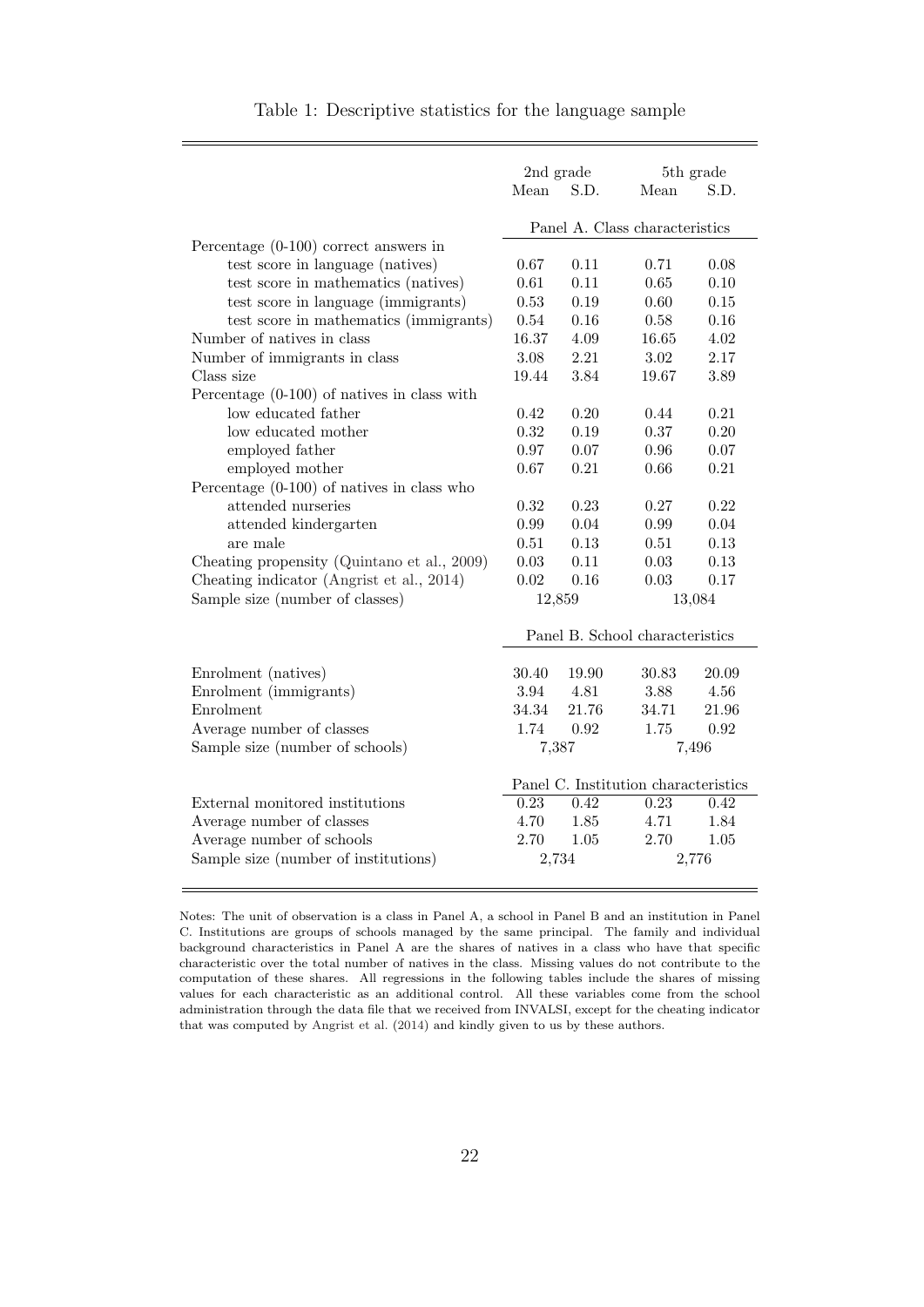<span id="page-24-1"></span><span id="page-24-0"></span>

|                                               |        | 2nd grade | 5th grade                            |        |
|-----------------------------------------------|--------|-----------|--------------------------------------|--------|
|                                               | Mean   | S.D.      | Mean                                 | S.D.   |
|                                               |        |           | Panel A. Class characteristics       |        |
| Percentage $(0-100)$ correct answers in       |        |           |                                      |        |
| test score in language (natives)              | 0.67   | 0.11      | 0.71                                 | 0.08   |
| test score in mathematics (natives)           | 0.61   | 0.11      | 0.65                                 | 0.10   |
| test score in language (immigrants)           | 0.53   | 0.19      | 0.60                                 | 0.15   |
| test score in mathematics (immigrants)        | 0.54   | 0.16      | 0.58                                 | 0.16   |
| Number of natives in class                    | 16.37  | 4.09      | 16.65                                | 4.02   |
| Number of immigrants in class                 | 3.08   | 2.21      | 3.02                                 | 2.17   |
| Class size                                    | 19.44  | 3.84      | 19.67                                | 3.89   |
| Percentage $(0-100)$ of natives in class with |        |           |                                      |        |
| low educated father                           | 0.42   | 0.20      | 0.44                                 | 0.21   |
| low educated mother                           | 0.32   | 0.19      | 0.37                                 | 0.20   |
| employed father                               | 0.97   | 0.07      | 0.96                                 | 0.07   |
| employed mother                               | 0.67   | 0.21      | 0.66                                 | 0.21   |
| Percentage $(0-100)$ of natives in class who  |        |           |                                      |        |
| attended nurseries                            | 0.32   | 0.23      | 0.27                                 | 0.22   |
| attended kindergarten                         | 0.99   | 0.04      | 0.99                                 | 0.04   |
| are male                                      | 0.51   | 0.13      | 0.51                                 | 0.13   |
| Cheating propensity (Quintano et al., 2009)   | 0.03   | 0.11      | 0.03                                 | 0.13   |
| Cheating indicator (Angrist et al., 2014)     | 0.02   | 0.16      | 0.03                                 | 0.17   |
| Sample size (number of classes)               | 12,859 |           |                                      | 13,084 |
|                                               |        |           |                                      |        |
|                                               |        |           | Panel B. School characteristics      |        |
| Enrolment (natives)                           | 30.40  | 19.90     | 30.83                                | 20.09  |
| Enrolment (immigrants)                        | 3.94   | 4.81      | 3.88                                 | 4.56   |
| Enrolment                                     | 34.34  | 21.76     | 34.71                                | 21.96  |
| Average number of classes                     | 1.74   | 0.92      | 1.75                                 | 0.92   |
| Sample size (number of schools)               | 7,387  |           |                                      | 7,496  |
|                                               |        |           |                                      |        |
|                                               |        |           | Panel C. Institution characteristics |        |
| External monitored institutions               | 0.23   | 0.42      | 0.23                                 | 0.42   |
| Average number of classes                     | 4.70   | 1.85      | 4.71                                 | 1.84   |
| Average number of schools                     | 2.70   | 1.05      | 2.70                                 | 1.05   |
| Sample size (number of institutions)          | 2,734  |           |                                      | 2,776  |

Notes: The unit of observation is a class in Panel A, a school in Panel B and an institution in Panel C. Institutions are groups of schools managed by the same principal. The family and individual background characteristics in Panel A are the shares of natives in a class who have that specific characteristic over the total number of natives in the class. Missing values do not contribute to the computation of these shares. All regressions in the following tables include the shares of missing values for each characteristic as an additional control. All these variables come from the school administration through the data file that we received from INVALSI, except for the cheating indicator that was computed by [Angrist et al.](#page-22-14) [\(2014\)](#page-22-14) and kindly given to us by these authors.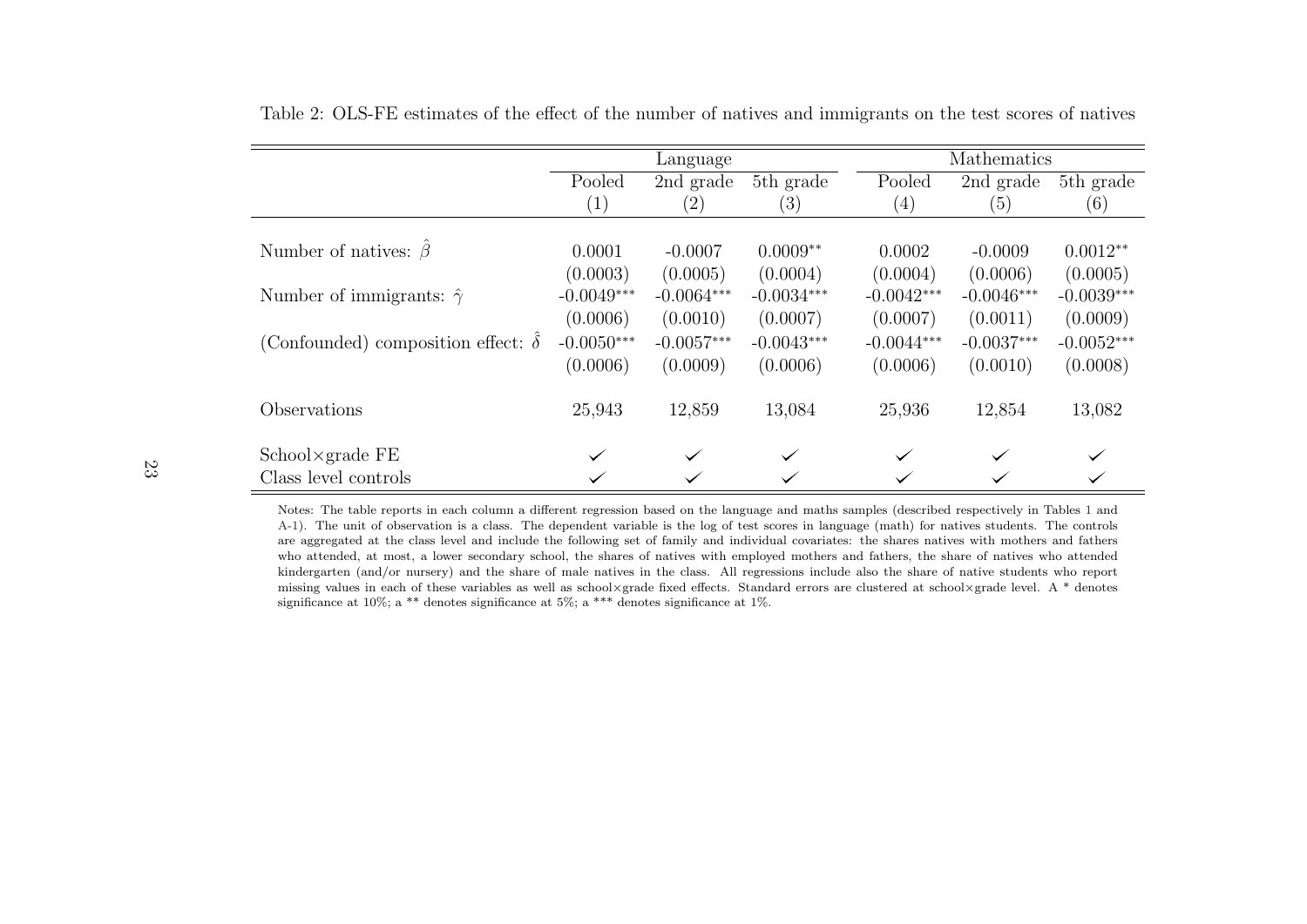|                                           |                   | Language          |              |                   | Mathematics  |              |
|-------------------------------------------|-------------------|-------------------|--------------|-------------------|--------------|--------------|
|                                           | Pooled            | 2nd grade         | 5th grade    | Pooled            | 2nd grade    | 5th grade    |
|                                           | $\left( 1\right)$ | $\left( 2\right)$ | (3)          | $\left( 4\right)$ | (5)          | (6)          |
|                                           |                   |                   |              |                   |              |              |
| Number of natives: $\beta$                | 0.0001            | $-0.0007$         | $0.0009**$   | 0.0002            | $-0.0009$    | $0.0012**$   |
|                                           | (0.0003)          | (0.0005)          | (0.0004)     | (0.0004)          | (0.0006)     | (0.0005)     |
| Number of immigrants: $\hat{\gamma}$      | $-0.0049***$      | $-0.0064***$      | $-0.0034***$ | $-0.0042***$      | $-0.0046***$ | $-0.0039***$ |
|                                           | (0.0006)          | (0.0010)          | (0.0007)     | (0.0007)          | (0.0011)     | (0.0009)     |
| (Confounded) composition effect: $\delta$ | $-0.0050***$      | $-0.0057***$      | $-0.0043***$ | $-0.0044***$      | $-0.0037***$ | $-0.0052***$ |
|                                           | (0.0006)          | (0.0009)          | (0.0006)     | (0.0006)          | (0.0010)     | (0.0008)     |
| Observations                              | 25,943            | 12,859            | 13,084       | 25,936            | 12,854       | 13,082       |
| $School \times grad$ e FE                 | $\checkmark$      | $\checkmark$      |              | $\checkmark$      | $\checkmark$ | $\checkmark$ |
| Class level controls                      |                   |                   |              |                   |              |              |

<span id="page-25-0"></span>Table 2: OLS-FE estimates of the effect of the number of natives and immigrants on the test scores of natives

Notes: The table reports in each column <sup>a</sup> different regression based on the language and maths samples (described respectively in Tables [1](#page-24-1) and [A-1\)](#page-24-1). The unit of observation is <sup>a</sup> class. The dependent variable is the log of test scores in language (math) for natives students. The controls are aggregated at the class level and include the following set of family and individual covariates: the shares natives with mothers and fathers who attended, at most, <sup>a</sup> lower secondary school, the shares of natives with employed mothers and fathers, the share of natives who attended kindergarten (and/or nursery) and the share of male natives in the class. All regressions include also the share of native students who reportmissing values in each of these variables as well as school×grade fixed effects. Standard errors are clustered at school×grade level. A \* denotes significance at 10%; a \*\* denotes significance at 5%; a \*\*\* denotes significance at 1%.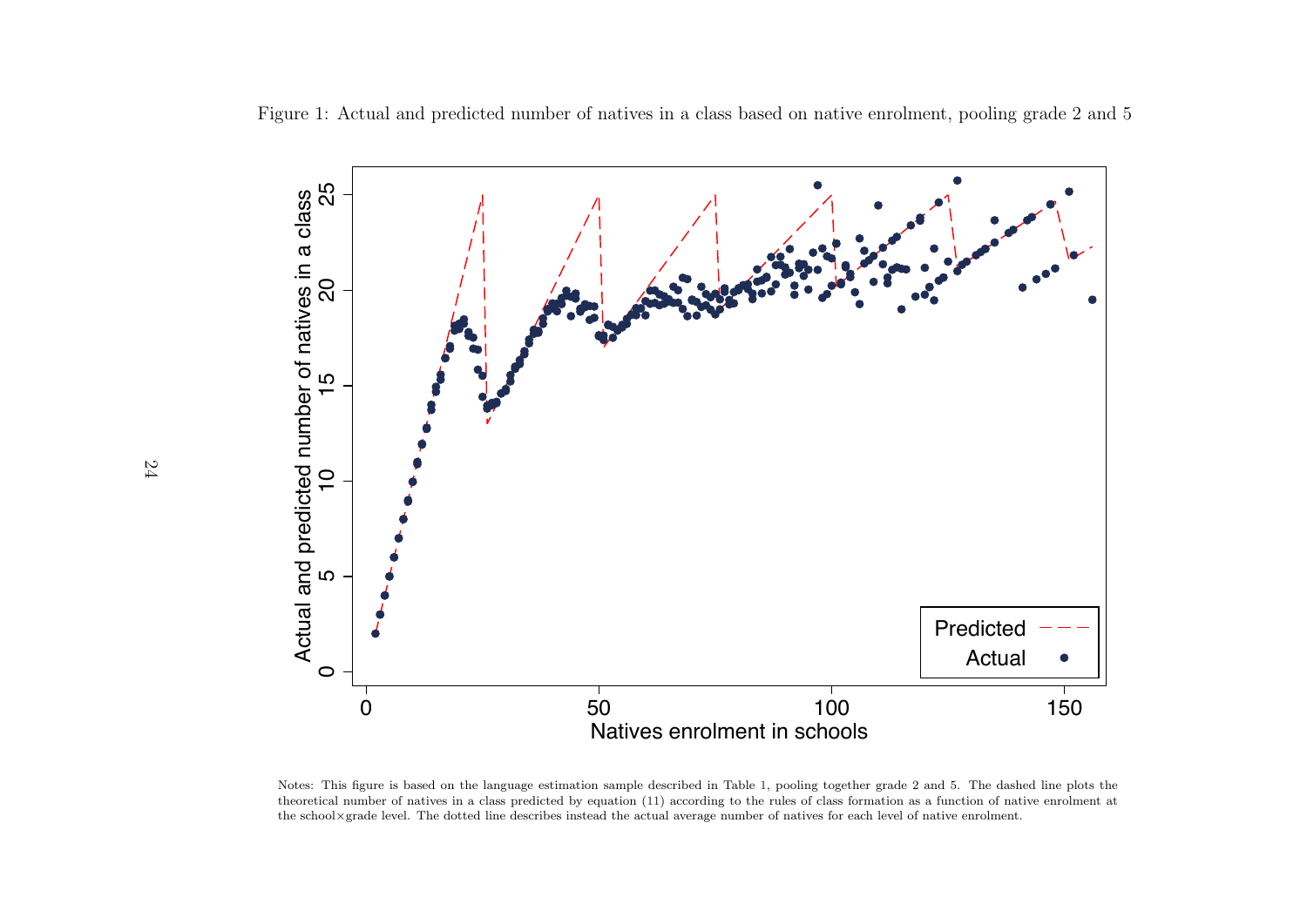Figure 1: Actual and predicted number of natives in <sup>a</sup> class based on native enrolment, pooling grade 2 and 5



<span id="page-26-0"></span>Notes: This figure is based on the language estimation sample described in Table [1,](#page-24-1) pooling together grade <sup>2</sup> and 5. The dashed line <sup>p</sup>lots the theoretical number of natives in <sup>a</sup> class predicted by equation [\(11\)](#page-15-1) according to the rules of class formation as <sup>a</sup> function of native enrolment atthe school×grade level. The dotted line describes instead the actual average number of natives for each level of native enrolment.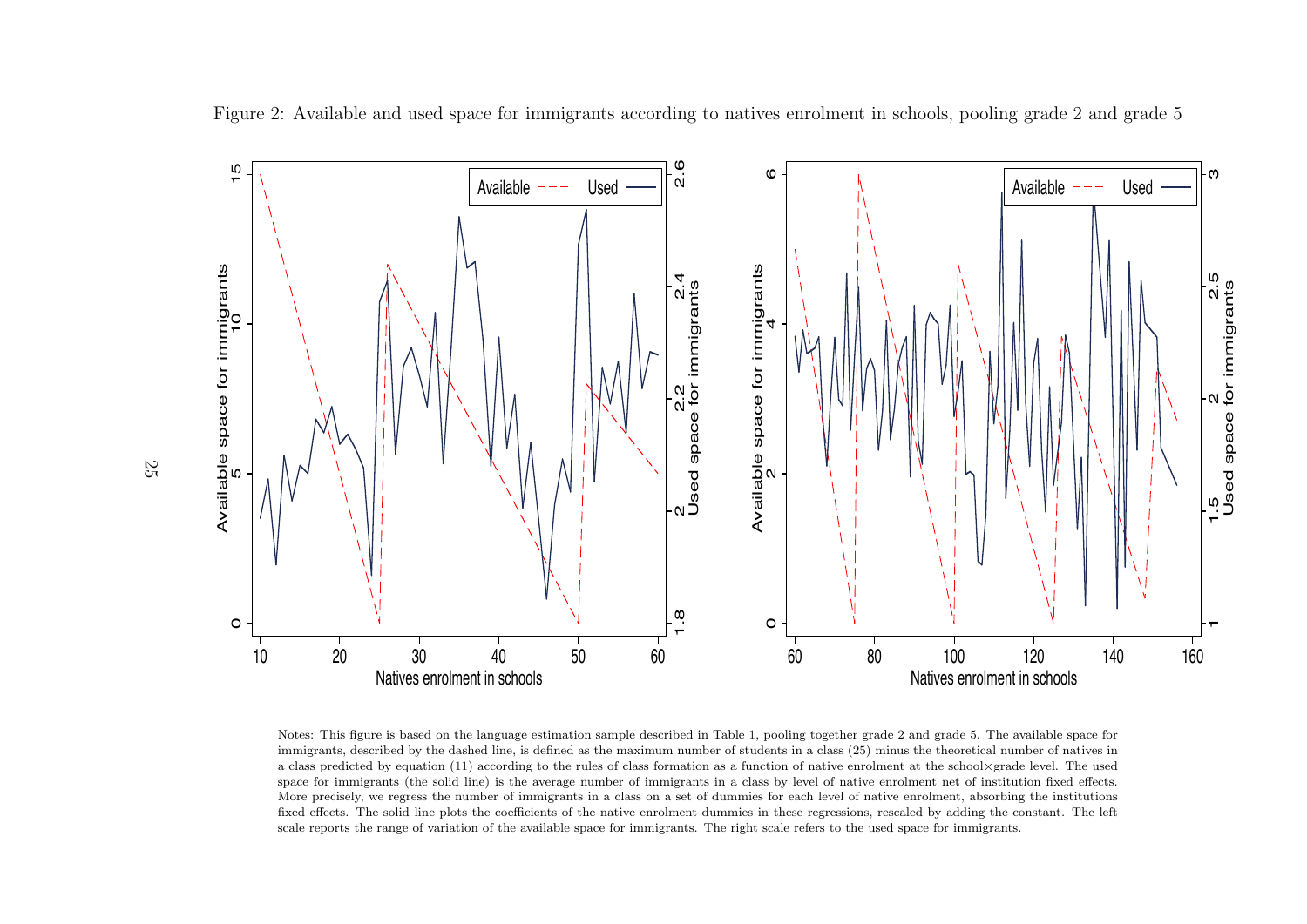

Figure 2: Available and used space for immigrants according to natives enrolment in schools, pooling grade 2 and grade 5

<span id="page-27-0"></span>Notes: This figure is based on the language estimation sample described in Table [1,](#page-24-1) pooling together grade <sup>2</sup> and grade 5. The available space for immigrants, described by the dashed line, is defined as the maximum number of students in <sup>a</sup> class (25) minus the theoretical number of natives in <sup>a</sup> class predicted by equation [\(11\)](#page-15-1) according to the rules of class formation as <sup>a</sup> function of native enrolment at the school×grade level. The used space for immigrants (the solid line) is the average number of immigrants in <sup>a</sup> class by level of native enrolment net of institution fixed effects.More precisely, we regress the number of immigrants in <sup>a</sup> class on <sup>a</sup> set of dummies for each level of native enrolment, absorbing the institutions fixed effects. The solid line <sup>p</sup>lots the coefficients of the native enrolment dummies in these regressions, rescaled by adding the constant. The leftscale reports the range of variation of the available space for immigrants. The right scale refers to the used space for immigrants.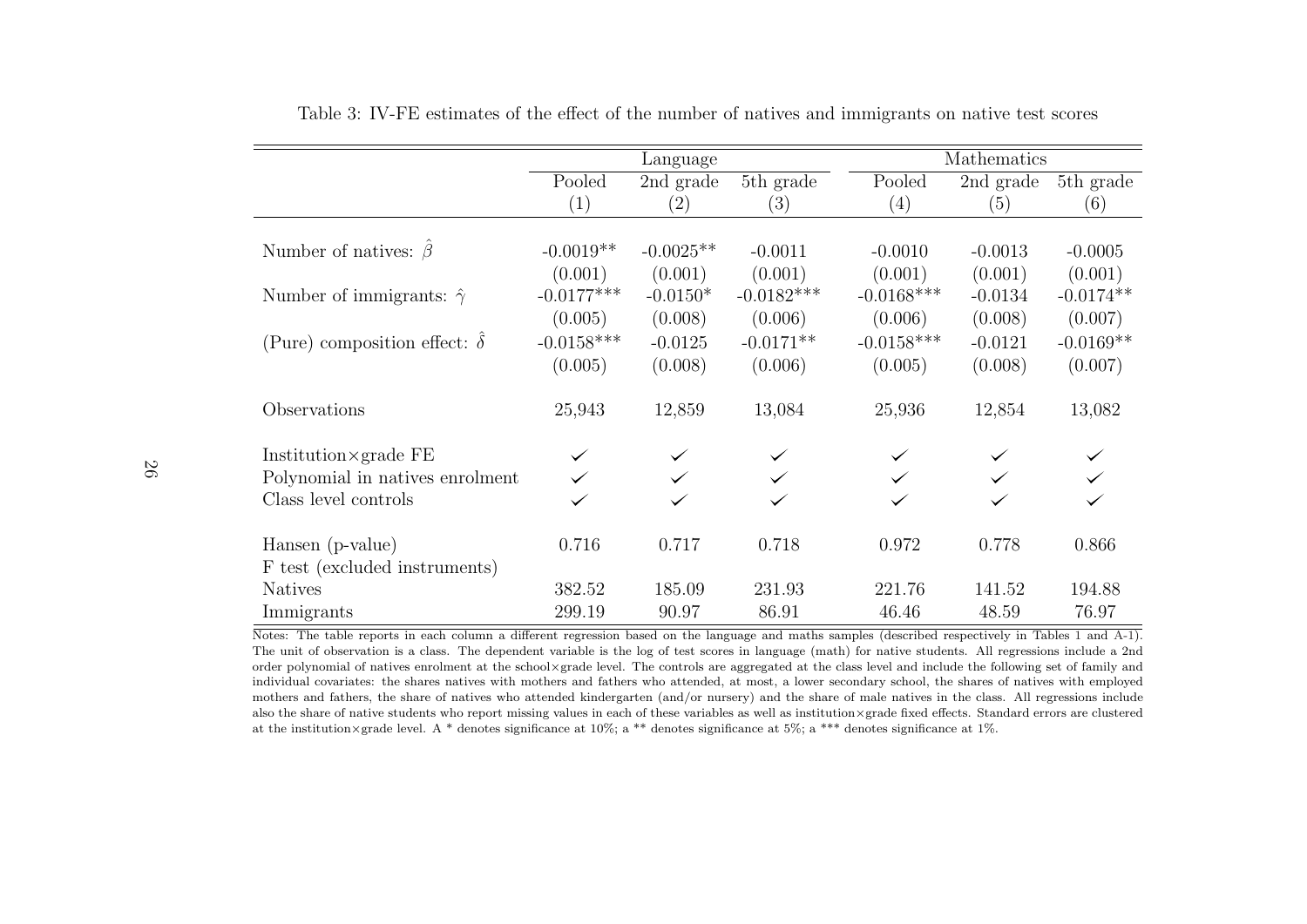|                                           | Language     |             |              | Mathematics  |                                |             |
|-------------------------------------------|--------------|-------------|--------------|--------------|--------------------------------|-------------|
|                                           | Pooled       | 2nd grade   | $5th$ grade  | Pooled       | $\overline{2nd \text{ grade}}$ | 5th grade   |
|                                           | (1)          | (2)         | (3)          | (4)          | (5)                            | (6)         |
|                                           |              |             |              |              |                                |             |
| Number of natives: $\hat{\beta}$          | $-0.0019**$  | $-0.0025**$ | $-0.0011$    | $-0.0010$    | $-0.0013$                      | $-0.0005$   |
|                                           | (0.001)      | (0.001)     | (0.001)      | (0.001)      | (0.001)                        | (0.001)     |
| Number of immigrants: $\hat{\gamma}$      | $-0.0177***$ | $-0.0150*$  | $-0.0182***$ | $-0.0168***$ | $-0.0134$                      | $-0.0174**$ |
|                                           | (0.005)      | (0.008)     | (0.006)      | (0.006)      | (0.008)                        | (0.007)     |
| (Pure) composition effect: $\hat{\delta}$ | $-0.0158***$ | $-0.0125$   | $-0.0171**$  | $-0.0158***$ | $-0.0121$                      | $-0.0169**$ |
|                                           | (0.005)      | (0.008)     | (0.006)      | (0.005)      | (0.008)                        | (0.007)     |
| Observations                              | 25,943       | 12,859      | 13,084       | 25,936       | 12,854                         | 13,082      |
| Institution $\times$ grade FE             |              |             |              |              |                                |             |
| Polynomial in natives enrolment           |              |             |              |              |                                |             |
| Class level controls                      |              |             |              |              |                                |             |
| Hansen (p-value)                          | 0.716        | 0.717       | 0.718        | 0.972        | 0.778                          | 0.866       |
| F test (excluded instruments)             |              |             |              |              |                                |             |
| <b>Natives</b>                            | 382.52       | 185.09      | 231.93       | 221.76       | 141.52                         | 194.88      |
| Immigrants                                | 299.19       | 90.97       | 86.91        | 46.46        | 48.59                          | 76.97       |

Table 3: IV-FE estimates of the effect of the number of natives and immigrants on native test scores

<span id="page-28-0"></span>Notes: The table reports in each column <sup>a</sup> different regression based on the language and maths samples (described respectively in Tables [1](#page-24-1) and [A-1\)](#page-24-1). The unit of observation is <sup>a</sup> class. The dependent variable is the log of test scores in language (math) for native students. All regressions include <sup>a</sup> 2nd order polynomial of natives enrolment at the school×grade level. The controls are aggregated at the class level and include the following set of family and individual covariates: the shares natives with mothers and fathers who attended, at most, <sup>a</sup> lower secondary school, the shares of natives with employed mothers and fathers, the share of natives who attended kindergarten (and/or nursery) and the share of male natives in the class. All regressions include also the share of native students who report missing values in each of these variables as well as institution×grade fixed effects. Standard errors are clusteredat the institution×grade level. A \* denotes significance at 10%; <sup>a</sup> \*\* denotes significance at 5%; <sup>a</sup> \*\*\* denotes significance at 1%.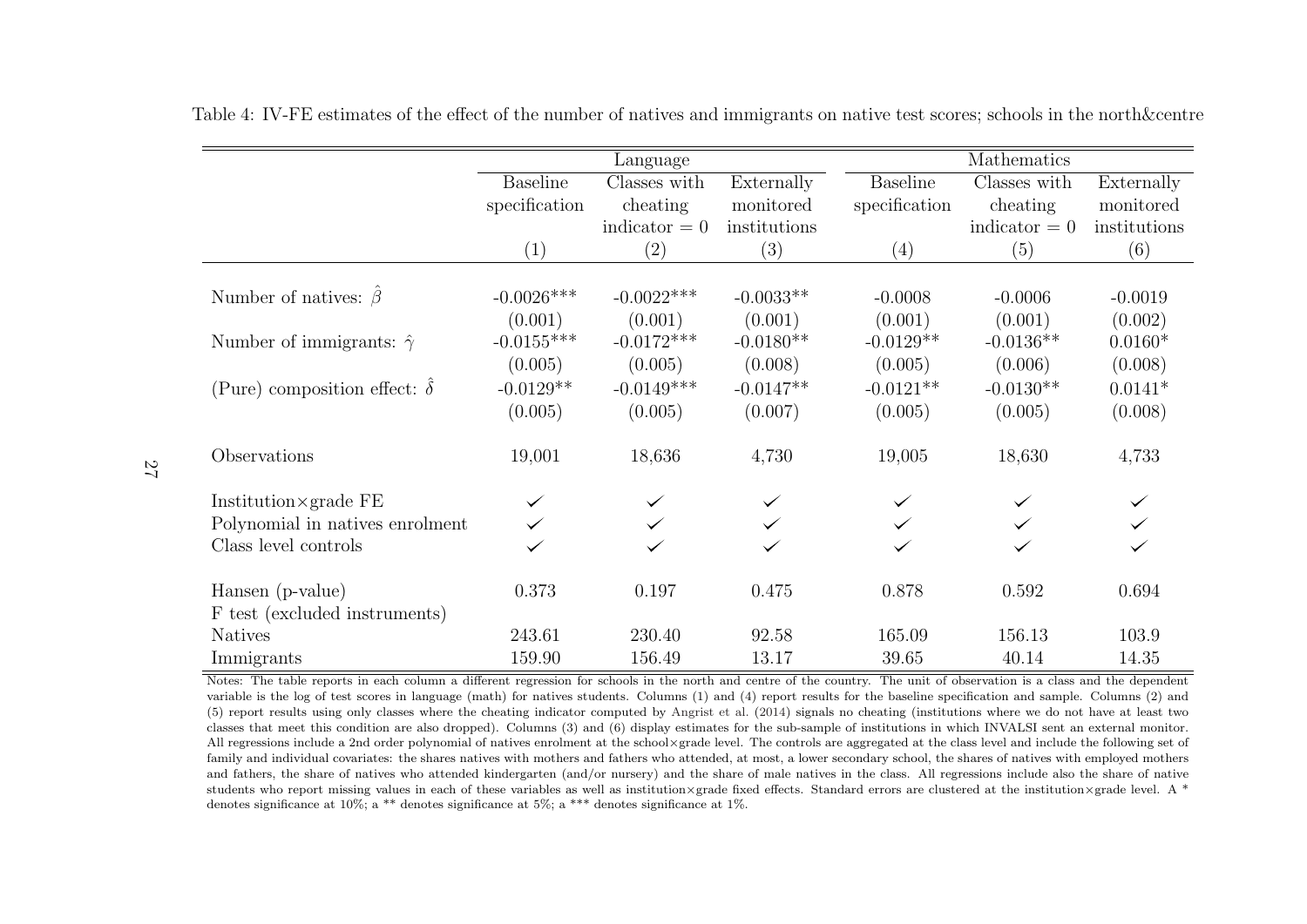|                                           | Language        |                   |              |                 | Mathematics     |              |  |  |
|-------------------------------------------|-----------------|-------------------|--------------|-----------------|-----------------|--------------|--|--|
|                                           | <b>Baseline</b> | Classes with      | Externally   | <b>Baseline</b> | Classes with    | Externally   |  |  |
|                                           | specification   | cheating          | monitored    | specification   | cheating        | monitored    |  |  |
|                                           |                 | indicator $= 0$   | institutions |                 | indicator $= 0$ | institutions |  |  |
|                                           | (1)             | $\left( 2\right)$ | (3)          | (4)             | (5)             | (6)          |  |  |
|                                           |                 |                   |              |                 |                 |              |  |  |
| Number of natives: $\hat{\beta}$          | $-0.0026***$    | $-0.0022***$      | $-0.0033**$  | $-0.0008$       | $-0.0006$       | $-0.0019$    |  |  |
|                                           | (0.001)         | (0.001)           | (0.001)      | (0.001)         | (0.001)         | (0.002)      |  |  |
| Number of immigrants: $\hat{\gamma}$      | $-0.0155***$    | $-0.0172***$      | $-0.0180**$  | $-0.0129**$     | $-0.0136**$     | $0.0160*$    |  |  |
|                                           | (0.005)         | (0.005)           | (0.008)      | (0.005)         | (0.006)         | (0.008)      |  |  |
| (Pure) composition effect: $\hat{\delta}$ | $-0.0129**$     | $-0.0149***$      | $-0.0147**$  | $-0.0121**$     | $-0.0130**$     | $0.0141*$    |  |  |
|                                           | (0.005)         | (0.005)           | (0.007)      | (0.005)         | (0.005)         | (0.008)      |  |  |
| Observations                              | 19,001          | 18,636            | 4,730        | 19,005          | 18,630          | 4,733        |  |  |
| Institution $\times$ grade FE             |                 |                   |              |                 |                 |              |  |  |
| Polynomial in natives enrolment           |                 |                   |              |                 |                 |              |  |  |
| Class level controls                      |                 |                   |              |                 |                 |              |  |  |
| Hansen (p-value)                          | 0.373           | 0.197             | 0.475        | 0.878           | 0.592           | 0.694        |  |  |
| F test (excluded instruments)             |                 |                   |              |                 |                 |              |  |  |
| <b>Natives</b>                            | 243.61          | 230.40            | 92.58        | 165.09          | 156.13          | 103.9        |  |  |
| Immigrants                                | 159.90          | 156.49            | 13.17        | 39.65           | 40.14           | 14.35        |  |  |

Table 4: IV-FE estimates of the effect of the number of natives and immigrants on native test scores; schools in the north&centre

<span id="page-29-0"></span>Notes: The table reports in each column a different regression for schools in the north and centre of the country. The unit of observation is a class and the dependent variable is the log of test scores in language (math) for natives students. Columns (1) and (4) report results for the baseline specification and sample. Columns (2) and (5) report results using only classes where the cheating indicator computed by [Angrist](#page-22-15) et al. [\(2014\)](#page-22-15) signals no cheating (institutions where we do not have at least two classes that meet this condition are also dropped). Columns (3) and (6) display estimates for the sub-sample of institutions in which INVALSI sent an external monitor.All regressions include <sup>a</sup> 2nd order polynomial of natives enrolment at the school×grade level. The controls are aggregated at the class level and include the following set offamily and individual covariates: the shares natives with mothers and fathers who attended, at most, a lower secondary school, the shares of natives with employed mothers and fathers, the share of natives who attended kindergarten (and/or nursery) and the share of male natives in the class. All regressions include also the share of native students who report missing values in each of these variables as well as institution×grade fixed effects. Standard errors are clustered at the institution×grade level. A \* denotes significance at 10%; a \*\* denotes significance at 5%; a \*\*\* denotes significance at 1%.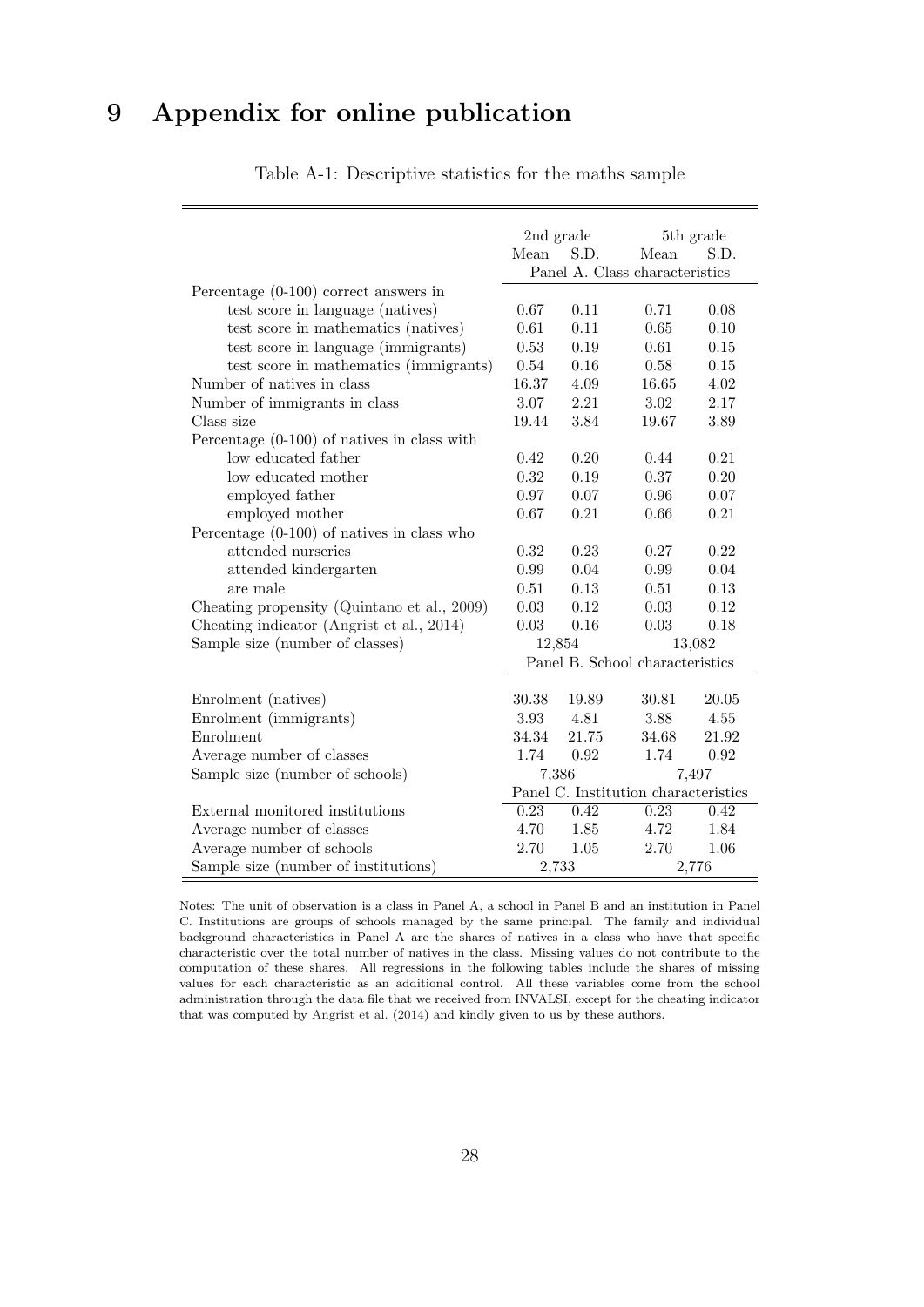# 9 Appendix for online publication

|                                               | 2nd grade<br>5th grade               |          |                                 |          |
|-----------------------------------------------|--------------------------------------|----------|---------------------------------|----------|
|                                               | Mean                                 | S.D.     | Mean                            | S.D.     |
|                                               |                                      |          | Panel A. Class characteristics  |          |
| Percentage $(0-100)$ correct answers in       |                                      |          |                                 |          |
| test score in language (natives)              | 0.67                                 | 0.11     | 0.71                            | 0.08     |
| test score in mathematics (natives)           | 0.61                                 | 0.11     | $0.65\,$                        | 0.10     |
| test score in language (immigrants)           | 0.53                                 | 0.19     | 0.61                            | $0.15\,$ |
| test score in mathematics (immigrants)        | 0.54                                 | 0.16     | 0.58                            | $0.15\,$ |
| Number of natives in class                    | 16.37                                | 4.09     | 16.65                           | 4.02     |
| Number of immigrants in class                 | 3.07                                 | 2.21     | 3.02                            | 2.17     |
| Class size                                    | 19.44                                | 3.84     | 19.67                           | 3.89     |
| Percentage $(0-100)$ of natives in class with |                                      |          |                                 |          |
| low educated father                           | 0.42                                 | 0.20     | 0.44                            | 0.21     |
| low educated mother                           | 0.32                                 | $0.19\,$ | 0.37                            | 0.20     |
| employed father                               | 0.97                                 | 0.07     | 0.96                            | 0.07     |
| employed mother                               | 0.67                                 | 0.21     | 0.66                            | 0.21     |
| Percentage $(0-100)$ of natives in class who  |                                      |          |                                 |          |
| attended nurseries                            | 0.32                                 | 0.23     | 0.27                            | 0.22     |
| attended kindergarten                         | 0.99                                 | 0.04     | 0.99                            | 0.04     |
| are male                                      | 0.51                                 | 0.13     | 0.51                            | 0.13     |
| Cheating propensity (Quintano et al., 2009)   | 0.03                                 | 0.12     | 0.03                            | 0.12     |
| Cheating indicator (Angrist et al., 2014)     | 0.03                                 | 0.16     | $\,0.03\,$                      | 0.18     |
| Sample size (number of classes)               | 12,854                               |          |                                 | 13,082   |
|                                               |                                      |          | Panel B. School characteristics |          |
|                                               |                                      |          |                                 |          |
| Enrolment (natives)                           | 30.38                                | 19.89    | 30.81                           | 20.05    |
| Enrolment (immigrants)                        | 3.93                                 | 4.81     | 3.88                            | 4.55     |
| Enrolment                                     | 34.34                                | 21.75    | 34.68                           | 21.92    |
| Average number of classes                     | 1.74                                 | 0.92     | 1.74                            | 0.92     |
| Sample size (number of schools)               | 7,386                                |          |                                 | 7,497    |
|                                               | Panel C. Institution characteristics |          |                                 |          |
| External monitored institutions               | 0.23                                 | 0.42     | 0.23                            | 0.42     |
| Average number of classes                     | 4.70                                 | 1.85     | 4.72                            | 1.84     |
| Average number of schools                     | 2.70                                 | 1.05     | 2.70                            | 1.06     |
| Sample size (number of institutions)          | 2,733                                |          |                                 | 2,776    |

Table A-1: Descriptive statistics for the maths sample

Notes: The unit of observation is a class in Panel A, a school in Panel B and an institution in Panel C. Institutions are groups of schools managed by the same principal. The family and individual background characteristics in Panel A are the shares of natives in a class who have that specific characteristic over the total number of natives in the class. Missing values do not contribute to the computation of these shares. All regressions in the following tables include the shares of missing values for each characteristic as an additional control. All these variables come from the school administration through the data file that we received from INVALSI, except for the cheating indicator that was computed by [Angrist et al.](#page-22-14) [\(2014\)](#page-22-14) and kindly given to us by these authors.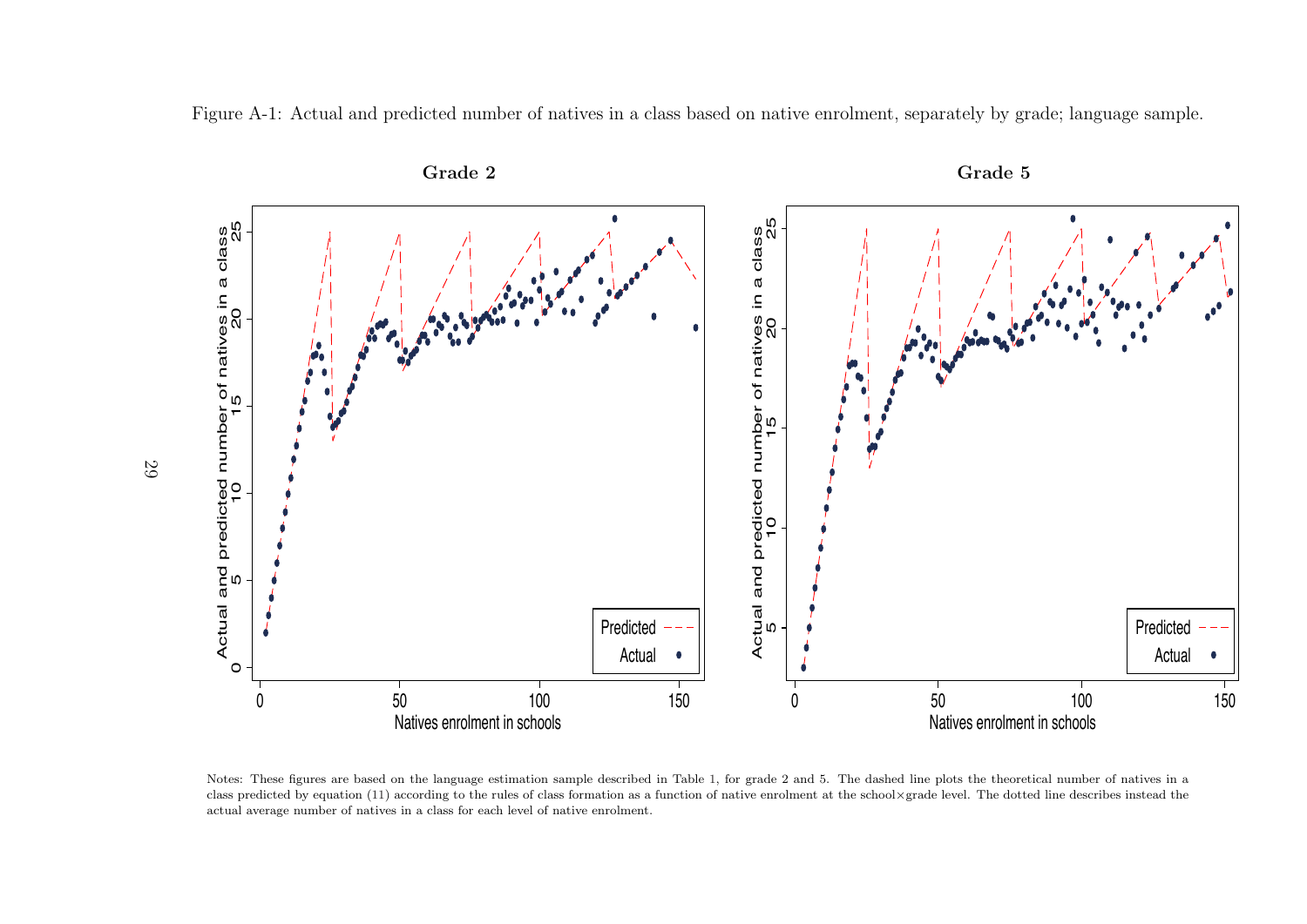



Notes: These figures are based on the language estimation sample described in Table [1,](#page-24-1) for grade <sup>2</sup> and 5. The dashed line <sup>p</sup>lots the theoretical number of natives in <sup>a</sup>class predicted by equation [\(11\)](#page-15-1) according to the rules of class formation as a function of native enrolment at the school×grade level. The dotted line describes instead the actual average number of natives in <sup>a</sup> class for each level of native enrolment.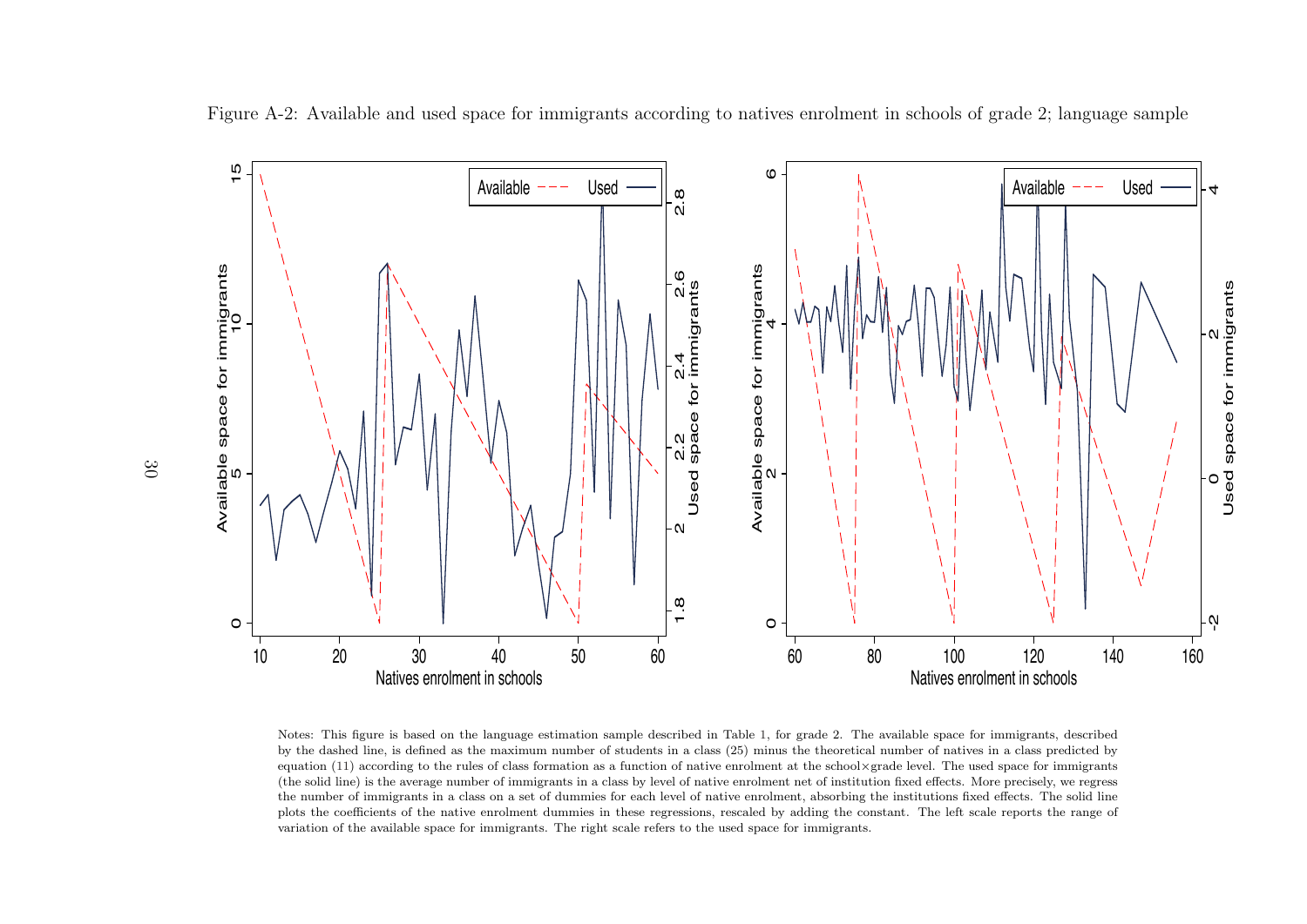

Figure A-2: Available and used space for immigrants according to natives enrolment in schools of grade 2; language sample

Notes: This figure is based on the language estimation sample described in Table [1,](#page-24-1) for grade 2. The available space for immigrants, described by the dashed line, is defined as the maximum number of students in <sup>a</sup> class (25) minus the theoretical number of natives in <sup>a</sup> class predicted byequation [\(11\)](#page-15-1) according to the rules of class formation as a function of native enrolment at the school×grade level. The used space for immigrants (the solid line) is the average number of immigrants in <sup>a</sup> class by level of native enrolment net of institution fixed effects. More precisely, we regress the number of immigrants in <sup>a</sup> class on <sup>a</sup> set of dummies for each level of native enrolment, absorbing the institutions fixed effects. The solid line <sup>p</sup>lots the coefficients of the native enrolment dummies in these regressions, rescaled by adding the constant. The left scale reports the range ofvariation of the available space for immigrants. The right scale refers to the used space for immigrants.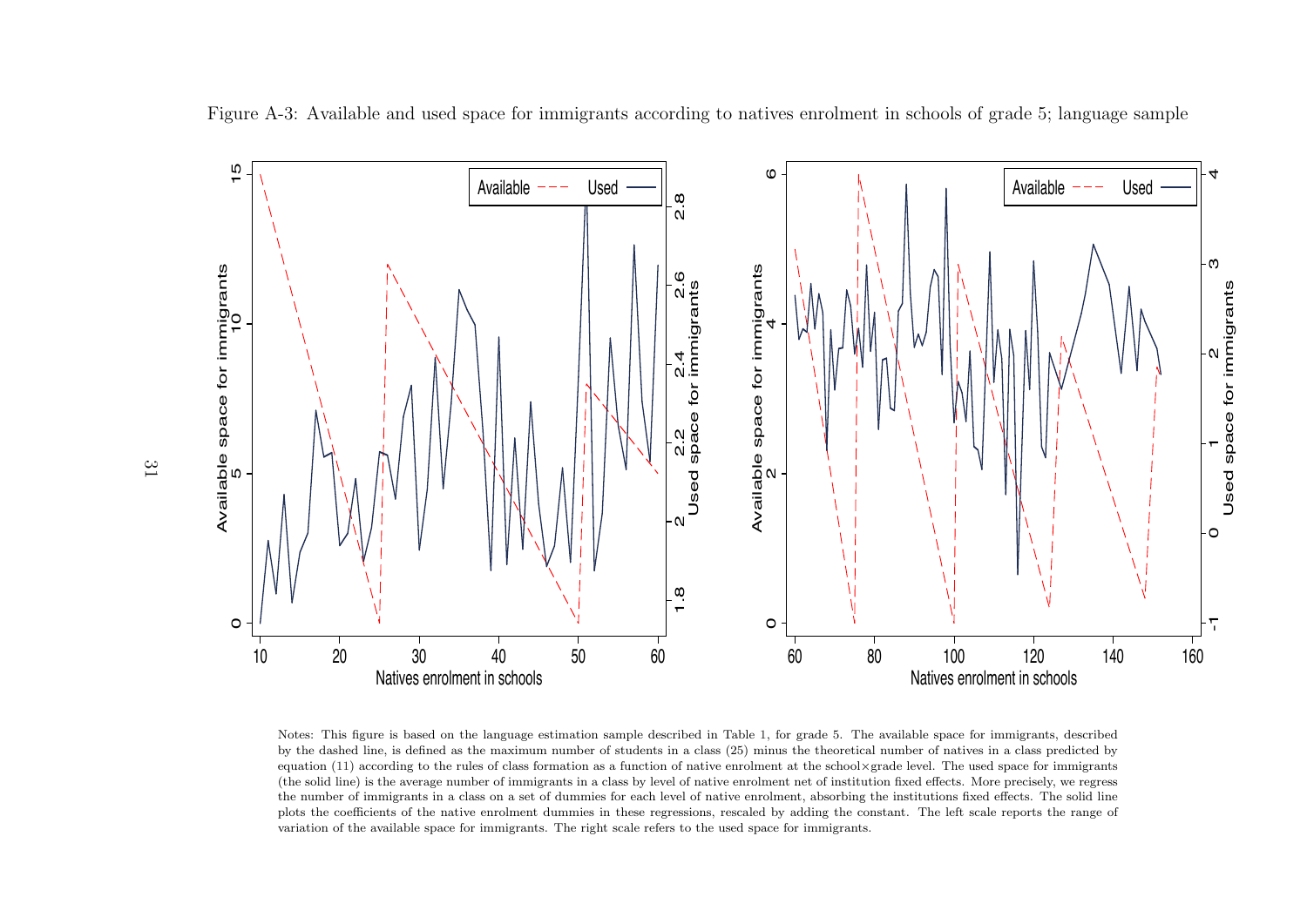

Figure A-3: Available and used space for immigrants according to natives enrolment in schools of grade 5; language sample

Notes: This figure is based on the language estimation sample described in Table [1,](#page-24-1) for grade 5. The available space for immigrants, described by the dashed line, is defined as the maximum number of students in <sup>a</sup> class (25) minus the theoretical number of natives in <sup>a</sup> class predicted byequation [\(11\)](#page-15-1) according to the rules of class formation as a function of native enrolment at the school×grade level. The used space for immigrants (the solid line) is the average number of immigrants in <sup>a</sup> class by level of native enrolment net of institution fixed effects. More precisely, we regress the number of immigrants in <sup>a</sup> class on <sup>a</sup> set of dummies for each level of native enrolment, absorbing the institutions fixed effects. The solid line <sup>p</sup>lots the coefficients of the native enrolment dummies in these regressions, rescaled by adding the constant. The left scale reports the range ofvariation of the available space for immigrants. The right scale refers to the used space for immigrants.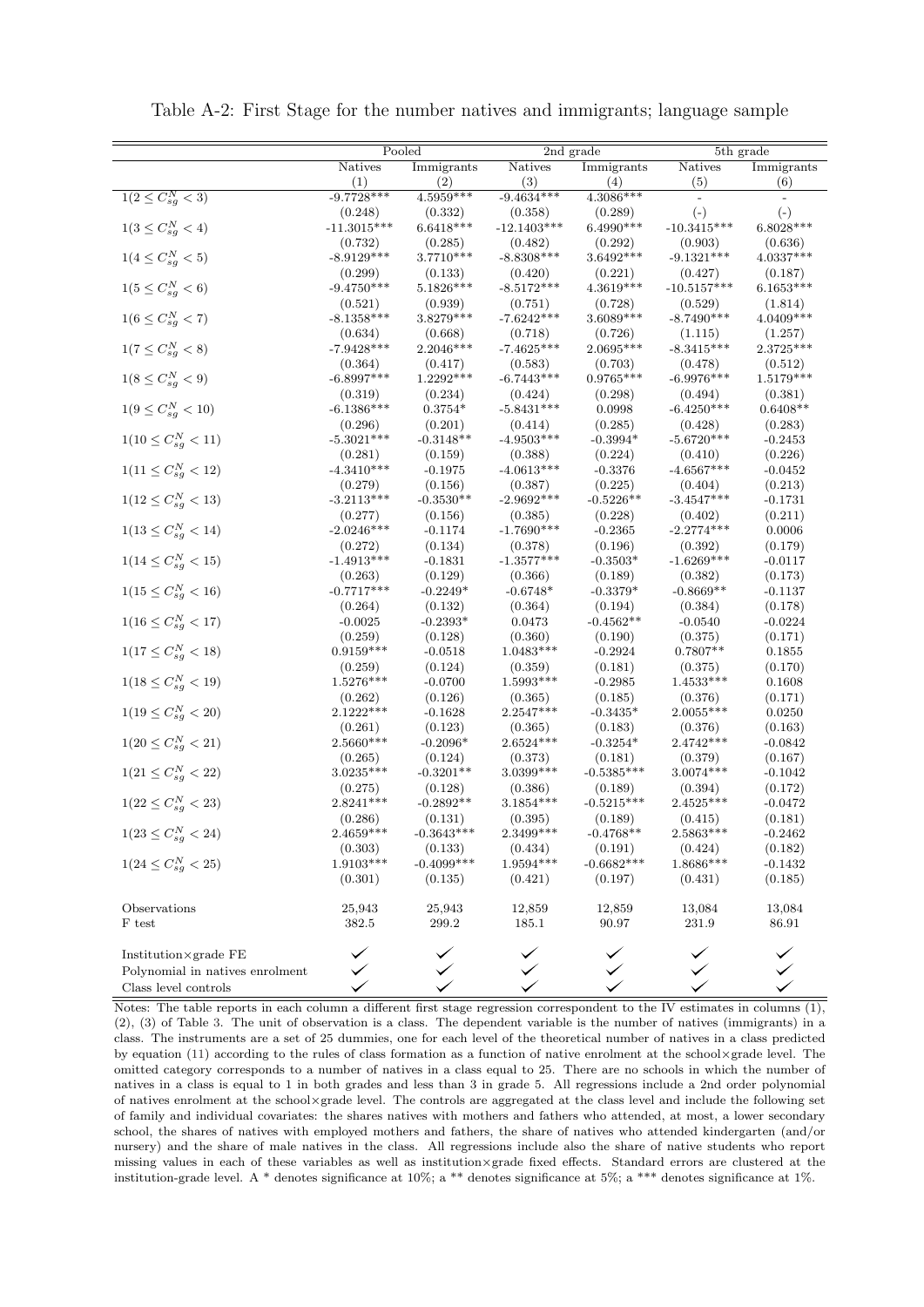|                                 | Pooled                  |              |               |              | 5th grade               |             |
|---------------------------------|-------------------------|--------------|---------------|--------------|-------------------------|-------------|
|                                 |                         |              |               | 2nd grade    |                         |             |
|                                 | <b>Natives</b>          | Immigrants   | Natives       | Immigrants   | Natives                 | Immigrants  |
|                                 | (1)                     | (2)          | (3)           | (4)          | (5)                     | (6)         |
| $1(2 \leq C_{sg}^{N} < 3)$      | $-9.7728***$            | $4.5959***$  | $-9.4634***$  | $4.3086***$  |                         |             |
|                                 | (0.248)                 | (0.332)      | (0.358)       | (0.289)      | $(-)$                   | $(-)$       |
| $1(3 \leq C_{sg}^{N} < 4)$      | $-11.3015***$           | $6.6418***$  | $-12.1403***$ | $6.4990***$  | $\textbf{-}10.3415***$  | $6.8028***$ |
|                                 | (0.732)                 | (0.285)      | (0.482)       | (0.292)      | (0.903)                 | (0.636)     |
| $1(4 \leq C_{sg}^{N} < 5)$      | $-8.9129***$            | 3.7710***    | $-8.8308***$  | 3.6492***    | $-9.1321***$            | $4.0337***$ |
|                                 | (0.299)                 | (0.133)      | (0.420)       | (0.221)      | (0.427)                 | (0.187)     |
| $1(5 \leq C_{sg}^{N} < 6)$      | $-9.4750***$            | 5.1826***    | $-8.5172***$  | 4.3619***    | $-10.5157***$           | $6.1653***$ |
|                                 | (0.521)                 | (0.939)      | (0.751)       | (0.728)      | (0.529)                 | (1.814)     |
| $1(6\leq C_{sg}^{N}<7)$         | $-8.1358***$            | $3.8279***$  | $-7.6242***$  | $3.6089***$  | $-8.7490***$            | 4.0409***   |
|                                 | (0.634)                 | (0.668)      | (0.718)       | (0.726)      | (1.115)                 | (1.257)     |
| $1(7 \leq C_{sg}^{N} < 8)$      | $-7.9428***$            | 2.2046***    | $-7.4625***$  | 2.0695***    | $-8.3415***$            | 2.3725***   |
|                                 | (0.364)                 | (0.417)      | (0.583)       | (0.703)      | (0.478)                 | (0.512)     |
| $1(8 \leq C_{sg}^N < 9)$        | $-6.8997***$            | 1.2292***    | $-6.7443***$  | $0.9765***$  | $-6.9976***$            | $1.5179***$ |
|                                 | (0.319)                 | (0.234)      | (0.424)       | (0.298)      | (0.494)                 | (0.381)     |
| $1(9 \leq C_{sg}^{N} < 10)$     | $-6.1386***$            | $0.3754*$    | $-5.8431***$  | 0.0998       | $-6.4250***$            | $0.6408**$  |
|                                 | (0.296)                 | (0.201)      | (0.414)       | (0.285)      | (0.428)                 | (0.283)     |
| $1(10 \leq C_{sg}^{N} < 11)$    | $-5.3021***$            | $-0.3148**$  | $-4.9503***$  | $-0.3994*$   | $-5.6720***$            | $-0.2453$   |
|                                 | (0.281)                 | (0.159)      | (0.388)       | (0.224)      | (0.410)                 | (0.226)     |
| $1(11 \leq C_{sg}^{N} < 12)$    | $-4.3410***$            | $-0.1975$    | $-4.0613***$  | $-0.3376$    | $-4.6567***$            | $-0.0452$   |
|                                 |                         | (0.156)      |               | (0.225)      |                         | (0.213)     |
|                                 | (0.279)<br>$-3.2113***$ |              | (0.387)       | $-0.5226**$  | (0.404)<br>$-3.4547***$ |             |
| $1(12 \leq C_{sg}^{N} < 13)$    |                         | $-0.3530**$  | $-2.9692***$  |              |                         | $-0.1731$   |
|                                 | (0.277)                 | (0.156)      | (0.385)       | (0.228)      | (0.402)                 | (0.211)     |
| $1(13 \leq C_{sg}^{N} < 14)$    | $-2.0246***$            | -0.1174      | $-1.7690***$  | $-0.2365$    | $-2.2774***$            | 0.0006      |
|                                 | (0.272)                 | (0.134)      | (0.378)       | (0.196)      | (0.392)                 | (0.179)     |
| $1(14 \leq C_{sg}^N < 15)$      | $-1.4913***$            | $-0.1831$    | $-1.3577***$  | $-0.3503*$   | $-1.6269***$            | $-0.0117$   |
|                                 | (0.263)                 | (0.129)      | (0.366)       | (0.189)      | (0.382)                 | (0.173)     |
| $1(15 \leq C_{sg}^{N} < 16)$    | $-0.7717***$            | $-0.2249*$   | $-0.6748*$    | $-0.3379*$   | $-0.8669**$             | $-0.1137$   |
|                                 | (0.264)                 | (0.132)      | (0.364)       | (0.194)      | (0.384)                 | (0.178)     |
| $1(16 \leq C_{sg}^{N} < 17)$    | $-0.0025$               | $-0.2393*$   | 0.0473        | $-0.4562**$  | $-0.0540$               | $-0.0224$   |
|                                 | (0.259)                 | (0.128)      | (0.360)       | (0.190)      | (0.375)                 | (0.171)     |
| $1(17 \leq C_{sg}^{N} < 18)$    | $0.9159***$             | $-0.0518$    | $1.0483***$   | $-0.2924$    | $0.7807**$              | 0.1855      |
|                                 | (0.259)                 | (0.124)      | (0.359)       | (0.181)      | (0.375)                 | (0.170)     |
| $1(18 \leq C_{sg}^{N} < 19)$    | 1.5276***               | $-0.0700$    | $1.5993***$   | $-0.2985$    | $1.4533***$             | 0.1608      |
|                                 | (0.262)                 | (0.126)      | (0.365)       | (0.185)      | (0.376)                 | (0.171)     |
| $1(19 \leq C_{sg}^{N} < 20)$    | 2.1222***               | $-0.1628$    | $2.2547***$   | $-0.3435*$   | 2.0055***               | 0.0250      |
|                                 | (0.261)                 | (0.123)      | (0.365)       | (0.183)      | (0.376)                 | (0.163)     |
| $1(20 \leq C_{sg}^{N} < 21)$    | 2.5660***               | $-0.2096*$   | $2.6524***$   | $-0.3254*$   | $2.4742***$             | $-0.0842$   |
|                                 | (0.265)                 | (0.124)      | (0.373)       | (0.181)      | (0.379)                 | (0.167)     |
| $1(21 \leq C_{sg}^{N} < 22)$    | $3.0235***$             | $-0.3201**$  | 3.0399***     | $-0.5385***$ | $3.0074***$             | $-0.1042$   |
|                                 | (0.275)                 | (0.128)      | (0.386)       | (0.189)      | (0.394)                 | (0.172)     |
| $1(22 \leq C_{sg}^{N} < 23)$    | $2.8241***$             | $-0.2892**$  | $3.1854***$   | $-0.5215***$ | $2.4525***$             | $-0.0472$   |
|                                 | (0.286)                 | (0.131)      | (0.395)       | (0.189)      | (0.415)                 | (0.181)     |
| $1(23 \leq C_{sg}^{N} < 24)$    | $2.4659***$             | $-0.3643***$ | $2.3499***$   | $-0.4768**$  | $2.5863***$             | $-0.2462$   |
|                                 | (0.303)                 | (0.133)      | (0.434)       | (0.191)      | (0.424)                 | (0.182)     |
| $1(24 \leq C_{sg}^{N} < 25)$    | $1.9103***$             | $-0.4099***$ | 1.9594***     | $-0.6682***$ | 1.8686***               | $-0.1432$   |
|                                 | (0.301)                 | (0.135)      | (0.421)       | (0.197)      | (0.431)                 | (0.185)     |
|                                 |                         |              |               |              |                         |             |
| Observations                    | 25,943                  | 25,943       | 12,859        | 12,859       | 13,084                  | 13,084      |
|                                 |                         | 299.2        |               | 90.97        | 231.9                   | $86.91\,$   |
| F test                          | 382.5                   |              | 185.1         |              |                         |             |
|                                 |                         |              |               |              |                         |             |
| Institution×grade FE            |                         |              |               |              |                         |             |
| Polynomial in natives enrolment |                         |              |               |              |                         |             |
| Class level controls            |                         |              |               |              |                         |             |

Table A-2: First Stage for the number natives and immigrants; language sample

Notes: The table reports in each column a different first stage regression correspondent to the IV estimates in columns  $(1)$ , (2), (3) of Table [3.](#page-28-0) The unit of observation is a class. The dependent variable is the number of natives (immigrants) in a class. The instruments are a set of 25 dummies, one for each level of the theoretical number of natives in a class predicted by equation [\(11\)](#page-15-0) according to the rules of class formation as a function of native enrolment at the school×grade level. The omitted category corresponds to a number of natives in a class equal to 25. There are no schools in which the number of natives in a class is equal to 1 in both grades and less than 3 in grade 5. All regressions include a 2nd order polynomial of natives enrolment at the school×grade level. The controls are aggregated at the class level and include the following set of family and individual covariates: the shares natives with mothers and fathers who attended, at most, a lower secondary school, the shares of natives with employed mothers and fathers, the share of natives who attended kindergarten (and/or nursery) and the share of male natives in the class. All regressions include also the share of native students who report missing values in each of these variables as well as institution×grade fixed effects. Standard errors are clustered at the institution-grade level. A \* denotes significance at 10%; a \*\* denotes significance at 5%; a \*\*\* denotes significance at 1%.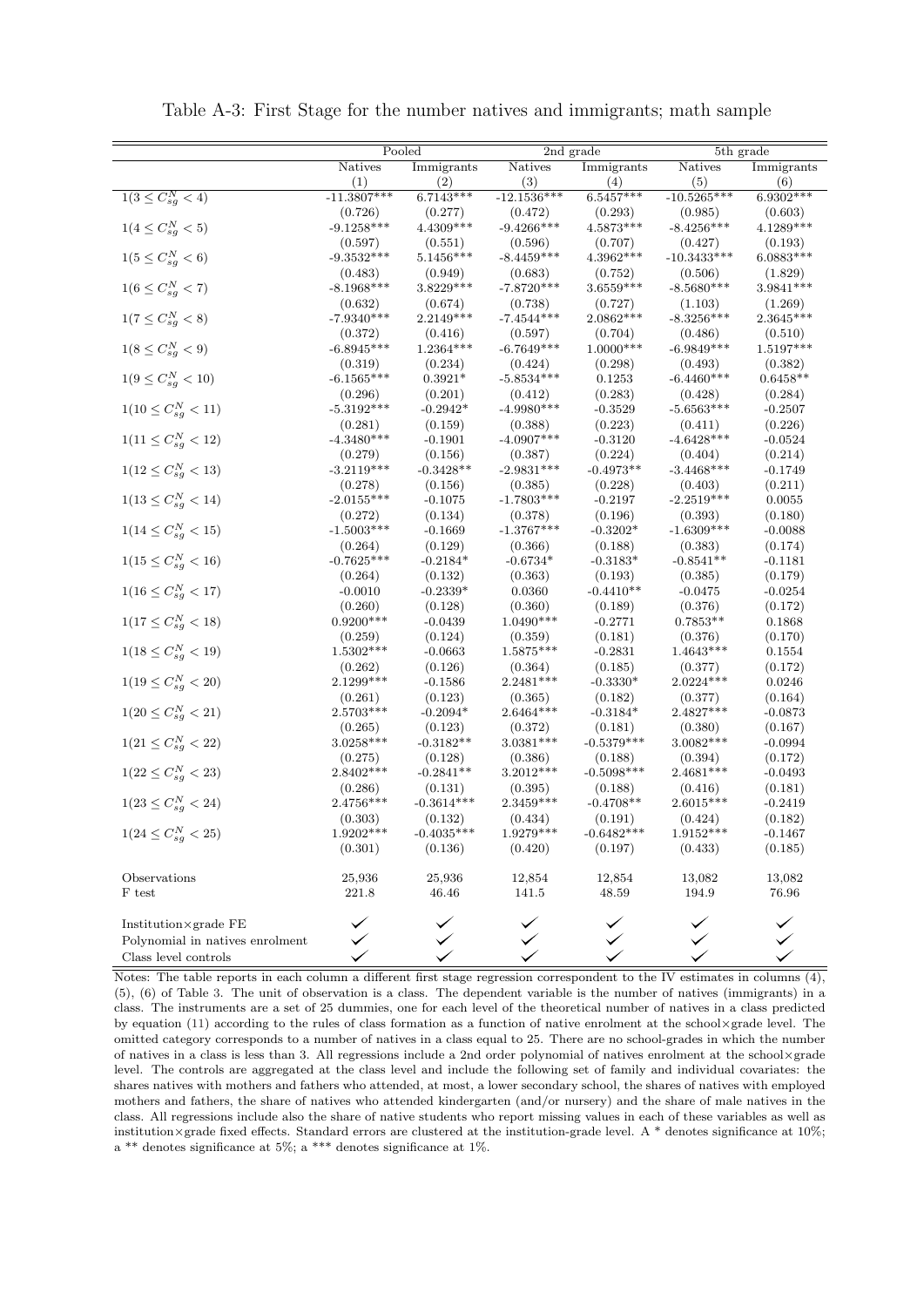|                                 | Pooled                  |                        | $\overline{2nd}$ grade  |                        | 5th grade               |                      |
|---------------------------------|-------------------------|------------------------|-------------------------|------------------------|-------------------------|----------------------|
|                                 | Natives                 | Immigrants             | Natives                 | Immigrants             | Natives                 | Immigrants           |
|                                 | (1)                     | (2)                    | (3)                     | (4)                    | (5)                     | (6)                  |
| $1(3 \leq C_{sg}^N < 4)$        | $-11.3807***$           | $6.7143***$            | $-12.1536***$           | $6.5457***$            | $-10.5265***$           | 6.9302***            |
|                                 | (0.726)                 | (0.277)                | (0.472)                 | (0.293)                | (0.985)                 | (0.603)              |
| $1(4\leq C_{sg}^{N}<5)$         | $-9.1258***$            | $4.4309***$            | $-9.4266***$            | $4.5873***$            | $-8.4256***$            | $4.1289***$          |
|                                 | (0.597)                 | (0.551)                | (0.596)                 | (0.707)                | (0.427)                 | (0.193)              |
| $1(5 \leq C_{sg}^{N} < 6)$      | $-9.3532***$            | $5.1456***$            | $-8.4459***$            | 4.3962***              | $-10.3433***$           | $6.0883***$          |
|                                 | (0.483)                 | (0.949)                | (0.683)                 | (0.752)                | (0.506)                 | (1.829)              |
| $1(6 \leq C_{sg}^{N} < 7)$      | $-8.1968***$            | 3.8229***              | $-7.8720***$            | $3.6559***$            | $-8.5680***$            | 3.9841***            |
|                                 | (0.632)                 | (0.674)                | (0.738)                 | (0.727)                | (1.103)                 | (1.269)              |
| $1(7\leq C_{sg}^N < 8)$         | $-7.9340***$            | 2.2149***              | $-7.4544***$            | 2.0862***              | $-8.3256***$            | $2.3645***$          |
|                                 | (0.372)                 | (0.416)                | (0.597)                 | (0.704)                | (0.486)                 | (0.510)              |
| $1(8 \leq C_{sg}^{N} < 9)$      | $-6.8945***$            | $1.2364***$            | $-6.7649***$            | $1.0000***$            | $-6.9849***$            | 1.5197***            |
|                                 | (0.319)                 | (0.234)                | (0.424)                 | (0.298)                | (0.493)                 | (0.382)              |
| $1(9\leq C_{sg}^N < 10)$        | $-6.1565***$            | $0.3921*$              | $-5.8534***$            | 0.1253                 | $-6.4460***$            | $0.6458**$           |
|                                 | (0.296)                 | (0.201)                | (0.412)                 | (0.283)                | (0.428)                 | (0.284)              |
| $1(10 \leq C_{sg}^{N} < 11)$    | $-5.3192***$            | $-0.2942*$             | $-4.9980***$            | $-0.3529$              | $-5.6563***$            | $-0.2507$            |
|                                 | (0.281)                 | (0.159)                | (0.388)                 | (0.223)                | (0.411)                 | (0.226)              |
| $1(11 \leq C_{sg}^{N} < 12)$    | $-4.3480***$            | $-0.1901$              | $-4.0907***$<br>(0.387) | $-0.3120$              | $-4.6428***$            | $-0.0524$            |
|                                 | (0.279)<br>$-3.2119***$ | (0.156)<br>$-0.3428**$ | $-2.9831***$            | (0.224)<br>$-0.4973**$ | (0.404)<br>$-3.4468***$ | (0.214)<br>$-0.1749$ |
| $1(12 \leq C_{sg}^{N} < 13)$    |                         | (0.156)                |                         |                        |                         | (0.211)              |
| $1(13 \leq C_{sg}^{N} < 14)$    | (0.278)<br>$-2.0155***$ | $-0.1075$              | (0.385)<br>$-1.7803***$ | (0.228)<br>$-0.2197$   | (0.403)<br>$-2.2519***$ | 0.0055               |
|                                 | (0.272)                 | (0.134)                | (0.378)                 | (0.196)                | (0.393)                 | (0.180)              |
| $1(14 \leq C_{sg}^{N} < 15)$    | $-1.5003***$            | $-0.1669$              | $-1.3767***$            | $-0.3202*$             | $-1.6309***$            | $-0.0088$            |
|                                 | (0.264)                 | (0.129)                | (0.366)                 | (0.188)                | (0.383)                 | (0.174)              |
| $1(15 \leq C_{sg}^{N} < 16)$    | $-0.7625***$            | $-0.2184*$             | $-0.6734*$              | $-0.3183*$             | $-0.8541**$             | $-0.1181$            |
|                                 | (0.264)                 | (0.132)                | (0.363)                 | (0.193)                | (0.385)                 | (0.179)              |
| $1(16 \leq C_{sg}^{N} < 17)$    | $-0.0010$               | $-0.2339*$             | 0.0360                  | $-0.4410**$            | $-0.0475$               | $-0.0254$            |
|                                 | (0.260)                 | (0.128)                | (0.360)                 | (0.189)                | (0.376)                 | (0.172)              |
| $1(17 \leq C_{sg}^{N} < 18)$    | $0.9200***$             | $-0.0439$              | $1.0490***$             | $-0.2771$              | $0.7853**$              | 0.1868               |
|                                 | (0.259)                 | (0.124)                | (0.359)                 | (0.181)                | (0.376)                 | (0.170)              |
| $1(18 \leq C_{sg}^{N} < 19)$    | 1.5302***               | $-0.0663$              | $1.5875***$             | $-0.2831$              | $1.4643***$             | 0.1554               |
|                                 | (0.262)                 | (0.126)                | (0.364)                 | (0.185)                | (0.377)                 | (0.172)              |
| $1(19 \leq C_{sg}^{N} < 20)$    | 2.1299***               | $-0.1586$              | $2.2481***$             | $-0.3330*$             | $2.0224***$             | 0.0246               |
|                                 | (0.261)                 | (0.123)                | (0.365)                 | (0.182)                | (0.377)                 | (0.164)              |
| $1(20 \leq C_{sg}^{N} < 21)$    | 2.5703***               | $-0.2094*$             | $2.6464***$             | $-0.3184*$             | 2.4827***               | $-0.0873$            |
|                                 | (0.265)                 | (0.123)                | (0.372)                 | (0.181)                | (0.380)                 | (0.167)              |
| $1(21 \leq C_{sg}^{N} < 22)$    | 3.0258***               | $-0.3182**$            | 3.0381 ***              | $-0.5379***$           | 3.0082***               | $-0.0994$            |
|                                 | (0.275)                 | (0.128)                | (0.386)                 | (0.188)                | (0.394)                 | (0.172)              |
| $1(22 \leq C_{sg}^{N} < 23)$    | 2.8402***               | $-0.2841**$            | 3.2012 ***              | $-0.5098***$           | $2.4681***$             | $-0.0493$            |
|                                 | (0.286)                 | (0.131)                | (0.395)                 | (0.188)                | (0.416)                 | (0.181)              |
| $1(23 \leq C_{sg}^{N} < 24)$    | 2.4756***               | $-0.3614***$           | 2.3459***               | $-0.4708**$            | $2.6015***$             | $-0.2419$            |
|                                 | (0.303)                 | (0.132)                | (0.434)                 | (0.191)                | (0.424)                 | (0.182)              |
| $1(24 \leq C_{sg}^{N} < 25)$    | $1.9202***$             | $-0.4035***$           | $1.9279***$             | $-0.6482***$           | $1.9152***$             | $-0.1467$            |
|                                 | (0.301)                 | (0.136)                | (0.420)                 | (0.197)                | (0.433)                 | (0.185)              |
| Observations                    | 25,936                  | 25,936                 | 12,854                  | 12,854                 | 13,082                  | 13,082               |
| F test                          | 221.8                   | 46.46                  | 141.5                   | 48.59                  | 194.9                   | 76.96                |
|                                 |                         |                        |                         |                        |                         |                      |
| Institution×grade FE            |                         |                        |                         |                        |                         |                      |
|                                 |                         |                        |                         |                        |                         |                      |
| Polynomial in natives enrolment |                         |                        |                         |                        |                         |                      |

Table A-3: First Stage for the number natives and immigrants; math sample

Notes: The table reports in each column a different first stage regression correspondent to the IV estimates in columns  $(4)$ , (5), (6) of Table [3.](#page-28-0) The unit of observation is a class. The dependent variable is the number of natives (immigrants) in a class. The instruments are a set of 25 dummies, one for each level of the theoretical number of natives in a class predicted by equation [\(11\)](#page-15-0) according to the rules of class formation as a function of native enrolment at the school×grade level. The omitted category corresponds to a number of natives in a class equal to 25. There are no school-grades in which the number of natives in a class is less than 3. All regressions include a 2nd order polynomial of natives enrolment at the school×grade level. The controls are aggregated at the class level and include the following set of family and individual covariates: the shares natives with mothers and fathers who attended, at most, a lower secondary school, the shares of natives with employed mothers and fathers, the share of natives who attended kindergarten (and/or nursery) and the share of male natives in the class. All regressions include also the share of native students who report missing values in each of these variables as well as institution×grade fixed effects. Standard errors are clustered at the institution-grade level. A \* denotes significance at 10%; a \*\* denotes significance at 5%; a \*\*\* denotes significance at 1%.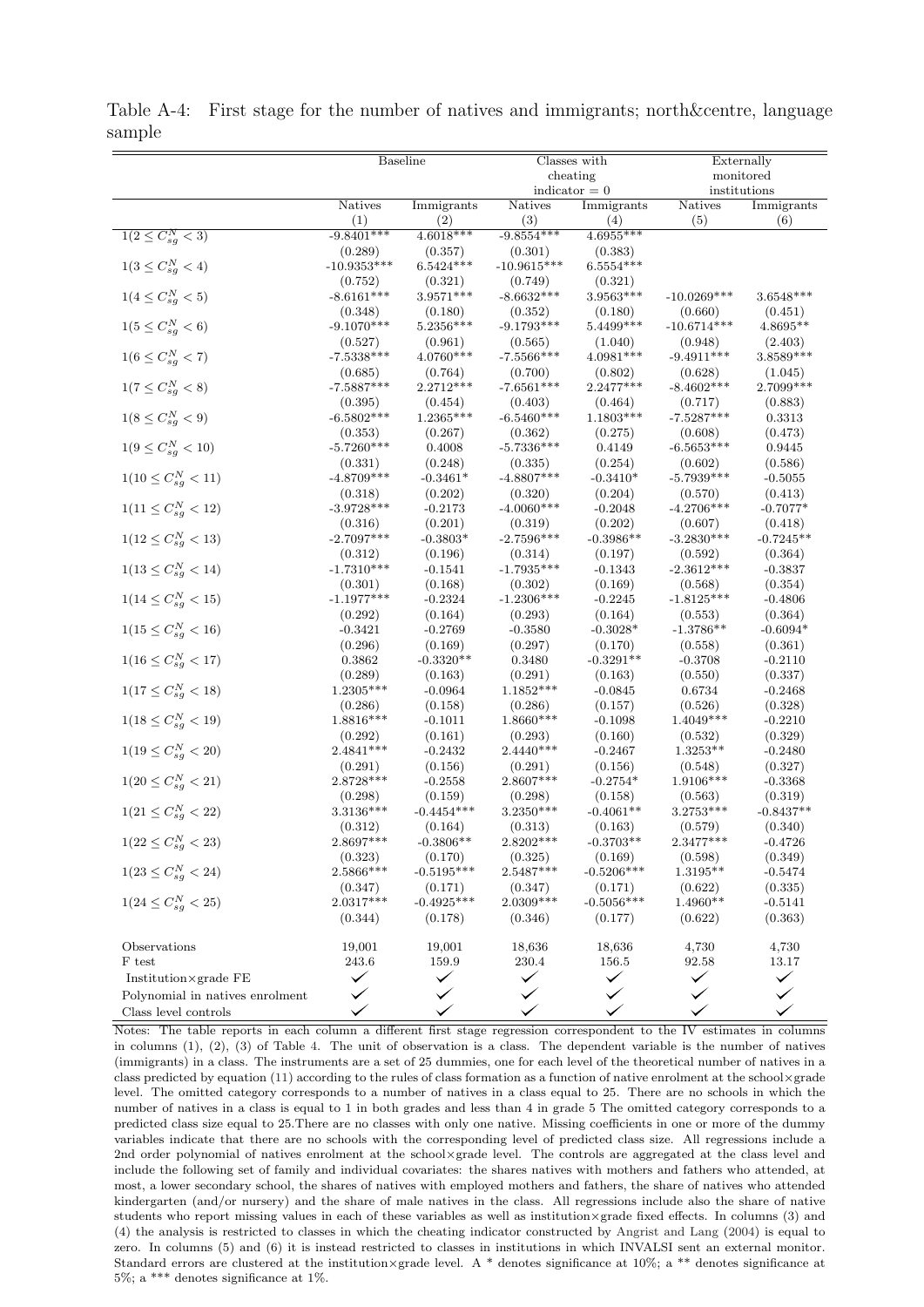|                                 | <b>Baseline</b>        |                         | Classes with           |                  | Externally            |              |
|---------------------------------|------------------------|-------------------------|------------------------|------------------|-----------------------|--------------|
|                                 |                        |                         |                        |                  |                       |              |
|                                 |                        |                         |                        | cheating         |                       | monitored    |
|                                 |                        |                         |                        | $indication = 0$ |                       | institutions |
|                                 | <b>Natives</b>         | Immigrants              | Natives                | Immigrants       | Natives               | Immigrants   |
|                                 | (1)                    | (2)                     | (3)                    | (4)              | (5)                   | (6)          |
| $1(2 \leq C_{sg}^{N} < 3)$      | $-9.8401***$           | $4.6018***$             | $-9.8554***$           | 4.6955***        |                       |              |
|                                 | (0.289)                | (0.357)                 | (0.301)                | (0.383)          |                       |              |
| $1(3 \leq C_{sg}^{N} < 4)$      | $-10.9353***$          | $6.5424***$             | $-10.9615***$          | $6.5554***$      |                       |              |
|                                 | (0.752)                | (0.321)                 | (0.749)                | (0.321)          |                       |              |
| $1(4 \leq C_{sg}^{N} < 5)$      | $-8.6161***$           | $3.9571***$             | $-8.6632***$           | $3.9563***$      | $-10.0269***$         | $3.6548***$  |
|                                 | (0.348)                | (0.180)                 | (0.352)                | (0.180)          | (0.660)               | (0.451)      |
| $1(5 \leq C_{sg}^{N} < 6)$      | $-9.1070***$           | $5.2356***$             | $-9.1793***$           | $5.4499***$      | $-10.6714***$         | $4.8695**$   |
|                                 | (0.527)                | (0.961)                 | (0.565)                | (1.040)          | (0.948)               | (2.403)      |
| $1(6 \leq C_{sg}^{N} < 7)$      | $-7.5338***$           | 4.0760***               | $-7.5566***$           | 4.0981***        | $-9.4911***$          | 3.8589***    |
|                                 | (0.685)                | (0.764)                 | (0.700)                | (0.802)          | (0.628)               | (1.045)      |
| $1(7 \leq C_{sg}^{N} < 8)$      | $-7.5887***$           | 2.2712***               | $-7.6561***$           | $2.2477***$      | $-8.4602***$          | 2.7099***    |
|                                 | (0.395)                | (0.454)                 | (0.403)                | (0.464)          | (0.717)               | (0.883)      |
| $1(8 \leq C_{sg}^{N} < 9)$      | $-6.5802***$           | $1.2365^{***}\;$        | $-6.5460***$           | $1.1803***$      | $-7.5287***$          | 0.3313       |
|                                 | (0.353)                | (0.267)                 | (0.362)                | (0.275)          | (0.608)               | (0.473)      |
| $1(9 \leq C_{sg}^{N} < 10)$     | $-5.7260***$           | 0.4008                  | $-5.7336***$           | 0.4149           | $-6.5653***$          | 0.9445       |
|                                 | (0.331)                | (0.248)                 | (0.335)                | (0.254)          | (0.602)               | (0.586)      |
| $1(10 \leq C_{sg}^{N} < 11)$    | $-4.8709***$           | $-0.3461*$              | $-4.8807***$           | $-0.3410*$       | $-5.7939***$          | $-0.5055$    |
|                                 | (0.318)                | (0.202)                 | (0.320)                | (0.204)          | (0.570)               | (0.413)      |
| $1(11 \leq C_{sg}^{N} < 12)$    | $-3.9728***$           | $-0.2173$               | $-4.0060***$           | $-0.2048$        | $-4.2706***$          | $-0.7077*$   |
|                                 | (0.316)                | (0.201)                 | (0.319)                | (0.202)          | (0.607)               | (0.418)      |
| $1(12 \leq C_{sg}^{N} < 13)$    | $-2.7097***$           | $-0.3803*$              | $-2.7596***$           | $-0.3986**$      | $-3.2830***$          | $-0.7245**$  |
|                                 | (0.312)                | (0.196)                 | (0.314)                | (0.197)          | (0.592)               | (0.364)      |
| $1(13 \leq C_{sq}^{N} < 14)$    | $-1.7310***$           | $-0.1541$               | $-1.7935***$           | $-0.1343$        | $-2.3612***$          | $-0.3837$    |
|                                 | (0.301)                | (0.168)                 | (0.302)                | (0.169)          | (0.568)               | (0.354)      |
| $1(14 \leq C_{sq}^{N} < 15)$    | $-1.1977***$           | $-0.2324$               | $-1.2306***$           | $-0.2245$        | $-1.8125***$          | $-0.4806$    |
|                                 | (0.292)                | (0.164)                 | (0.293)                | (0.164)          | (0.553)               | (0.364)      |
| $1(15 \leq C_{sg}^{N} < 16)$    | $-0.3421$              | $-0.2769$               | $-0.3580$              | $-0.3028*$       | $-1.3786**$           | $-0.6094*$   |
|                                 | (0.296)                | (0.169)                 | (0.297)                | (0.170)          | (0.558)               | (0.361)      |
| $1(16 \leq C_{sg}^{N} < 17)$    | 0.3862                 | $-0.3320**$             | 0.3480                 | $-0.3291**$      | $-0.3708$             | $-0.2110$    |
|                                 | (0.289)                | (0.163)                 | (0.291)                | (0.163)          | (0.550)               | (0.337)      |
| $1(17 \leq C_{sg}^{N} < 18)$    | 1.2305***              | $-0.0964$               | $1.1852***$            | $-0.0845$        | 0.6734                | $-0.2468$    |
|                                 | (0.286)                | (0.158)                 | (0.286)                | (0.157)          | (0.526)               | (0.328)      |
| $1(18 \leq C_{sg}^{N} < 19)$    | 1.8816***              | $-0.1011$               | 1.8660***              | $-0.1098$        | $1.4049***$           | $-0.2210$    |
|                                 |                        | (0.161)                 |                        | (0.160)          |                       | (0.329)      |
| $1(19 \leq C_{sg}^{N} < 20)$    | (0.292)<br>$2.4841***$ | $-0.2432$               | (0.293)<br>$2.4440***$ | $-0.2467$        | (0.532)<br>$1.3253**$ | $-0.2480$    |
|                                 | (0.291)                | (0.156)                 | (0.291)                | (0.156)          | (0.548)               | (0.327)      |
|                                 | 2.8728 ***             |                         | 2.8607***              |                  |                       |              |
| $1(20 \leq C_{sg}^{N} < 21)$    |                        | $-0.2558$               |                        | $-0.2754*$       | 1.9106***             | $-0.3368$    |
|                                 | (0.298)<br>$3.3136***$ | (0.159)<br>$-0.4454***$ | (0.298)<br>3.2350***   | (0.158)          | (0.563)<br>3.2753***  | (0.319)      |
| $1(21 \leq C_{sg}^{N} < 22)$    |                        |                         |                        | $-0.4061**$      |                       | $-0.8437**$  |
|                                 | (0.312)                | (0.164)                 | (0.313)                | (0.163)          | (0.579)               | (0.340)      |
| $1(22 \leq C_{sg}^{N} < 23)$    | 2.8697***              | $-0.3806**$             | $2.8202***$            | $-0.3703**$      | $2.3477***$           | $-0.4726$    |
|                                 | (0.323)                | (0.170)                 | (0.325)                | (0.169)          | (0.598)               | (0.349)      |
| $1(23 \leq C_{sq}^{N} < 24)$    | 2.5866***              | $-0.5195***$            | $2.5487***$            | $-0.5206***$     | $1.3195**$            | $-0.5474$    |
|                                 | (0.347)                | (0.171)                 | (0.347)                | (0.171)          | (0.622)               | (0.335)      |
| $1(24 \leq C_{sg}^{N} < 25)$    | 2.0317***              | $-0.4925***$            | 2.0309***              | $-0.5056***$     | $1.4960**$            | $-0.5141$    |
|                                 | (0.344)                | (0.178)                 | (0.346)                | (0.177)          | (0.622)               | (0.363)      |
|                                 |                        |                         |                        |                  |                       |              |
| Observations                    | 19,001                 | 19,001                  | 18,636                 | 18,636           | 4,730                 | 4,730        |
| F test                          | 243.6                  | 159.9                   | 230.4                  | 156.5            | 92.58                 | 13.17        |
| Institution×grade FE            |                        |                         |                        | ✓                |                       | $\checkmark$ |
| Polynomial in natives enrolment |                        |                         |                        |                  |                       |              |
| Class level controls            |                        |                         |                        |                  |                       |              |

Table A-4: First stage for the number of natives and immigrants; north&centre, language sample

Notes: The table reports in each column a different first stage regression correspondent to the IV estimates in columns in columns (1), (2), (3) of Table [4.](#page-29-0) The unit of observation is a class. The dependent variable is the number of natives (immigrants) in a class. The instruments are a set of 25 dummies, one for each level of the theoretical number of natives in a class predicted by equation [\(11\)](#page-15-0) according to the rules of class formation as a function of native enrolment at the school×grade level. The omitted category corresponds to a number of natives in a class equal to 25. There are no schools in which the number of natives in a class is equal to 1 in both grades and less than 4 in grade 5 The omitted category corresponds to a predicted class size equal to 25.There are no classes with only one native. Missing coefficients in one or more of the dummy variables indicate that there are no schools with the corresponding level of predicted class size. All regressions include a 2nd order polynomial of natives enrolment at the school×grade level. The controls are aggregated at the class level and include the following set of family and individual covariates: the shares natives with mothers and fathers who attended, at most, a lower secondary school, the shares of natives with employed mothers and fathers, the share of natives who attended kindergarten (and/or nursery) and the share of male natives in the class. All regressions include also the share of native students who report missing values in each of these variables as well as institution×grade fixed effects. In columns (3) and (4) the analysis is restricted to classes in which the cheating indicator constructed by [Angrist and Lang](#page-22-1) [\(2004\)](#page-22-1) is equal to zero. In columns (5) and (6) it is instead restricted to classes in institutions in which INVALSI sent an external monitor. Standard errors are clustered at the institution×grade level. A \* denotes significance at 10%; a \*\* denotes significance at 5%; a \*\*\* denotes significance at 1%.